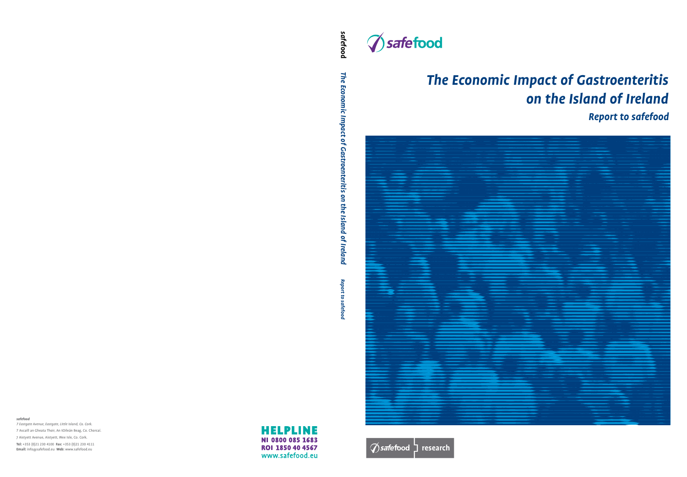*safefood* 

*7 Eastgate Avenue, Eastgate, Little Island, Co. Cork.* 7 Ascaill an Gheata Thoir, An tOileán Beag, Co. Chorcaí. 7 Aistyett Avenue, Aistyett, Wee Isle, Co. Cork. **Tel:** +353 (0)21 230 4100 **Fax:** +353 (0)21 230 4111 **Email:** info@safefood.eu **Web:** www.safefood.eu

## **HELPLINE** NI 0800 085 1683 ROI 1850 40 4567 www.safefood.eu



# *The Economic Impact of Gastroenteritis on the Island of Ireland Report to safefood*





*safe***food** The Economic Impact of Gastroenteritis on the Island of Ireland *The Economic Impact of Gastroenteritis on the Island of Ireland* Report to safefood *Report to safefood*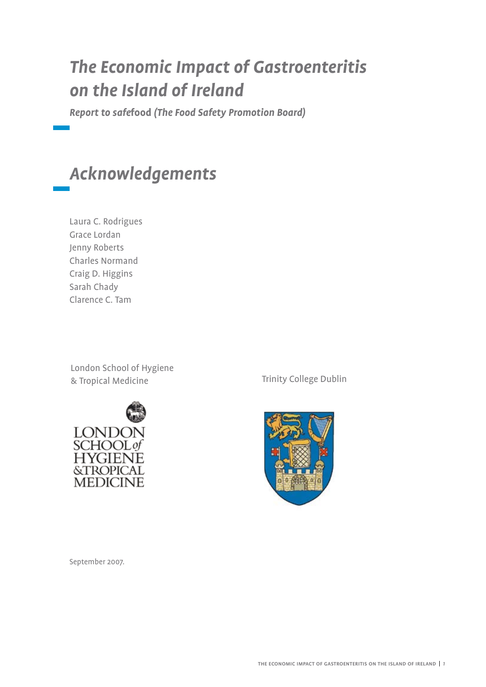## *The Economic Impact of Gastroenteritis on the Island of Ireland*

*Report to safe***food** *(The Food Safety Promotion Board)*

## *Acknowledgements*

Laura C. Rodrigues Grace Lordan Jenny Roberts Charles Normand Craig D. Higgins Sarah Chady Clarence C. Tam

London School of Hygiene & Tropical Medicine Trinity College Dublin





September 2007.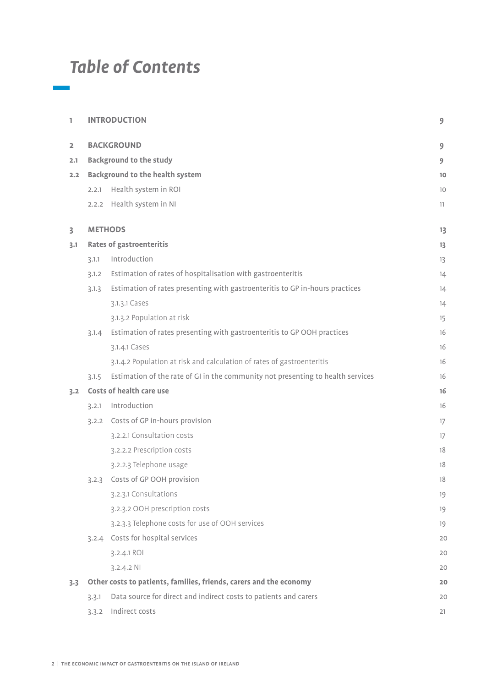## *Table of Contents*

| 1              |                                        | <b>INTRODUCTION</b>                                                             | 9  |  |  |  |  |
|----------------|----------------------------------------|---------------------------------------------------------------------------------|----|--|--|--|--|
| $\overline{2}$ |                                        | <b>BACKGROUND</b>                                                               | 9  |  |  |  |  |
| 2.1            | <b>Background to the study</b>         |                                                                                 |    |  |  |  |  |
| 2.2            | <b>Background to the health system</b> |                                                                                 |    |  |  |  |  |
|                | 2.2.1                                  | Health system in ROI                                                            | 10 |  |  |  |  |
|                |                                        | 2.2.2 Health system in NI                                                       | 11 |  |  |  |  |
| 3              |                                        | <b>METHODS</b>                                                                  | 13 |  |  |  |  |
| 3.1            |                                        | <b>Rates of gastroenteritis</b>                                                 | 13 |  |  |  |  |
|                | 3.1.1                                  | Introduction                                                                    | 13 |  |  |  |  |
|                | 3.1.2                                  | Estimation of rates of hospitalisation with gastroenteritis                     | 14 |  |  |  |  |
|                | 3.1.3                                  | Estimation of rates presenting with gastroenteritis to GP in-hours practices    | 14 |  |  |  |  |
|                |                                        | 3.1.3.1 Cases                                                                   | 14 |  |  |  |  |
|                |                                        | 3.1.3.2 Population at risk                                                      | 15 |  |  |  |  |
|                | 3.1.4                                  | Estimation of rates presenting with gastroenteritis to GP OOH practices         | 16 |  |  |  |  |
|                |                                        | 3.1.4.1 Cases                                                                   | 16 |  |  |  |  |
|                |                                        | 3.1.4.2 Population at risk and calculation of rates of gastroenteritis          | 16 |  |  |  |  |
|                | 3.1.5                                  | Estimation of the rate of GI in the community not presenting to health services | 16 |  |  |  |  |
| 3.2            |                                        | Costs of health care use                                                        | 16 |  |  |  |  |
|                | 3.2.1                                  | Introduction                                                                    | 16 |  |  |  |  |
|                | 3.2.2                                  | Costs of GP in-hours provision                                                  | 17 |  |  |  |  |
|                |                                        | 3.2.2.1 Consultation costs                                                      | 17 |  |  |  |  |
|                |                                        | 3.2.2.2 Prescription costs                                                      | 18 |  |  |  |  |
|                |                                        | 3.2.2.3 Telephone usage                                                         | 18 |  |  |  |  |
|                |                                        | 3.2.3 Costs of GP OOH provision                                                 | 18 |  |  |  |  |
|                |                                        | 3.2.3.1 Consultations                                                           | 19 |  |  |  |  |
|                |                                        | 3.2.3.2 OOH prescription costs                                                  | 19 |  |  |  |  |
|                |                                        | 3.2.3.3 Telephone costs for use of OOH services                                 | 19 |  |  |  |  |
|                |                                        | 3.2.4 Costs for hospital services                                               | 20 |  |  |  |  |
|                |                                        | 3.2.4.1 ROI                                                                     | 20 |  |  |  |  |
|                |                                        | $3.2.4.2$ NI                                                                    | 20 |  |  |  |  |
| 3.3            |                                        | Other costs to patients, families, friends, carers and the economy              | 20 |  |  |  |  |
|                | 3.3.1                                  | Data source for direct and indirect costs to patients and carers                | 20 |  |  |  |  |
|                | 3.3.2                                  | Indirect costs                                                                  | 21 |  |  |  |  |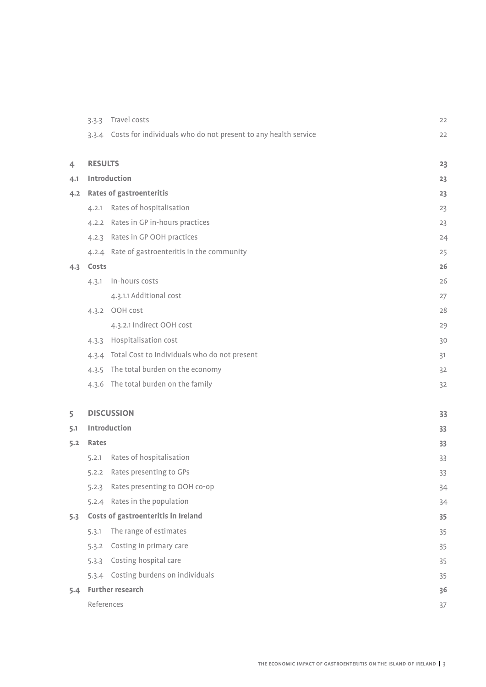|     | 3.3.3          | Travel costs                                                         | 22 |
|-----|----------------|----------------------------------------------------------------------|----|
|     |                | 3.3.4 Costs for individuals who do not present to any health service | 22 |
|     |                |                                                                      |    |
| 4   | <b>RESULTS</b> |                                                                      | 23 |
| 4.1 |                | Introduction                                                         | 23 |
| 4.2 |                | <b>Rates of gastroenteritis</b>                                      | 23 |
|     | 4.2.1          | Rates of hospitalisation                                             | 23 |
|     | 4.2.2          | Rates in GP in-hours practices                                       | 23 |
|     | 4.2.3          | Rates in GP OOH practices                                            | 24 |
|     |                | 4.2.4 Rate of gastroenteritis in the community                       | 25 |
| 4.3 | Costs          |                                                                      | 26 |
|     | 4.3.1          | In-hours costs                                                       | 26 |
|     |                | 4.3.1.1 Additional cost                                              | 27 |
|     |                | 4.3.2 OOH cost                                                       | 28 |
|     |                | 4.3.2.1 Indirect OOH cost                                            | 29 |
|     | 4.3.3          | Hospitalisation cost                                                 | 30 |
|     | 4.3.4          | Total Cost to Individuals who do not present                         | 31 |
|     | 4.3.5          | The total burden on the economy                                      | 32 |
|     |                | 4.3.6 The total burden on the family                                 | 32 |
|     |                |                                                                      |    |
| 5   |                | <b>DISCUSSION</b>                                                    | 33 |
| 5.1 |                | Introduction                                                         | 33 |
| 5.2 | <b>Rates</b>   |                                                                      | 33 |
|     | 5.2.1          | Rates of hospitalisation                                             | 33 |
|     | 5.2.2          | Rates presenting to GPs                                              | 33 |
|     | 5.2.3          | Rates presenting to OOH co-op                                        | 34 |
|     | 5.2.4          | Rates in the population                                              | 34 |
| 5.3 |                | Costs of gastroenteritis in Ireland                                  | 35 |
|     | 5.3.1          | The range of estimates                                               | 35 |
|     | 5.3.2          | Costing in primary care                                              | 35 |
|     | 5.3.3          | Costing hospital care                                                | 35 |
|     | 5.3.4          | Costing burdens on individuals                                       | 35 |
| 5.4 |                | <b>Further research</b>                                              | 36 |
|     | References     |                                                                      | 37 |
|     |                |                                                                      |    |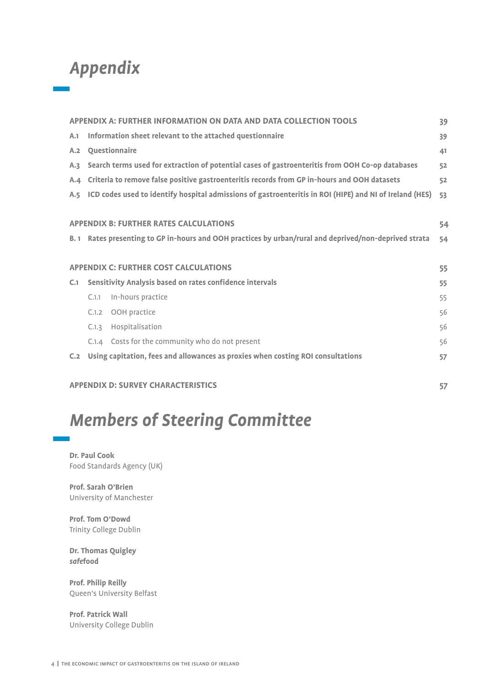## *Appendix*

|     |               | APPENDIX A: FURTHER INFORMATION ON DATA AND DATA COLLECTION TOOLS                                       | 39 |
|-----|---------------|---------------------------------------------------------------------------------------------------------|----|
| A.1 |               | Information sheet relevant to the attached questionnaire                                                | 39 |
| A.2 | Questionnaire |                                                                                                         | 41 |
| A.3 |               | Search terms used for extraction of potential cases of gastroenteritis from OOH Co-op databases         | 52 |
| A.4 |               | Criteria to remove false positive gastroenteritis records from GP in-hours and OOH datasets             | 52 |
| A.5 |               | ICD codes used to identify hospital admissions of gastroenteritis in ROI (HIPE) and NI of Ireland (HES) | 53 |
|     |               |                                                                                                         |    |
|     |               | <b>APPENDIX B: FURTHER RATES CALCULATIONS</b>                                                           | 54 |
|     |               | B. 1 Rates presenting to GP in-hours and OOH practices by urban/rural and deprived/non-deprived strata  | 54 |
|     |               |                                                                                                         |    |
|     |               | <b>APPENDIX C: FURTHER COST CALCULATIONS</b>                                                            | 55 |
| C.1 |               | Sensitivity Analysis based on rates confidence intervals                                                | 55 |
|     | C.1.1         | In-hours practice                                                                                       | 55 |
|     | C.1.2         | OOH practice                                                                                            | 56 |
|     | C.1.3         | Hospitalisation                                                                                         | 56 |
|     |               | C.1.4 Costs for the community who do not present                                                        | 56 |
| C.2 |               | Using capitation, fees and allowances as proxies when costing ROI consultations                         | 57 |
|     |               |                                                                                                         |    |
|     |               | <b>APPENDIX D: SURVEY CHARACTERISTICS</b>                                                               | 57 |

## *Members of Steering Committee*

**Dr. Paul Cook**  Food Standards Agency (UK)

**Prof. Sarah O'Brien** University of Manchester

**Prof. Tom O'Dowd**  Trinity College Dublin

**Dr. Thomas Quigley**  *safe***food**

**Prof. Philip Reilly**  Queen's University Belfast

**Prof. Patrick Wall**  University College Dublin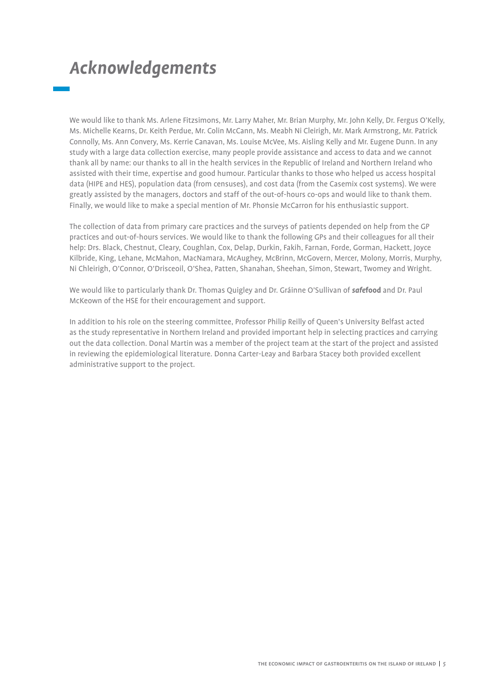## *Acknowledgements*

We would like to thank Ms. Arlene Fitzsimons, Mr. Larry Maher, Mr. Brian Murphy, Mr. John Kelly, Dr. Fergus O'Kelly, Ms. Michelle Kearns, Dr. Keith Perdue, Mr. Colin McCann, Ms. Meabh Ni Cleirigh, Mr. Mark Armstrong, Mr. Patrick Connolly, Ms. Ann Convery, Ms. Kerrie Canavan, Ms. Louise McVee, Ms. Aisling Kelly and Mr. Eugene Dunn. In any study with a large data collection exercise, many people provide assistance and access to data and we cannot thank all by name: our thanks to all in the health services in the Republic of Ireland and Northern Ireland who assisted with their time, expertise and good humour. Particular thanks to those who helped us access hospital data (HIPE and HES), population data (from censuses), and cost data (from the Casemix cost systems). We were greatly assisted by the managers, doctors and staff of the out-of-hours co-ops and would like to thank them. Finally, we would like to make a special mention of Mr. Phonsie McCarron for his enthusiastic support.

The collection of data from primary care practices and the surveys of patients depended on help from the GP practices and out-of-hours services. We would like to thank the following GPs and their colleagues for all their help: Drs. Black, Chestnut, Cleary, Coughlan, Cox, Delap, Durkin, Fakih, Farnan, Forde, Gorman, Hackett, Joyce Kilbride, King, Lehane, McMahon, MacNamara, McAughey, McBrinn, McGovern, Mercer, Molony, Morris, Murphy, Ni Chleirigh, O'Connor, O'Drisceoil, O'Shea, Patten, Shanahan, Sheehan, Simon, Stewart, Twomey and Wright.

We would like to particularly thank Dr. Thomas Quigley and Dr. Gráinne O'Sullivan of *safe***food** and Dr. Paul McKeown of the HSE for their encouragement and support.

In addition to his role on the steering committee, Professor Philip Reilly of Queen's University Belfast acted as the study representative in Northern Ireland and provided important help in selecting practices and carrying out the data collection. Donal Martin was a member of the project team at the start of the project and assisted in reviewing the epidemiological literature. Donna Carter-Leay and Barbara Stacey both provided excellent administrative support to the project.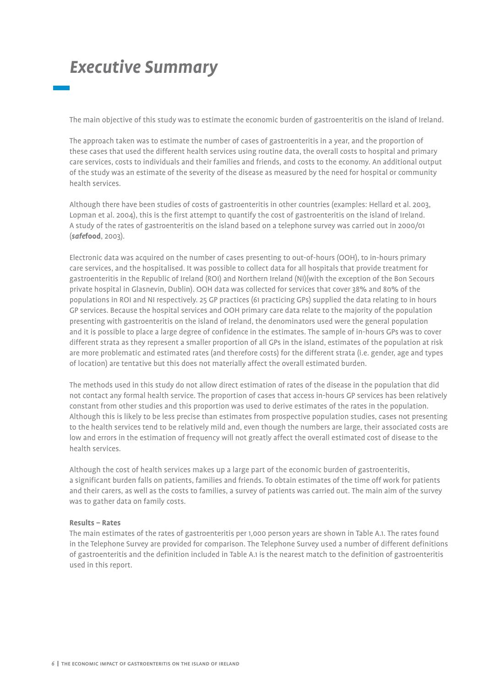## *Executive Summary*

The main objective of this study was to estimate the economic burden of gastroenteritis on the island of Ireland.

The approach taken was to estimate the number of cases of gastroenteritis in a year, and the proportion of these cases that used the different health services using routine data, the overall costs to hospital and primary care services, costs to individuals and their families and friends, and costs to the economy. An additional output of the study was an estimate of the severity of the disease as measured by the need for hospital or community health services.

Although there have been studies of costs of gastroenteritis in other countries (examples: Hellard et al. 2003, Lopman et al. 2004), this is the first attempt to quantify the cost of gastroenteritis on the island of Ireland. A study of the rates of gastroenteritis on the island based on a telephone survey was carried out in 2000/01 (*safe***food**, 2003).

Electronic data was acquired on the number of cases presenting to out-of-hours (OOH), to in-hours primary care services, and the hospitalised. It was possible to collect data for all hospitals that provide treatment for gastroenteritis in the Republic of Ireland (ROI) and Northern Ireland (NI)(with the exception of the Bon Secours private hospital in Glasnevin, Dublin). OOH data was collected for services that cover 38% and 80% of the populations in ROI and NI respectively. 25 GP practices (61 practicing GPs) supplied the data relating to in hours GP services. Because the hospital services and OOH primary care data relate to the majority of the population presenting with gastroenteritis on the island of Ireland, the denominators used were the general population and it is possible to place a large degree of confidence in the estimates. The sample of in-hours GPs was to cover different strata as they represent a smaller proportion of all GPs in the island, estimates of the population at risk are more problematic and estimated rates (and therefore costs) for the different strata (i.e. gender, age and types of location) are tentative but this does not materially affect the overall estimated burden.

The methods used in this study do not allow direct estimation of rates of the disease in the population that did not contact any formal health service. The proportion of cases that access in-hours GP services has been relatively constant from other studies and this proportion was used to derive estimates of the rates in the population. Although this is likely to be less precise than estimates from prospective population studies, cases not presenting to the health services tend to be relatively mild and, even though the numbers are large, their associated costs are low and errors in the estimation of frequency will not greatly affect the overall estimated cost of disease to the health services.

Although the cost of health services makes up a large part of the economic burden of gastroenteritis, a significant burden falls on patients, families and friends. To obtain estimates of the time off work for patients and their carers, as well as the costs to families, a survey of patients was carried out. The main aim of the survey was to gather data on family costs.

## **Results – Rates**

The main estimates of the rates of gastroenteritis per 1,000 person years are shown in Table A.1. The rates found in the Telephone Survey are provided for comparison. The Telephone Survey used a number of different definitions of gastroenteritis and the definition included in Table A.1 is the nearest match to the definition of gastroenteritis used in this report.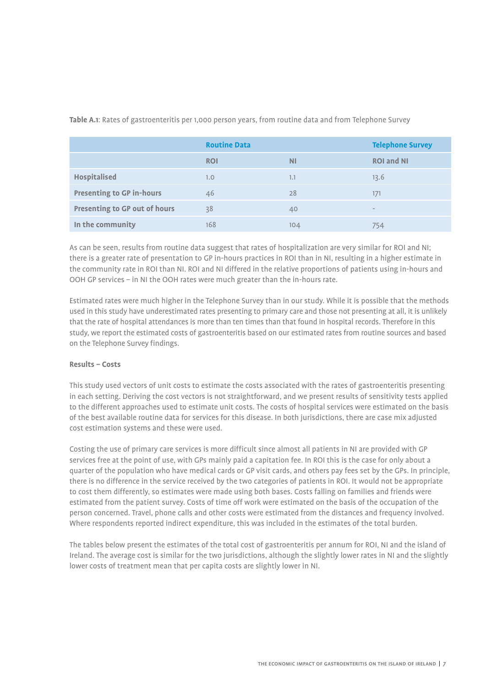|                                      | <b>Routine Data</b> |           | <b>Telephone Survey</b> |
|--------------------------------------|---------------------|-----------|-------------------------|
|                                      | <b>ROI</b>          | <b>NI</b> | <b>ROI and NI</b>       |
| <b>Hospitalised</b>                  | 1.0                 | 1.1       | 13.6                    |
| <b>Presenting to GP in-hours</b>     | 46                  | 28        | 171                     |
| <b>Presenting to GP out of hours</b> | 38                  | 40        | $\qquad \qquad$         |
| In the community                     | 168                 | 104       | 754                     |

**Table A.1**: Rates of gastroenteritis per 1,000 person years, from routine data and from Telephone Survey

As can be seen, results from routine data suggest that rates of hospitalization are very similar for ROI and NI; there is a greater rate of presentation to GP in-hours practices in ROI than in NI, resulting in a higher estimate in the community rate in ROI than NI. ROI and NI differed in the relative proportions of patients using in-hours and OOH GP services – in NI the OOH rates were much greater than the in-hours rate.

Estimated rates were much higher in the Telephone Survey than in our study. While it is possible that the methods used in this study have underestimated rates presenting to primary care and those not presenting at all, it is unlikely that the rate of hospital attendances is more than ten times than that found in hospital records. Therefore in this study, we report the estimated costs of gastroenteritis based on our estimated rates from routine sources and based on the Telephone Survey findings.

#### **Results – Costs**

This study used vectors of unit costs to estimate the costs associated with the rates of gastroenteritis presenting in each setting. Deriving the cost vectors is not straightforward, and we present results of sensitivity tests applied to the different approaches used to estimate unit costs. The costs of hospital services were estimated on the basis of the best available routine data for services for this disease. In both jurisdictions, there are case mix adjusted cost estimation systems and these were used.

Costing the use of primary care services is more difficult since almost all patients in NI are provided with GP services free at the point of use, with GPs mainly paid a capitation fee. In ROI this is the case for only about a quarter of the population who have medical cards or GP visit cards, and others pay fees set by the GPs. In principle, there is no difference in the service received by the two categories of patients in ROI. It would not be appropriate to cost them differently, so estimates were made using both bases. Costs falling on families and friends were estimated from the patient survey. Costs of time off work were estimated on the basis of the occupation of the person concerned. Travel, phone calls and other costs were estimated from the distances and frequency involved. Where respondents reported indirect expenditure, this was included in the estimates of the total burden.

The tables below present the estimates of the total cost of gastroenteritis per annum for ROI, NI and the island of Ireland. The average cost is similar for the two jurisdictions, although the slightly lower rates in NI and the slightly lower costs of treatment mean that per capita costs are slightly lower in NI.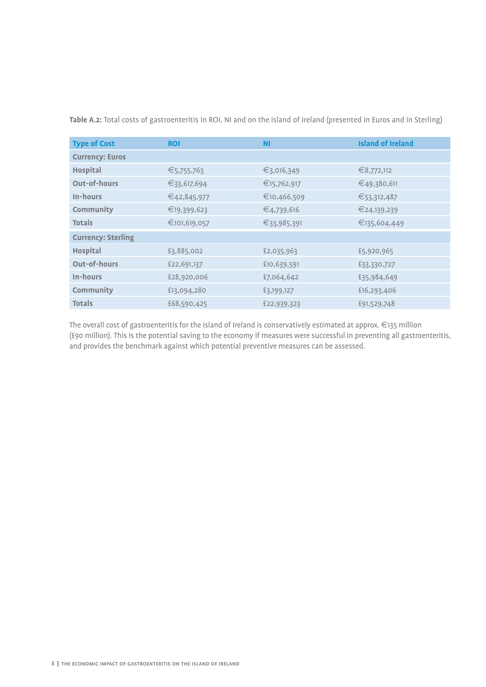| <b>Type of Cost</b>       | <b>ROI</b>   | <b>NI</b>   | <b>Island of Ireland</b> |
|---------------------------|--------------|-------------|--------------------------|
| <b>Currency: Euros</b>    |              |             |                          |
| <b>Hospital</b>           | €5,755,763   | €3,016,349  | €8,772,112               |
| <b>Out-of-hours</b>       | €33,617,694  | €15,762,917 | €49,380,611              |
| In-hours                  | €42,845,977  | €10,466,509 | €53,312,487              |
| Community                 | €19,399,623  | €4,739,616  | €24,139,239              |
| <b>Totals</b>             | €101,619,057 | €33,985,391 | €135,604,449             |
| <b>Currency: Sterling</b> |              |             |                          |
| <b>Hospital</b>           | £3,885,002   | £2,035,963  | £5,920,965               |
| <b>Out-of-hours</b>       | £22,691,137  | £10,639,591 | £33,330,727              |
| In-hours                  | £28,920,006  | £7,064,642  | £35,984,649              |
| Community                 | £13,094,280  | £3,199,127  | £16,293,406              |
| <b>Totals</b>             | £68,590,425  | £22,939,323 | £91,529,748              |

**Table A.2:** Total costs of gastroenteritis in ROI, NI and on the island of Ireland (presented in Euros and in Sterling)

The overall cost of gastroenteritis for the island of Ireland is conservatively estimated at approx. €135 million (£90 million). This is the potential saving to the economy if measures were successful in preventing all gastroenteritis, and provides the benchmark against which potential preventive measures can be assessed.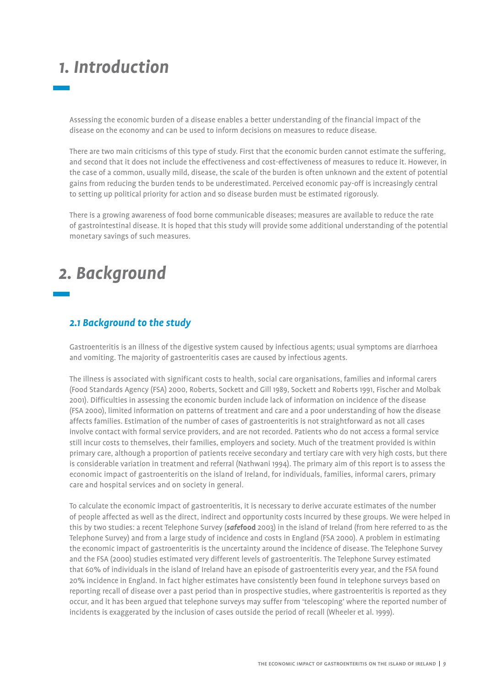## *1. Introduction*

Assessing the economic burden of a disease enables a better understanding of the financial impact of the disease on the economy and can be used to inform decisions on measures to reduce disease.

There are two main criticisms of this type of study. First that the economic burden cannot estimate the suffering, and second that it does not include the effectiveness and cost-effectiveness of measures to reduce it. However, in the case of a common, usually mild, disease, the scale of the burden is often unknown and the extent of potential gains from reducing the burden tends to be underestimated. Perceived economic pay-off is increasingly central to setting up political priority for action and so disease burden must be estimated rigorously.

There is a growing awareness of food borne communicable diseases; measures are available to reduce the rate of gastrointestinal disease. It is hoped that this study will provide some additional understanding of the potential monetary savings of such measures.

## *2. Background*

## *2.1 Background to the study*

Gastroenteritis is an illness of the digestive system caused by infectious agents; usual symptoms are diarrhoea and vomiting. The majority of gastroenteritis cases are caused by infectious agents.

The illness is associated with significant costs to health, social care organisations, families and informal carers (Food Standards Agency (FSA) 2000, Roberts, Sockett and Gill 1989, Sockett and Roberts 1991, Fischer and Molbak 2001). Difficulties in assessing the economic burden include lack of information on incidence of the disease (FSA 2000), limited information on patterns of treatment and care and a poor understanding of how the disease affects families. Estimation of the number of cases of gastroenteritis is not straightforward as not all cases involve contact with formal service providers, and are not recorded. Patients who do not access a formal service still incur costs to themselves, their families, employers and society. Much of the treatment provided is within primary care, although a proportion of patients receive secondary and tertiary care with very high costs, but there is considerable variation in treatment and referral (Nathwani 1994). The primary aim of this report is to assess the economic impact of gastroenteritis on the island of Ireland, for individuals, families, informal carers, primary care and hospital services and on society in general.

To calculate the economic impact of gastroenteritis, it is necessary to derive accurate estimates of the number of people affected as well as the direct, indirect and opportunity costs incurred by these groups. We were helped in this by two studies: a recent Telephone Survey (*safe***food** 2003) in the island of Ireland (from here referred to as the Telephone Survey) and from a large study of incidence and costs in England (FSA 2000). A problem in estimating the economic impact of gastroenteritis is the uncertainty around the incidence of disease. The Telephone Survey and the FSA (2000) studies estimated very different levels of gastroenteritis. The Telephone Survey estimated that 60% of individuals in the island of Ireland have an episode of gastroenteritis every year, and the FSA found 20% incidence in England. In fact higher estimates have consistently been found in telephone surveys based on reporting recall of disease over a past period than in prospective studies, where gastroenteritis is reported as they occur, and it has been argued that telephone surveys may suffer from 'telescoping' where the reported number of incidents is exaggerated by the inclusion of cases outside the period of recall (Wheeler et al. 1999).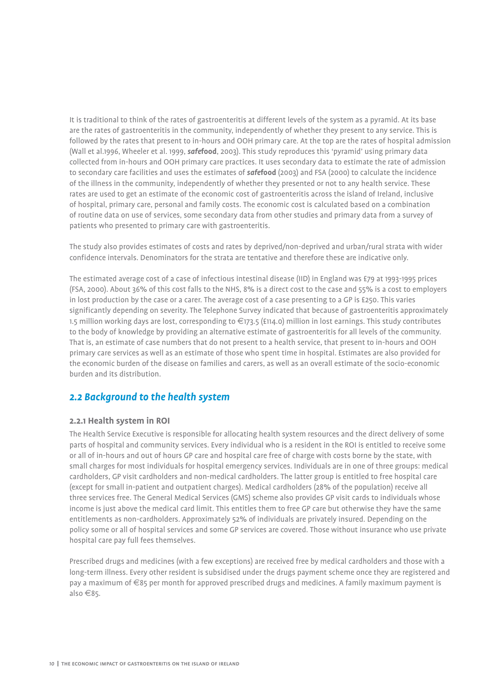It is traditional to think of the rates of gastroenteritis at different levels of the system as a pyramid. At its base are the rates of gastroenteritis in the community, independently of whether they present to any service. This is followed by the rates that present to in-hours and OOH primary care. At the top are the rates of hospital admission (Wall et al.1996, Wheeler et al. 1999, *safe***food**, 2003). This study reproduces this 'pyramid' using primary data collected from in-hours and OOH primary care practices. It uses secondary data to estimate the rate of admission to secondary care facilities and uses the estimates of *safe***food** (2003) and FSA (2000) to calculate the incidence of the illness in the community, independently of whether they presented or not to any health service. These rates are used to get an estimate of the economic cost of gastroenteritis across the island of Ireland, inclusive of hospital, primary care, personal and family costs. The economic cost is calculated based on a combination of routine data on use of services, some secondary data from other studies and primary data from a survey of patients who presented to primary care with gastroenteritis.

The study also provides estimates of costs and rates by deprived/non-deprived and urban/rural strata with wider confidence intervals. Denominators for the strata are tentative and therefore these are indicative only.

The estimated average cost of a case of infectious intestinal disease (IID) in England was £79 at 1993-1995 prices (FSA, 2000). About 36% of this cost falls to the NHS, 8% is a direct cost to the case and 55% is a cost to employers in lost production by the case or a carer. The average cost of a case presenting to a GP is £250. This varies significantly depending on severity. The Telephone Survey indicated that because of gastroenteritis approximately 1.5 million working days are lost, corresponding to €173.5 (£114.0) million in lost earnings. This study contributes to the body of knowledge by providing an alternative estimate of gastroenteritis for all levels of the community. That is, an estimate of case numbers that do not present to a health service, that present to in-hours and OOH primary care services as well as an estimate of those who spent time in hospital. Estimates are also provided for the economic burden of the disease on families and carers, as well as an overall estimate of the socio-economic burden and its distribution.

## *2.2 Background to the health system*

## **2.2.1 Health system in ROI**

The Health Service Executive is responsible for allocating health system resources and the direct delivery of some parts of hospital and community services. Every individual who is a resident in the ROI is entitled to receive some or all of in-hours and out of hours GP care and hospital care free of charge with costs borne by the state, with small charges for most individuals for hospital emergency services. Individuals are in one of three groups: medical cardholders, GP visit cardholders and non-medical cardholders. The latter group is entitled to free hospital care (except for small in-patient and outpatient charges). Medical cardholders (28% of the population) receive all three services free. The General Medical Services (GMS) scheme also provides GP visit cards to individuals whose income is just above the medical card limit. This entitles them to free GP care but otherwise they have the same entitlements as non-cardholders. Approximately 52% of individuals are privately insured. Depending on the policy some or all of hospital services and some GP services are covered. Those without insurance who use private hospital care pay full fees themselves.

Prescribed drugs and medicines (with a few exceptions) are received free by medical cardholders and those with a long-term illness. Every other resident is subsidised under the drugs payment scheme once they are registered and pay a maximum of €85 per month for approved prescribed drugs and medicines. A family maximum payment is also €85.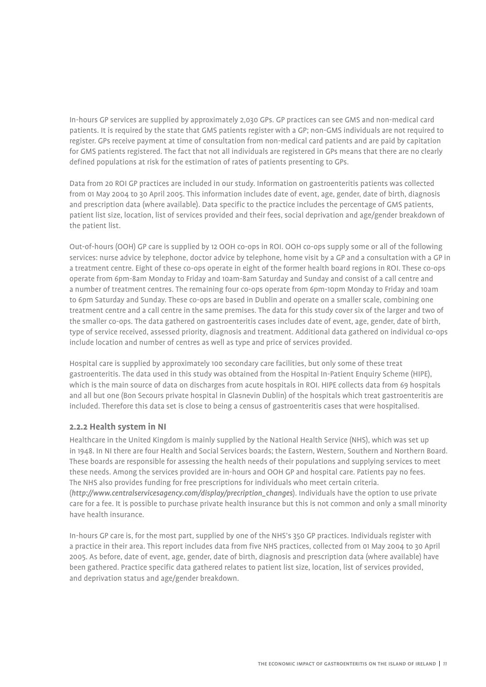In-hours GP services are supplied by approximately 2,030 GPs. GP practices can see GMS and non-medical card patients. It is required by the state that GMS patients register with a GP; non-GMS individuals are not required to register. GPs receive payment at time of consultation from non-medical card patients and are paid by capitation for GMS patients registered. The fact that not all individuals are registered in GPs means that there are no clearly defined populations at risk for the estimation of rates of patients presenting to GPs.

Data from 20 ROI GP practices are included in our study. Information on gastroenteritis patients was collected from 01 May 2004 to 30 April 2005. This information includes date of event, age, gender, date of birth, diagnosis and prescription data (where available). Data specific to the practice includes the percentage of GMS patients, patient list size, location, list of services provided and their fees, social deprivation and age/gender breakdown of the patient list.

Out-of-hours (OOH) GP care is supplied by 12 OOH co-ops in ROI. OOH co-ops supply some or all of the following services: nurse advice by telephone, doctor advice by telephone, home visit by a GP and a consultation with a GP in a treatment centre. Eight of these co-ops operate in eight of the former health board regions in ROI. These co-ops operate from 6pm-8am Monday to Friday and 10am-8am Saturday and Sunday and consist of a call centre and a number of treatment centres. The remaining four co-ops operate from 6pm-10pm Monday to Friday and 10am to 6pm Saturday and Sunday. These co-ops are based in Dublin and operate on a smaller scale, combining one treatment centre and a call centre in the same premises. The data for this study cover six of the larger and two of the smaller co-ops. The data gathered on gastroenteritis cases includes date of event, age, gender, date of birth, type of service received, assessed priority, diagnosis and treatment. Additional data gathered on individual co-ops include location and number of centres as well as type and price of services provided.

Hospital care is supplied by approximately 100 secondary care facilities, but only some of these treat gastroenteritis. The data used in this study was obtained from the Hospital In-Patient Enquiry Scheme (HIPE), which is the main source of data on discharges from acute hospitals in ROI. HIPE collects data from 69 hospitals and all but one (Bon Secours private hospital in Glasnevin Dublin) of the hospitals which treat gastroenteritis are included. Therefore this data set is close to being a census of gastroenteritis cases that were hospitalised.

## **2.2.2 Health system in NI**

Healthcare in the United Kingdom is mainly supplied by the National Health Service (NHS), which was set up in 1948. In NI there are four Health and Social Services boards; the Eastern, Western, Southern and Northern Board. These boards are responsible for assessing the health needs of their populations and supplying services to meet these needs. Among the services provided are in-hours and OOH GP and hospital care. Patients pay no fees. The NHS also provides funding for free prescriptions for individuals who meet certain criteria. (*http://www.centralservicesagency.com/display/precription\_changes*). Individuals have the option to use private care for a fee. It is possible to purchase private health insurance but this is not common and only a small minority have health insurance.

In-hours GP care is, for the most part, supplied by one of the NHS's 350 GP practices. Individuals register with a practice in their area. This report includes data from five NHS practices, collected from 01 May 2004 to 30 April 2005. As before, date of event, age, gender, date of birth, diagnosis and prescription data (where available) have been gathered. Practice specific data gathered relates to patient list size, location, list of services provided, and deprivation status and age/gender breakdown.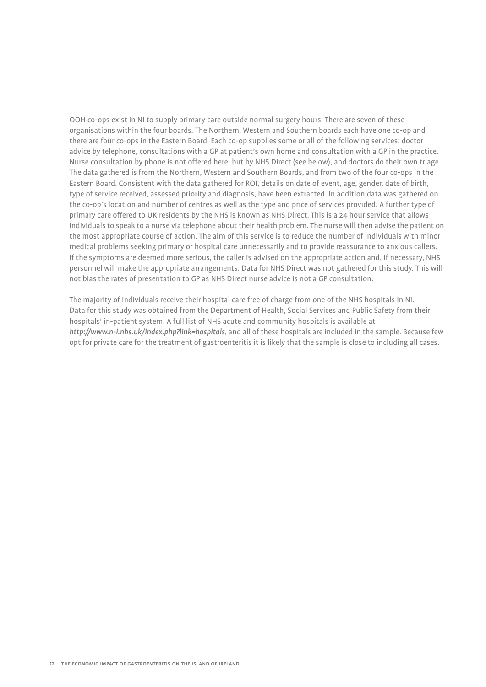OOH co-ops exist in NI to supply primary care outside normal surgery hours. There are seven of these organisations within the four boards. The Northern, Western and Southern boards each have one co-op and there are four co-ops in the Eastern Board. Each co-op supplies some or all of the following services: doctor advice by telephone, consultations with a GP at patient's own home and consultation with a GP in the practice. Nurse consultation by phone is not offered here, but by NHS Direct (see below), and doctors do their own triage. The data gathered is from the Northern, Western and Southern Boards, and from two of the four co-ops in the Eastern Board. Consistent with the data gathered for ROI, details on date of event, age, gender, date of birth, type of service received, assessed priority and diagnosis, have been extracted. In addition data was gathered on the co-op's location and number of centres as well as the type and price of services provided. A further type of primary care offered to UK residents by the NHS is known as NHS Direct. This is a 24 hour service that allows individuals to speak to a nurse via telephone about their health problem. The nurse will then advise the patient on the most appropriate course of action. The aim of this service is to reduce the number of individuals with minor medical problems seeking primary or hospital care unnecessarily and to provide reassurance to anxious callers. If the symptoms are deemed more serious, the caller is advised on the appropriate action and, if necessary, NHS personnel will make the appropriate arrangements. Data for NHS Direct was not gathered for this study. This will not bias the rates of presentation to GP as NHS Direct nurse advice is not a GP consultation.

The majority of individuals receive their hospital care free of charge from one of the NHS hospitals in NI. Data for this study was obtained from the Department of Health, Social Services and Public Safety from their hospitals' in-patient system. A full list of NHS acute and community hospitals is available at *http://www.n-i.nhs.uk/index.php?link=hospitals*, and all of these hospitals are included in the sample. Because few opt for private care for the treatment of gastroenteritis it is likely that the sample is close to including all cases.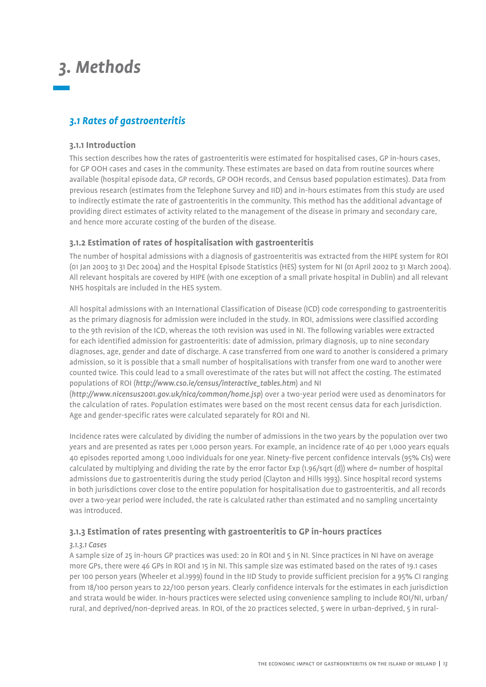## *3. Methods*

## *3.1 Rates of gastroenteritis*

## **3.1.1 Introduction**

This section describes how the rates of gastroenteritis were estimated for hospitalised cases, GP in-hours cases, for GP OOH cases and cases in the community. These estimates are based on data from routine sources where available (hospital episode data, GP records, GP OOH records, and Census based population estimates). Data from previous research (estimates from the Telephone Survey and IID) and in-hours estimates from this study are used to indirectly estimate the rate of gastroenteritis in the community. This method has the additional advantage of providing direct estimates of activity related to the management of the disease in primary and secondary care, and hence more accurate costing of the burden of the disease.

## **3.1.2 Estimation of rates of hospitalisation with gastroenteritis**

The number of hospital admissions with a diagnosis of gastroenteritis was extracted from the HIPE system for ROI (01 Jan 2003 to 31 Dec 2004) and the Hospital Episode Statistics (HES) system for NI (01 April 2002 to 31 March 2004). All relevant hospitals are covered by HIPE (with one exception of a small private hospital in Dublin) and all relevant NHS hospitals are included in the HES system.

All hospital admissions with an International Classification of Disease (ICD) code corresponding to gastroenteritis as the primary diagnosis for admission were included in the study. In ROI, admissions were classified according to the 9th revision of the ICD, whereas the 10th revision was used in NI. The following variables were extracted for each identified admission for gastroenteritis: date of admission, primary diagnosis, up to nine secondary diagnoses, age, gender and date of discharge. A case transferred from one ward to another is considered a primary admission, so it is possible that a small number of hospitalisations with transfer from one ward to another were counted twice. This could lead to a small overestimate of the rates but will not affect the costing. The estimated populations of ROI (*http://www.cso.ie/census/interactive\_tables.htm*) and NI

(*http://www.nicensus2001.gov.uk/nica/common/home.jsp*) over a two-year period were used as denominators for the calculation of rates. Population estimates were based on the most recent census data for each jurisdiction. Age and gender-specific rates were calculated separately for ROI and NI.

Incidence rates were calculated by dividing the number of admissions in the two years by the population over two years and are presented as rates per 1,000 person years. For example, an incidence rate of 40 per 1,000 years equals 40 episodes reported among 1,000 individuals for one year. Ninety-five percent confidence intervals (95% CIs) were calculated by multiplying and dividing the rate by the error factor Exp (1.96/sqrt (d)) where d= number of hospital admissions due to gastroenteritis during the study period (Clayton and Hills 1993). Since hospital record systems in both jurisdictions cover close to the entire population for hospitalisation due to gastroenteritis, and all records over a two-year period were included, the rate is calculated rather than estimated and no sampling uncertainty was introduced.

## **3.1.3 Estimation of rates presenting with gastroenteritis to GP in-hours practices**

## *3.1.3.1 Cases*

A sample size of 25 in-hours GP practices was used: 20 in ROI and 5 in NI. Since practices in NI have on average more GPs, there were 46 GPs in ROI and 15 in NI. This sample size was estimated based on the rates of 19.1 cases per 100 person years (Wheeler et al.1999) found in the IID Study to provide sufficient precision for a 95% CI ranging from 18/100 person years to 22/100 person years. Clearly confidence intervals for the estimates in each jurisdiction and strata would be wider. In-hours practices were selected using convenience sampling to include ROI/NI, urban/ rural, and deprived/non-deprived areas. In ROI, of the 20 practices selected, 5 were in urban-deprived, 5 in rural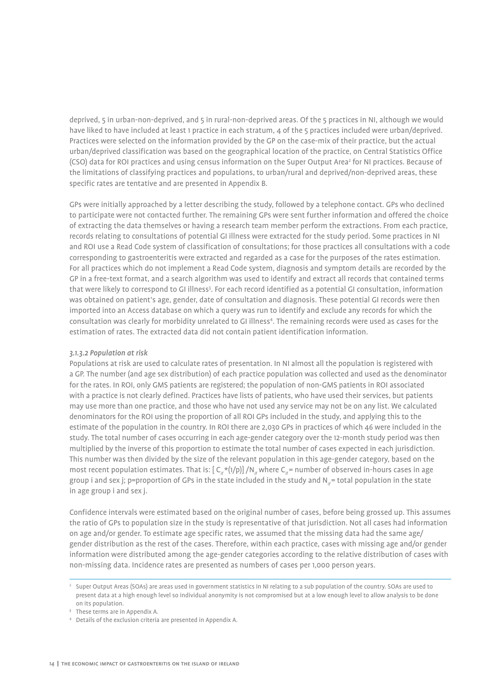deprived, 5 in urban-non-deprived, and 5 in rural-non-deprived areas. Of the 5 practices in NI, although we would have liked to have included at least 1 practice in each stratum, 4 of the 5 practices included were urban/deprived. Practices were selected on the information provided by the GP on the case-mix of their practice, but the actual urban/deprived classification was based on the geographical location of the practice, on Central Statistics Office (CSO) data for ROI practices and using census information on the Super Output Area<sup>2</sup> for NI practices. Because of the limitations of classifying practices and populations, to urban/rural and deprived/non-deprived areas, these specific rates are tentative and are presented in Appendix B.

GPs were initially approached by a letter describing the study, followed by a telephone contact. GPs who declined to participate were not contacted further. The remaining GPs were sent further information and offered the choice of extracting the data themselves or having a research team member perform the extractions. From each practice, records relating to consultations of potential GI illness were extracted for the study period. Some practices in NI and ROI use a Read Code system of classification of consultations; for those practices all consultations with a code corresponding to gastroenteritis were extracted and regarded as a case for the purposes of the rates estimation. For all practices which do not implement a Read Code system, diagnosis and symptom details are recorded by the GP in a free-text format, and a search algorithm was used to identify and extract all records that contained terms that were likely to correspond to GI illness<sup>3</sup>. For each record identified as a potential GI consultation, information was obtained on patient's age, gender, date of consultation and diagnosis. These potential GI records were then imported into an Access database on which a query was run to identify and exclude any records for which the consultation was clearly for morbidity unrelated to GI illness<sup>4</sup>. The remaining records were used as cases for the estimation of rates. The extracted data did not contain patient identification information.

#### *3.1.3.2 Population at risk*

Populations at risk are used to calculate rates of presentation. In NI almost all the population is registered with a GP. The number (and age sex distribution) of each practice population was collected and used as the denominator for the rates. In ROI, only GMS patients are registered; the population of non-GMS patients in ROI associated with a practice is not clearly defined. Practices have lists of patients, who have used their services, but patients may use more than one practice, and those who have not used any service may not be on any list. We calculated denominators for the ROI using the proportion of all ROI GPs included in the study, and applying this to the estimate of the population in the country. In ROI there are 2,030 GPs in practices of which 46 were included in the study. The total number of cases occurring in each age-gender category over the 12-month study period was then multiplied by the inverse of this proportion to estimate the total number of cases expected in each jurisdiction. This number was then divided by the size of the relevant population in this age-gender category, based on the most recent population estimates. That is:  $[C_{\alpha}*(1/p)]/N_{\alpha}$  where  $C_{\alpha}$  = number of observed in-hours cases in age group i and sex j; p=proportion of GPs in the state included in the study and N<sub>ie</sub> = total population in the state in age group i and sex j.

Confidence intervals were estimated based on the original number of cases, before being grossed up. This assumes the ratio of GPs to population size in the study is representative of that jurisdiction. Not all cases had information on age and/or gender. To estimate age specific rates, we assumed that the missing data had the same age/ gender distribution as the rest of the cases. Therefore, within each practice, cases with missing age and/or gender information were distributed among the age-gender categories according to the relative distribution of cases with non-missing data. Incidence rates are presented as numbers of cases per 1,000 person years.

<sup>&</sup>lt;sup>2</sup> Super Output Areas (SOAs) are areas used in government statistics in NI relating to a sub population of the country. SOAs are used to present data at a high enough level so individual anonymity is not compromised but at a low enough level to allow analysis to be done on its population.

<sup>&</sup>lt;sup>3</sup> These terms are in Appendix A.

<sup>4</sup> Details of the exclusion criteria are presented in Appendix A.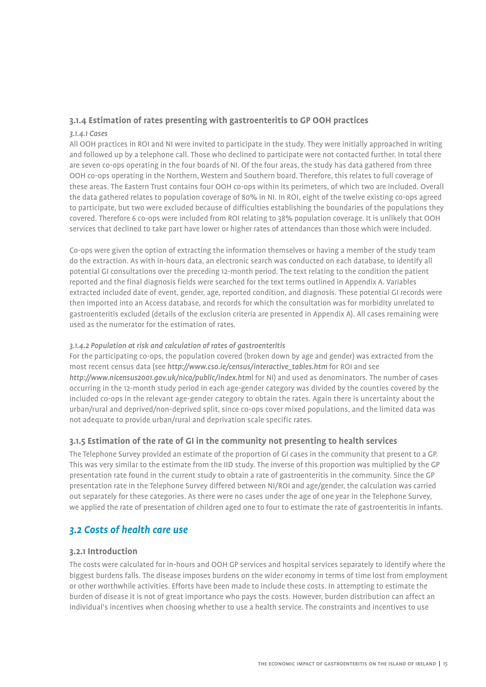## **3.1.4 Estimation of rates presenting with gastroenteritis to GP OOH practices**

#### *3.1.4.1 Cases*

All OOH practices in ROI and NI were invited to participate in the study. They were initially approached in writing and followed up by a telephone call. Those who declined to participate were not contacted further. In total there are seven co-ops operating in the four boards of NI. Of the four areas, the study has data gathered from three OOH co-ops operating in the Northern, Western and Southern board. Therefore, this relates to full coverage of these areas. The Eastern Trust contains four OOH co-ops within its perimeters, of which two are included. Overall the data gathered relates to population coverage of 80% in NI. In ROI, eight of the twelve existing co-ops agreed to participate, but two were excluded because of difficulties establishing the boundaries of the populations they covered. Therefore 6 co-ops were included from ROI relating to 38% population coverage. It is unlikely that OOH services that declined to take part have lower or higher rates of attendances than those which were included.

Co-ops were given the option of extracting the information themselves or having a member of the study team do the extraction. As with in-hours data, an electronic search was conducted on each database, to identify all potential GI consultations over the preceding 12-month period. The text relating to the condition the patient reported and the final diagnosis fields were searched for the text terms outlined in Appendix A. Variables extracted included date of event, gender, age, reported condition, and diagnosis. These potential GI records were then imported into an Access database, and records for which the consultation was for morbidity unrelated to gastroenteritis excluded (details of the exclusion criteria are presented in Appendix A). All cases remaining were used as the numerator for the estimation of rates.

### *3.1.4.2 Population at risk and calculation of rates of gastroenteritis*

For the participating co-ops, the population covered (broken down by age and gender) was extracted from the most recent census data (see *http://www.cso.ie/census/interactive\_tables.htm* for ROI and see *http://www.nicensus2001.gov.uk/nica/public/index.htm*l for NI) and used as denominators. The number of cases occurring in the 12-month study period in each age-gender category was divided by the counties covered by the included co-ops in the relevant age-gender category to obtain the rates. Again there is uncertainty about the urban/rural and deprived/non-deprived split, since co-ops cover mixed populations, and the limited data was not adequate to provide urban/rural and deprivation scale specific rates.

## **3.1.5 Estimation of the rate of GI in the community not presenting to health services**

The Telephone Survey provided an estimate of the proportion of GI cases in the community that present to a GP. This was very similar to the estimate from the IID study. The inverse of this proportion was multiplied by the GP presentation rate found in the current study to obtain a rate of gastroenteritis in the community. Since the GP presentation rate in the Telephone Survey differed between NI/ROI and age/gender, the calculation was carried out separately for these categories. As there were no cases under the age of one year in the Telephone Survey, we applied the rate of presentation of children aged one to four to estimate the rate of gastroenteritis in infants.

## *3.2 Costs of health care use*

## **3.2.1 Introduction**

The costs were calculated for in-hours and OOH GP services and hospital services separately to identify where the biggest burdens falls. The disease imposes burdens on the wider economy in terms of time lost from employment or other worthwhile activities. Efforts have been made to include these costs. In attempting to estimate the burden of disease it is not of great importance who pays the costs. However, burden distribution can affect an individual's incentives when choosing whether to use a health service. The constraints and incentives to use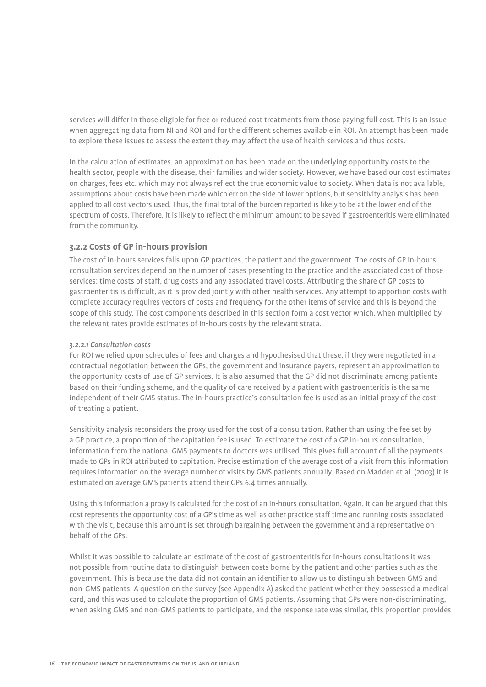services will differ in those eligible for free or reduced cost treatments from those paying full cost. This is an issue when aggregating data from NI and ROI and for the different schemes available in ROI. An attempt has been made to explore these issues to assess the extent they may affect the use of health services and thus costs.

In the calculation of estimates, an approximation has been made on the underlying opportunity costs to the health sector, people with the disease, their families and wider society. However, we have based our cost estimates on charges, fees etc. which may not always reflect the true economic value to society. When data is not available, assumptions about costs have been made which err on the side of lower options, but sensitivity analysis has been applied to all cost vectors used. Thus, the final total of the burden reported is likely to be at the lower end of the spectrum of costs. Therefore, it is likely to reflect the minimum amount to be saved if gastroenteritis were eliminated from the community.

## **3.2.2 Costs of GP in-hours provision**

The cost of in-hours services falls upon GP practices, the patient and the government. The costs of GP in-hours consultation services depend on the number of cases presenting to the practice and the associated cost of those services: time costs of staff, drug costs and any associated travel costs. Attributing the share of GP costs to gastroenteritis is difficult, as it is provided jointly with other health services. Any attempt to apportion costs with complete accuracy requires vectors of costs and frequency for the other items of service and this is beyond the scope of this study. The cost components described in this section form a cost vector which, when multiplied by the relevant rates provide estimates of in-hours costs by the relevant strata.

### *3.2.2.1 Consultation costs*

For ROI we relied upon schedules of fees and charges and hypothesised that these, if they were negotiated in a contractual negotiation between the GPs, the government and insurance payers, represent an approximation to the opportunity costs of use of GP services. It is also assumed that the GP did not discriminate among patients based on their funding scheme, and the quality of care received by a patient with gastroenteritis is the same independent of their GMS status. The in-hours practice's consultation fee is used as an initial proxy of the cost of treating a patient.

Sensitivity analysis reconsiders the proxy used for the cost of a consultation. Rather than using the fee set by a GP practice, a proportion of the capitation fee is used. To estimate the cost of a GP in-hours consultation, information from the national GMS payments to doctors was utilised. This gives full account of all the payments made to GPs in ROI attributed to capitation. Precise estimation of the average cost of a visit from this information requires information on the average number of visits by GMS patients annually. Based on Madden et al. (2003) it is estimated on average GMS patients attend their GPs 6.4 times annually.

Using this information a proxy is calculated for the cost of an in-hours consultation. Again, it can be argued that this cost represents the opportunity cost of a GP's time as well as other practice staff time and running costs associated with the visit, because this amount is set through bargaining between the government and a representative on behalf of the GPs.

Whilst it was possible to calculate an estimate of the cost of gastroenteritis for in-hours consultations it was not possible from routine data to distinguish between costs borne by the patient and other parties such as the government. This is because the data did not contain an identifier to allow us to distinguish between GMS and non-GMS patients. A question on the survey (see Appendix A) asked the patient whether they possessed a medical card, and this was used to calculate the proportion of GMS patients. Assuming that GPs were non-discriminating, when asking GMS and non-GMS patients to participate, and the response rate was similar, this proportion provides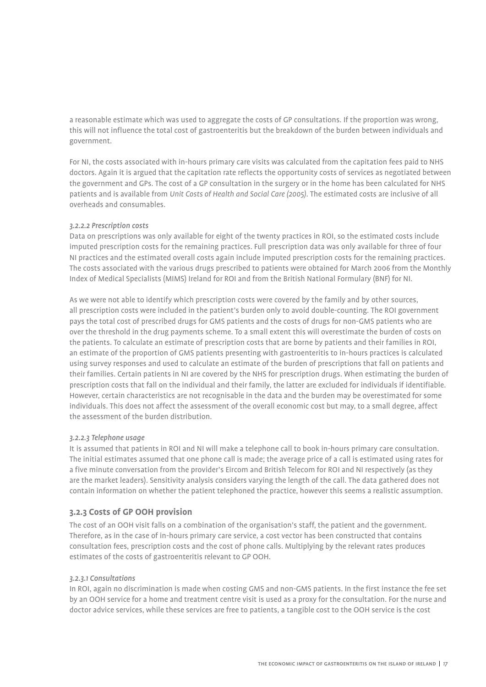a reasonable estimate which was used to aggregate the costs of GP consultations. If the proportion was wrong, this will not influence the total cost of gastroenteritis but the breakdown of the burden between individuals and government.

For NI, the costs associated with in-hours primary care visits was calculated from the capitation fees paid to NHS doctors. Again it is argued that the capitation rate reflects the opportunity costs of services as negotiated between the government and GPs. The cost of a GP consultation in the surgery or in the home has been calculated for NHS patients and is available from *Unit Costs of Health and Social Care (2005)*. The estimated costs are inclusive of all overheads and consumables.

### *3.2.2.2 Prescription costs*

Data on prescriptions was only available for eight of the twenty practices in ROI, so the estimated costs include imputed prescription costs for the remaining practices. Full prescription data was only available for three of four NI practices and the estimated overall costs again include imputed prescription costs for the remaining practices. The costs associated with the various drugs prescribed to patients were obtained for March 2006 from the Monthly Index of Medical Specialists (MIMS) Ireland for ROI and from the British National Formulary (BNF) for NI.

As we were not able to identify which prescription costs were covered by the family and by other sources, all prescription costs were included in the patient's burden only to avoid double-counting. The ROI government pays the total cost of prescribed drugs for GMS patients and the costs of drugs for non-GMS patients who are over the threshold in the drug payments scheme. To a small extent this will overestimate the burden of costs on the patients. To calculate an estimate of prescription costs that are borne by patients and their families in ROI, an estimate of the proportion of GMS patients presenting with gastroenteritis to in-hours practices is calculated using survey responses and used to calculate an estimate of the burden of prescriptions that fall on patients and their families. Certain patients in NI are covered by the NHS for prescription drugs. When estimating the burden of prescription costs that fall on the individual and their family, the latter are excluded for individuals if identifiable. However, certain characteristics are not recognisable in the data and the burden may be overestimated for some individuals. This does not affect the assessment of the overall economic cost but may, to a small degree, affect the assessment of the burden distribution.

#### *3.2.2.3 Telephone usage*

It is assumed that patients in ROI and NI will make a telephone call to book in-hours primary care consultation. The initial estimates assumed that one phone call is made; the average price of a call is estimated using rates for a five minute conversation from the provider's Eircom and British Telecom for ROI and NI respectively (as they are the market leaders). Sensitivity analysis considers varying the length of the call. The data gathered does not contain information on whether the patient telephoned the practice, however this seems a realistic assumption.

## **3.2.3 Costs of GP OOH provision**

The cost of an OOH visit falls on a combination of the organisation's staff, the patient and the government. Therefore, as in the case of in-hours primary care service, a cost vector has been constructed that contains consultation fees, prescription costs and the cost of phone calls. Multiplying by the relevant rates produces estimates of the costs of gastroenteritis relevant to GP OOH.

#### *3.2.3.1 Consultations*

In ROI, again no discrimination is made when costing GMS and non-GMS patients. In the first instance the fee set by an OOH service for a home and treatment centre visit is used as a proxy for the consultation. For the nurse and doctor advice services, while these services are free to patients, a tangible cost to the OOH service is the cost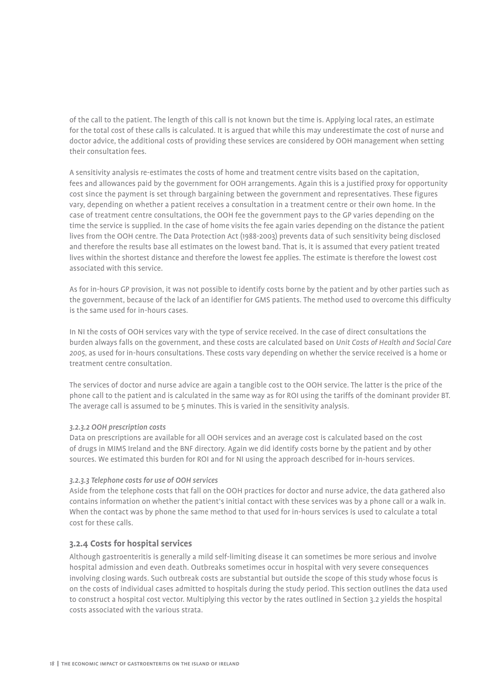of the call to the patient. The length of this call is not known but the time is. Applying local rates, an estimate for the total cost of these calls is calculated. It is argued that while this may underestimate the cost of nurse and doctor advice, the additional costs of providing these services are considered by OOH management when setting their consultation fees.

A sensitivity analysis re-estimates the costs of home and treatment centre visits based on the capitation, fees and allowances paid by the government for OOH arrangements. Again this is a justified proxy for opportunity cost since the payment is set through bargaining between the government and representatives. These figures vary, depending on whether a patient receives a consultation in a treatment centre or their own home. In the case of treatment centre consultations, the OOH fee the government pays to the GP varies depending on the time the service is supplied. In the case of home visits the fee again varies depending on the distance the patient lives from the OOH centre. The Data Protection Act (1988-2003) prevents data of such sensitivity being disclosed and therefore the results base all estimates on the lowest band. That is, it is assumed that every patient treated lives within the shortest distance and therefore the lowest fee applies. The estimate is therefore the lowest cost associated with this service.

As for in-hours GP provision, it was not possible to identify costs borne by the patient and by other parties such as the government, because of the lack of an identifier for GMS patients. The method used to overcome this difficulty is the same used for in-hours cases.

In NI the costs of OOH services vary with the type of service received. In the case of direct consultations the burden always falls on the government, and these costs are calculated based on *Unit Costs of Health and Social Care 2005*, as used for in-hours consultations. These costs vary depending on whether the service received is a home or treatment centre consultation.

The services of doctor and nurse advice are again a tangible cost to the OOH service. The latter is the price of the phone call to the patient and is calculated in the same way as for ROI using the tariffs of the dominant provider BT. The average call is assumed to be 5 minutes. This is varied in the sensitivity analysis.

#### *3.2.3.2 OOH prescription costs*

Data on prescriptions are available for all OOH services and an average cost is calculated based on the cost of drugs in MIMS Ireland and the BNF directory. Again we did identify costs borne by the patient and by other sources. We estimated this burden for ROI and for NI using the approach described for in-hours services.

#### *3.2.3.3 Telephone costs for use of OOH services*

Aside from the telephone costs that fall on the OOH practices for doctor and nurse advice, the data gathered also contains information on whether the patient's initial contact with these services was by a phone call or a walk in. When the contact was by phone the same method to that used for in-hours services is used to calculate a total cost for these calls.

## **3.2.4 Costs for hospital services**

Although gastroenteritis is generally a mild self-limiting disease it can sometimes be more serious and involve hospital admission and even death. Outbreaks sometimes occur in hospital with very severe consequences involving closing wards. Such outbreak costs are substantial but outside the scope of this study whose focus is on the costs of individual cases admitted to hospitals during the study period. This section outlines the data used to construct a hospital cost vector. Multiplying this vector by the rates outlined in Section 3.2 yields the hospital costs associated with the various strata.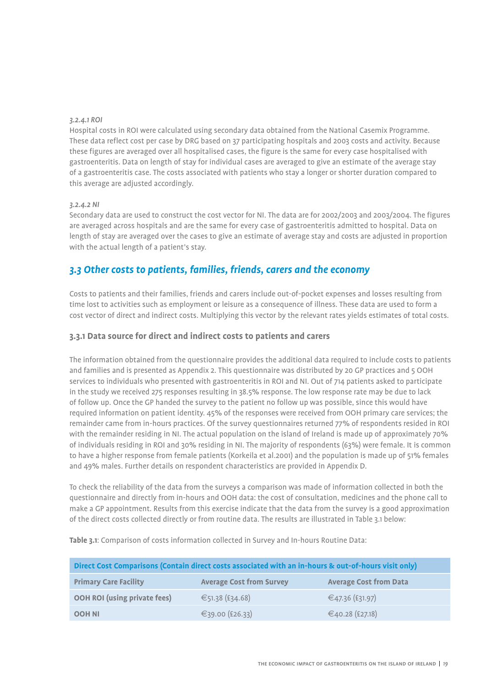### *3.2.4.1 ROI*

Hospital costs in ROI were calculated using secondary data obtained from the National Casemix Programme. These data reflect cost per case by DRG based on 37 participating hospitals and 2003 costs and activity. Because these figures are averaged over all hospitalised cases, the figure is the same for every case hospitalised with gastroenteritis. Data on length of stay for individual cases are averaged to give an estimate of the average stay of a gastroenteritis case. The costs associated with patients who stay a longer or shorter duration compared to this average are adjusted accordingly.

### *3.2.4.2 NI*

Secondary data are used to construct the cost vector for NI. The data are for 2002/2003 and 2003/2004. The figures are averaged across hospitals and are the same for every case of gastroenteritis admitted to hospital. Data on length of stay are averaged over the cases to give an estimate of average stay and costs are adjusted in proportion with the actual length of a patient's stay.

## *3.3 Other costs to patients, families, friends, carers and the economy*

Costs to patients and their families, friends and carers include out-of-pocket expenses and losses resulting from time lost to activities such as employment or leisure as a consequence of illness. These data are used to form a cost vector of direct and indirect costs. Multiplying this vector by the relevant rates yields estimates of total costs.

## **3.3.1 Data source for direct and indirect costs to patients and carers**

The information obtained from the questionnaire provides the additional data required to include costs to patients and families and is presented as Appendix 2. This questionnaire was distributed by 20 GP practices and 5 OOH services to individuals who presented with gastroenteritis in ROI and NI. Out of 714 patients asked to participate in the study we received 275 responses resulting in 38.5% response. The low response rate may be due to lack of follow up. Once the GP handed the survey to the patient no follow up was possible, since this would have required information on patient identity. 45% of the responses were received from OOH primary care services; the remainder came from in-hours practices. Of the survey questionnaires returned 77% of respondents resided in ROI with the remainder residing in NI. The actual population on the island of Ireland is made up of approximately 70% of individuals residing in ROI and 30% residing in NI. The majority of respondents (63%) were female. It is common to have a higher response from female patients (Korkeila et al.2001) and the population is made up of 51% females and 49% males. Further details on respondent characteristics are provided in Appendix D.

To check the reliability of the data from the surveys a comparison was made of information collected in both the questionnaire and directly from in-hours and OOH data: the cost of consultation, medicines and the phone call to make a GP appointment. Results from this exercise indicate that the data from the survey is a good approximation of the direct costs collected directly or from routine data. The results are illustrated in Table 3.1 below:

**Table 3.1**: Comparison of costs information collected in Survey and In-hours Routine Data:

| Direct Cost Comparisons (Contain direct costs associated with an in-hours & out-of-hours visit only) |                                 |                               |  |  |  |
|------------------------------------------------------------------------------------------------------|---------------------------------|-------------------------------|--|--|--|
| <b>Primary Care Facility</b>                                                                         | <b>Average Cost from Survey</b> | <b>Average Cost from Data</b> |  |  |  |
| <b>OOH ROI (using private fees)</b>                                                                  | €51.38 (£34.68)                 | €47.36 (£31.97)               |  |  |  |
| <b>OOH NI</b>                                                                                        | €39.00 (£26.33)                 | €40.28 (£27.18)               |  |  |  |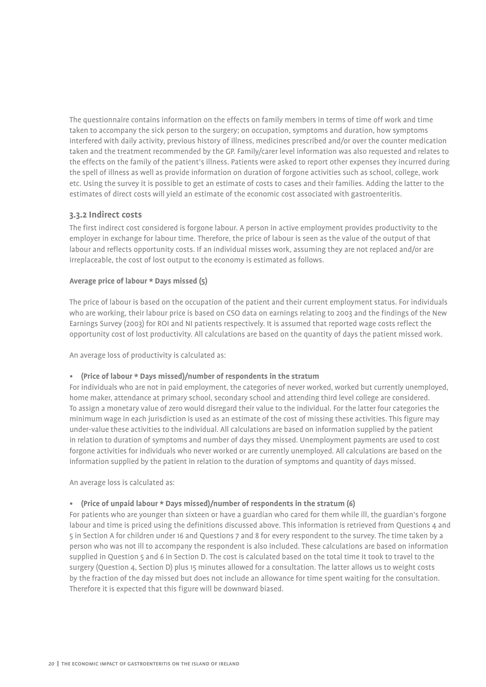The questionnaire contains information on the effects on family members in terms of time off work and time taken to accompany the sick person to the surgery; on occupation, symptoms and duration, how symptoms interfered with daily activity, previous history of illness, medicines prescribed and/or over the counter medication taken and the treatment recommended by the GP. Family/carer level information was also requested and relates to the effects on the family of the patient's illness. Patients were asked to report other expenses they incurred during the spell of illness as well as provide information on duration of forgone activities such as school, college, work etc. Using the survey it is possible to get an estimate of costs to cases and their families. Adding the latter to the estimates of direct costs will yield an estimate of the economic cost associated with gastroenteritis.

## **3.3.2 Indirect costs**

The first indirect cost considered is forgone labour. A person in active employment provides productivity to the employer in exchange for labour time. Therefore, the price of labour is seen as the value of the output of that labour and reflects opportunity costs. If an individual misses work, assuming they are not replaced and/or are irreplaceable, the cost of lost output to the economy is estimated as follows.

### **Average price of labour \* Days missed (5)**

The price of labour is based on the occupation of the patient and their current employment status. For individuals who are working, their labour price is based on CSO data on earnings relating to 2003 and the findings of the New Earnings Survey (2003) for ROI and NI patients respectively. It is assumed that reported wage costs reflect the opportunity cost of lost productivity. All calculations are based on the quantity of days the patient missed work.

An average loss of productivity is calculated as:

## *•*  **(Price of labour \* Days missed)/number of respondents in the stratum**

For individuals who are not in paid employment, the categories of never worked, worked but currently unemployed, home maker, attendance at primary school, secondary school and attending third level college are considered. To assign a monetary value of zero would disregard their value to the individual. For the latter four categories the minimum wage in each jurisdiction is used as an estimate of the cost of missing these activities. This figure may under-value these activities to the individual. All calculations are based on information supplied by the patient in relation to duration of symptoms and number of days they missed. Unemployment payments are used to cost forgone activities for individuals who never worked or are currently unemployed. All calculations are based on the information supplied by the patient in relation to the duration of symptoms and quantity of days missed.

An average loss is calculated as:

#### *•*  **(Price of unpaid labour \* Days missed)/number of respondents in the stratum (6)**

For patients who are younger than sixteen or have a guardian who cared for them while ill, the guardian's forgone labour and time is priced using the definitions discussed above. This information is retrieved from Questions 4 and 5 in Section A for children under 16 and Questions 7 and 8 for every respondent to the survey. The time taken by a person who was not ill to accompany the respondent is also included. These calculations are based on information supplied in Question 5 and 6 in Section D. The cost is calculated based on the total time it took to travel to the surgery (Question 4, Section D) plus 15 minutes allowed for a consultation. The latter allows us to weight costs by the fraction of the day missed but does not include an allowance for time spent waiting for the consultation. Therefore it is expected that this figure will be downward biased.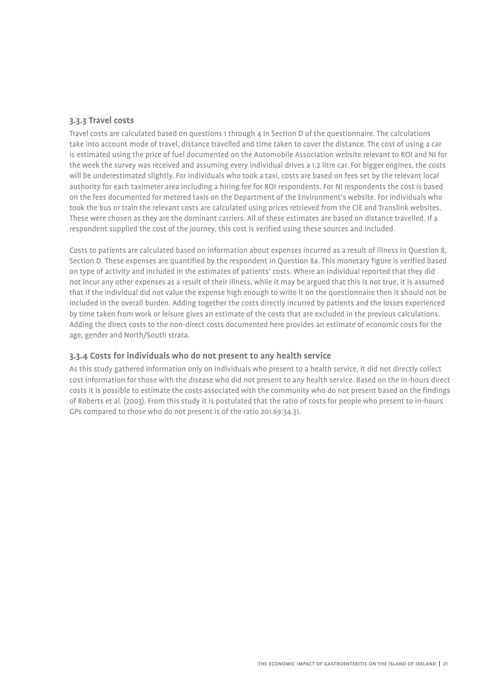## **3.3.3 Travel costs**

Travel costs are calculated based on questions 1 through 4 in Section D of the questionnaire. The calculations take into account mode of travel, distance travelled and time taken to cover the distance. The cost of using a car is estimated using the price of fuel documented on the Automobile Association website relevant to ROI and NI for the week the survey was received and assuming every individual drives a 1.2 litre car. For bigger engines, the costs will be underestimated slightly. For individuals who took a taxi, costs are based on fees set by the relevant local authority for each taximeter area including a hiring fee for ROI respondents. For NI respondents the cost is based on the fees documented for metered taxis on the Department of the Environment's website. For individuals who took the bus or train the relevant costs are calculated using prices retrieved from the CIE and Translink websites. These were chosen as they are the dominant carriers. All of these estimates are based on distance travelled. If a respondent supplied the cost of the journey, this cost is verified using these sources and included.

Costs to patients are calculated based on information about expenses incurred as a result of illness in Question 8, Section D. These expenses are quantified by the respondent in Question 8a. This monetary figure is verified based on type of activity and included in the estimates of patients' costs. Where an individual reported that they did not incur any other expenses as a result of their illness, while it may be argued that this is not true, it is assumed that if the individual did not value the expense high enough to write it on the questionnaire then it should not be included in the overall burden. Adding together the costs directly incurred by patients and the losses experienced by time taken from work or leisure gives an estimate of the costs that are excluded in the previous calculations. Adding the direct costs to the non-direct costs documented here provides an estimate of economic costs for the age, gender and North/South strata.

## **3.3.4 Costs for individuals who do not present to any health service**

As this study gathered information only on individuals who present to a health service, it did not directly collect cost information for those with the disease who did not present to any health service. Based on the in-hours direct costs it is possible to estimate the costs associated with the community who do not present based on the findings of Roberts et al. (2003). From this study it is postulated that the ratio of costs for people who present to in-hours GPs compared to those who do not present is of the ratio 201.69:34.31.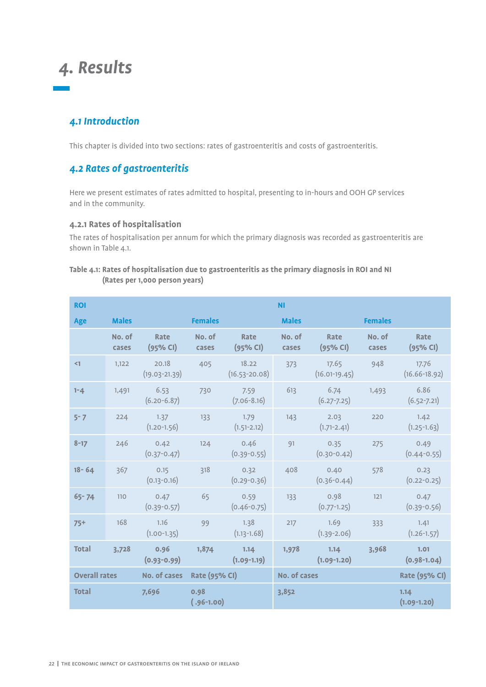## *4. Results*

## *4.1 Introduction*

This chapter is divided into two sections: rates of gastroenteritis and costs of gastroenteritis.

## *4.2 Rates of gastroenteritis*

Here we present estimates of rates admitted to hospital, presenting to in-hours and OOH GP services and in the community.

## **4.2.1 Rates of hospitalisation**

The rates of hospitalisation per annum for which the primary diagnosis was recorded as gastroenteritis are shown in Table 4.1.

## **Table 4.1: Rates of hospitalisation due to gastroenteritis as the primary diagnosis in ROI and NI (Rates per 1,000 person years)**

| <b>ROI</b>           |                 |                            |                      |                            | <b>NI</b>           |                          |                 |                            |
|----------------------|-----------------|----------------------------|----------------------|----------------------------|---------------------|--------------------------|-----------------|----------------------------|
| Age                  | <b>Males</b>    |                            | <b>Females</b>       |                            | <b>Males</b>        |                          | <b>Females</b>  |                            |
|                      | No. of<br>cases | <b>Rate</b><br>(95% CI)    | No. of<br>cases      | <b>Rate</b><br>(95% CI)    | No. of<br>cases     | <b>Rate</b><br>(95% CI)  | No. of<br>cases | <b>Rate</b><br>(95% CI)    |
| $\leq$ 1             | 1,122           | 20.18<br>$(19.03 - 21.39)$ | 405                  | 18.22<br>$(16.53 - 20.08)$ | 373                 | 17.65<br>$(16.01-19.45)$ | 948             | 17.76<br>$(16.66 - 18.92)$ |
| $1 - 4$              | 1,491           | 6.53<br>$(6.20 - 6.87)$    | 730                  | 7.59<br>$(7.06 - 8.16)$    | 613                 | 6.74<br>$(6.27 - 7.25)$  | 1,493           | 6.86<br>$(6.52 - 7.21)$    |
| $5 - 7$              | 224             | 1.37<br>$(1.20 - 1.56)$    | 133                  | 1.79<br>$(1.51 - 2.12)$    | 143                 | 2.03<br>$(1.71 - 2.41)$  | 220             | 1.42<br>$(1.25 - 1.63)$    |
| $8 - 17$             | 246             | 0.42<br>$(0.37 - 0.47)$    | 124                  | 0.46<br>$(0.39 - 0.55)$    | 91                  | 0.35<br>$(0.30 - 0.42)$  | 275             | 0.49<br>$(0.44 - 0.55)$    |
| $18 - 64$            | 367             | 0.15<br>$(0.13 - 0.16)$    | 318                  | 0.32<br>$(0.29 - 0.36)$    | 408                 | 0.40<br>$(0.36 - 0.44)$  | 578             | 0.23<br>$(0.22 - 0.25)$    |
| $65 - 74$            | 110             | 0.47<br>$(0.39 - 0.57)$    | 65                   | 0.59<br>$(0.46 - 0.75)$    | 133                 | 0.98<br>$(0.77 - 1.25)$  | 121             | 0.47<br>$(0.39 - 0.56)$    |
| $75+$                | 168             | 1.16<br>$(1.00-1.35)$      | 99                   | 1.38<br>$(1.13 - 1.68)$    | 217                 | 1.69<br>$(1.39 - 2.06)$  | 333             | 1.41<br>$(1.26 - 1.57)$    |
| <b>Total</b>         | 3,728           | 0.96<br>$(0.93 - 0.99)$    | 1,874                | 1.14<br>$(1.09-1.19)$      | 1,978               | 1.14<br>$(1.09-1.20)$    | 3,968           | 1.01<br>$(0.98 - 1.04)$    |
| <b>Overall rates</b> |                 | No. of cases               | <b>Rate (95% CI)</b> |                            | <b>No. of cases</b> |                          |                 | <b>Rate (95% CI)</b>       |
| <b>Total</b>         |                 | 7,696                      | 0.98<br>$(.96-1.00)$ |                            | 3,852               |                          |                 | 1.14<br>$(1.09-1.20)$      |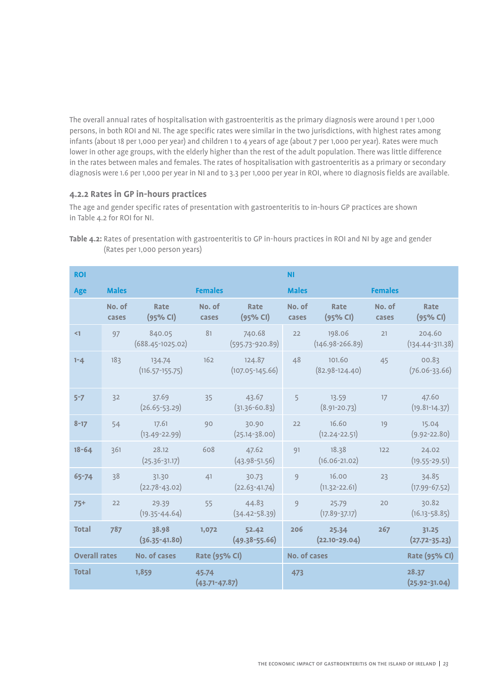The overall annual rates of hospitalisation with gastroenteritis as the primary diagnosis were around 1 per 1,000 persons, in both ROI and NI. The age specific rates were similar in the two jurisdictions, with highest rates among infants (about 18 per 1,000 per year) and children 1 to 4 years of age (about 7 per 1,000 per year). Rates were much lower in other age groups, with the elderly higher than the rest of the adult population. There was little difference in the rates between males and females. The rates of hospitalisation with gastroenteritis as a primary or secondary diagnosis were 1.6 per 1,000 per year in NI and to 3.3 per 1,000 per year in ROI, where 10 diagnosis fields are available.

## **4.2.2 Rates in GP in-hours practices**

The age and gender specific rates of presentation with gastroenteritis to in-hours GP practices are shown in Table 4.2 for ROI for NI.

| <b>ROI</b>           |                 |                                |                            |                               | <b>NI</b>           |                               |                 |                               |
|----------------------|-----------------|--------------------------------|----------------------------|-------------------------------|---------------------|-------------------------------|-----------------|-------------------------------|
| <b>Age</b>           | <b>Males</b>    |                                | <b>Females</b>             |                               | <b>Males</b>        |                               | <b>Females</b>  |                               |
|                      | No. of<br>cases | Rate<br>(95% CI)               | No. of<br>cases            | Rate<br>(95% CI)              | No. of<br>cases     | Rate<br>(95% CI)              | No. of<br>cases | Rate<br>(95% CI)              |
| $\leq$ 1             | 97              | 840.05<br>$(688.45 - 1025.02)$ | 81                         | 740.68<br>$(595.73 - 920.89)$ | 22                  | 198.06<br>$(146.98 - 266.89)$ | 21              | 204.60<br>$(134.44 - 311.38)$ |
| $1 - 4$              | 183             | 134.74<br>$(116.57 - 155.75)$  | 162                        | 124.87<br>$(107.05 - 145.66)$ | 48                  | 101.60<br>$(82.98-124.40)$    | 45              | 00.83<br>$(76.06 - 33.66)$    |
| $5 - 7$              | 32              | 37.69<br>$(26.65 - 53.29)$     | 35                         | 43.67<br>$(31.36 - 60.83)$    | 5                   | 13.59<br>$(8.91 - 20.73)$     | 17              | 47.60<br>$(19.81 - 14.37)$    |
| $8 - 17$             | 54              | 17.61<br>$(13.49 - 22.99)$     | 90                         | 30.90<br>$(25.14 - 38.00)$    | 22                  | 16.60<br>$(12.24 - 22.51)$    | 19              | 15.04<br>$(9.92 - 22.80)$     |
| $18 - 64$            | 361             | 28.12<br>$(25.36 - 31.17)$     | 608                        | 47.62<br>$(43.98 - 51.56)$    | 91                  | 18.38<br>$(16.06 - 21.02)$    | 122             | 24.02<br>$(19.55 - 29.51)$    |
| 65-74                | 38              | 31.30<br>$(22.78 - 43.02)$     | 41                         | 30.73<br>$(22.63 - 41.74)$    | 9                   | 16.00<br>$(11.32 - 22.61)$    | 23              | 34.85<br>$(17.99 - 67.52)$    |
| $75+$                | 22              | 29.39<br>$(19.35 - 44.64)$     | 55                         | 44.83<br>$(34.42 - 58.39)$    | 9                   | 25.79<br>$(17.89 - 37.17)$    | 20              | 30.82<br>$(16.13 - 58.85)$    |
| <b>Total</b>         | 787             | 38.98<br>$(36.35 - 41.80)$     | 1,072                      | 52.42<br>$(49.38 - 55.66)$    | 206                 | 25.34<br>$(22.10 - 29.04)$    | 267             | 31.25<br>$(27.72 - 35.23)$    |
| <b>Overall rates</b> |                 | No. of cases                   | <b>Rate (95% CI)</b>       |                               | <b>No. of cases</b> |                               |                 | <b>Rate (95% CI)</b>          |
| <b>Total</b>         |                 | 1,859                          | 45.74<br>$(43.71 - 47.87)$ |                               | 473                 |                               |                 | 28.37<br>$(25.92 - 31.04)$    |

**Table 4.2:** Rates of presentation with gastroenteritis to GP in-hours practices in ROI and NI by age and gender (Rates per 1,000 person years)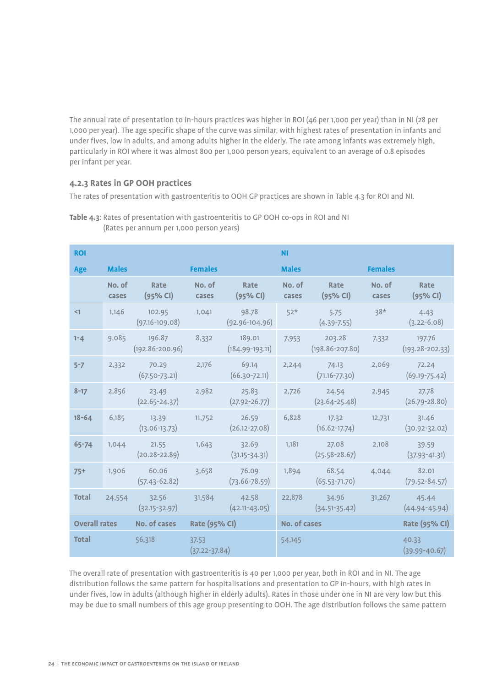The annual rate of presentation to in-hours practices was higher in ROI (46 per 1,000 per year) than in NI (28 per 1,000 per year). The age specific shape of the curve was similar, with highest rates of presentation in infants and under fives, low in adults, and among adults higher in the elderly. The rate among infants was extremely high, particularly in ROI where it was almost 800 per 1,000 person years, equivalent to an average of 0.8 episodes per infant per year.

## **4.2.3 Rates in GP OOH practices**

The rates of presentation with gastroenteritis to OOH GP practices are shown in Table 4.3 for ROI and NI.

| <b>ROI</b>           |                 |                               |                            |                             | <b>NI</b>       |                               |                 |                               |
|----------------------|-----------------|-------------------------------|----------------------------|-----------------------------|-----------------|-------------------------------|-----------------|-------------------------------|
| Age                  | <b>Males</b>    |                               | <b>Females</b>             |                             | <b>Males</b>    |                               | <b>Females</b>  |                               |
|                      | No. of<br>cases | Rate<br>(95% CI)              | No. of<br>cases            | Rate<br>(95% CI)            | No. of<br>cases | Rate<br>(95% CI)              | No. of<br>cases | <b>Rate</b><br>(95% CI)       |
| $\leq$ 1             | 1,146           | 102.95<br>$(97.16 - 109.08)$  | 1,041                      | 98.78<br>$(92.96 - 104.96)$ | $52*$           | 5.75<br>$(4.39 - 7.55)$       | $38*$           | 4.43<br>$(3.22 - 6.08)$       |
| $1 - 4$              | 9,085           | 196.87<br>$(192.86 - 200.96)$ | 8,332                      | 189.01<br>$(184.99-193.11)$ | 7,953           | 203.28<br>$(198.86 - 207.80)$ | 7,332           | 197.76<br>$(193.28 - 202.33)$ |
| $5 - 7$              | 2,332           | 70.29<br>$(67.50 - 73.21)$    | 2,176                      | 69.14<br>$(66.30 - 72.11)$  | 2,244           | 74.13<br>$(71.16 - 77.30)$    | 2,069           | 72.24<br>$(69.19 - 75.42)$    |
| $8 - 17$             | 2,856           | 23.49<br>$(22.65 - 24.37)$    | 2,982                      | 25.83<br>$(27.92 - 26.77)$  | 2,726           | 24.54<br>$(23.64 - 25.48)$    | 2,945           | 27.78<br>$(26.79 - 28.80)$    |
| $18 - 64$            | 6,185           | 13.39<br>$(13.06 - 13.73)$    | 11,752                     | 26.59<br>$(26.12 - 27.08)$  | 6,828           | 17.32<br>$(16.62 - 17.74)$    | 12,731          | 31.46<br>$(30.92 - 32.02)$    |
| $65 - 74$            | 1,044           | 21.55<br>$(20.28 - 22.89)$    | 1,643                      | 32.69<br>$(31.15 - 34.31)$  | 1,181           | 27.08<br>$(25.58 - 28.67)$    | 2,108           | 39.59<br>$(37.93 - 41.31)$    |
| $75+$                | 1,906           | 60.06<br>$(57.43 - 62.82)$    | 3,658                      | 76.09<br>$(73.66 - 78.59)$  | 1,894           | 68.54<br>$(65.53 - 71.70)$    | 4,044           | 82.01<br>$(79.52 - 84.57)$    |
| <b>Total</b>         | 24,554          | 32.56<br>$(32.15 - 32.97)$    | 31,584                     | 42.58<br>$(42.11 - 43.05)$  | 22,878          | 34.96<br>$(34.51 - 35.42)$    | 31,267          | 45.44<br>$(44.94 - 45.94)$    |
| <b>Overall rates</b> |                 | No. of cases                  | <b>Rate (95% CI)</b>       |                             | No. of cases    |                               |                 | Rate (95% CI)                 |
| <b>Total</b>         |                 | 56,318                        | 37.53<br>$(37.22 - 37.84)$ |                             | 54,145          |                               |                 | 40.33<br>$(39.99 - 40.67)$    |

**Table 4.3**: Rates of presentation with gastroenteritis to GP OOH co-ops in ROI and NI (Rates per annum per 1,000 person years)

The overall rate of presentation with gastroenteritis is 40 per 1,000 per year, both in ROI and in NI. The age distribution follows the same pattern for hospitalisations and presentation to GP in-hours, with high rates in under fives, low in adults (although higher in elderly adults). Rates in those under one in NI are very low but this may be due to small numbers of this age group presenting to OOH. The age distribution follows the same pattern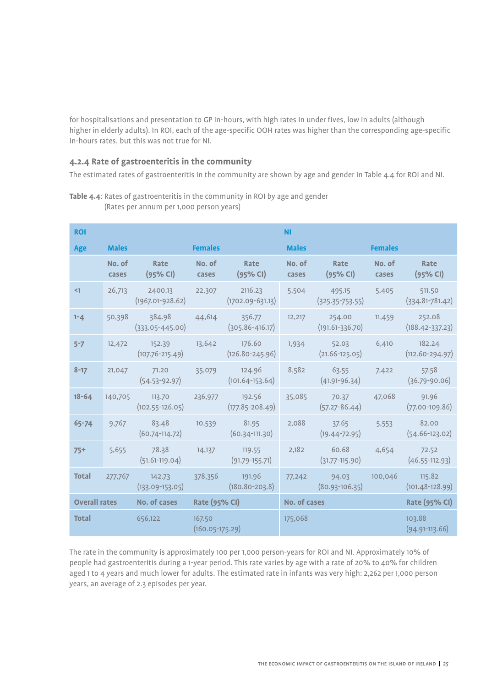for hospitalisations and presentation to GP in-hours, with high rates in under fives, low in adults (although higher in elderly adults). In ROI, each of the age-specific OOH rates was higher than the corresponding age-specific in-hours rates, but this was not true for NI.

## **4.2.4 Rate of gastroenteritis in the community**

The estimated rates of gastroenteritis in the community are shown by age and gender in Table 4.4 for ROI and NI.

| <b>ROI</b>           |                 |                                       |                             |                                       | <b>NI</b>       |                               |                 |                               |
|----------------------|-----------------|---------------------------------------|-----------------------------|---------------------------------------|-----------------|-------------------------------|-----------------|-------------------------------|
| Age                  | <b>Males</b>    |                                       | <b>Females</b>              |                                       | <b>Males</b>    |                               | <b>Females</b>  |                               |
|                      | No. of<br>cases | Rate<br>(95% CI)                      | No. of<br>cases             | <b>Rate</b><br>(95% CI)               | No. of<br>cases | Rate<br>(95% CI)              | No. of<br>cases | <b>Rate</b><br>(95% CI)       |
| $\leq$ 1             | 26,713          | 2400.13<br>$(1967.01 - 928.62)$       | 22,307                      | 2116.23<br>$(1702.09-631.13)$         | 5,504           | 495.15<br>$(325.35 - 753.55)$ | 5,405           | 511.50<br>$(334.81 - 781.42)$ |
| $1 - 4$              | 50,398          | 384.98<br>$(333.05 - 445.00)$         | 44,614                      | 356.77<br>$(305.86 - 416.17)$         | 12,217          | 254.00<br>$(191.61 - 336.70)$ | 11,459          | 252.08<br>$(188.42 - 337.23)$ |
| $5 - 7$              | 12,472          | 152.39<br>$(107.76 - 215.49)$         | 13,642                      | 176.60<br>$(126.80 - 245.96)$         | 1,934           | 52.03<br>$(21.66 - 125.05)$   | 6,410           | 182.24<br>$(112.60 - 294.97)$ |
| $8 - 17$             | 21,047          | 71.20<br>$(54.53 - 92.97)$            | 35,079                      | 124.96<br>$(101.64-153.64)$           | 8,582           | 63.55<br>$(41.91 - 96.34)$    | 7,422           | 57.58<br>$(36.79 - 90.06)$    |
| $18 - 64$            |                 | 140,705 113.70<br>$(102.55 - 126.05)$ |                             | 236,977 192.56<br>$(177.85 - 208.49)$ | 35,085          | 70.37<br>$(57.27 - 86.44)$    | 47,068          | 91.96<br>$(77.00-109.86)$     |
| $65 - 74$            | 9,767           | 83.48<br>$(60.74 - 114.72)$           | 10,539                      | 81.95<br>$(60.34$ -111.30)            | 2,088           | 37.65<br>$(19.44 - 72.95)$    | 5,553           | 82.00<br>$(54.66 - 123.02)$   |
| $75+$                | 5,655           | 78.38<br>$(51.61-119.04)$             | 14,137                      | 119.55<br>$(91.79-155.71)$            | 2,182           | 60.68<br>$(31.77 - 115.90)$   | 4,654           | 72.52<br>$(46.55 - 112.93)$   |
| <b>Total</b>         | 277,767         | 142.73<br>$(133.09-153.05)$           | 378,356                     | 191.96<br>$(180.80 - 203.8)$          | 77,242          | 94.03<br>$(80.93 - 106.35)$   | 100,046         | 115.82<br>$(101.48 - 128.99)$ |
| <b>Overall rates</b> |                 | No. of cases                          | Rate (95% CI)               |                                       | No. of cases    |                               |                 | Rate (95% CI)                 |
| <b>Total</b>         |                 | 656,122                               | 167.50<br>$(160.05-175.29)$ |                                       | 175,068         |                               |                 | 103.88<br>$(94.91-113.66)$    |

**Table 4.4**: Rates of gastroenteritis in the community in ROI by age and gender (Rates per annum per 1,000 person years)

The rate in the community is approximately 100 per 1,000 person-years for ROI and NI. Approximately 10% of people had gastroenteritis during a 1-year period. This rate varies by age with a rate of 20% to 40% for children aged 1 to 4 years and much lower for adults. The estimated rate in infants was very high: 2,262 per 1,000 person years, an average of 2.3 episodes per year.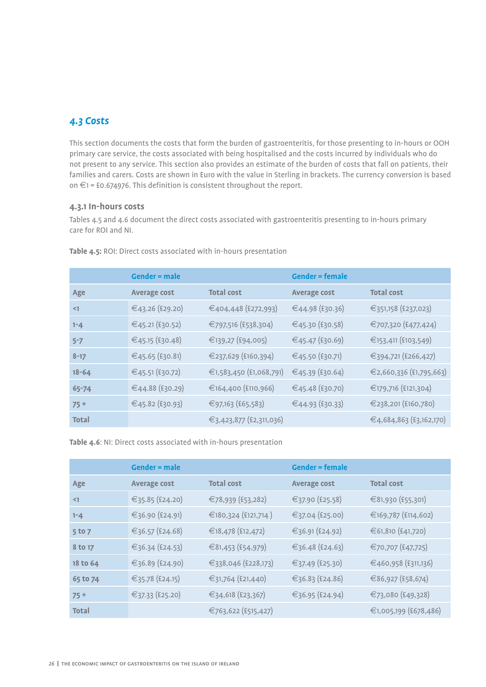## *4.3 Costs*

This section documents the costs that form the burden of gastroenteritis, for those presenting to in-hours or OOH primary care service, the costs associated with being hospitalised and the costs incurred by individuals who do not present to any service. This section also provides an estimate of the burden of costs that fall on patients, their families and carers. Costs are shown in Euro with the value in Sterling in brackets. The currency conversion is based on €1 = £0.674976. This definition is consistent throughout the report.

## **4.3.1 In-hours costs**

Tables 4.5 and 4.6 document the direct costs associated with gastroenteritis presenting to in-hours primary care for ROI and NI.

|              | Gender $=$ male     |                         | $Gender = female$   |                         |
|--------------|---------------------|-------------------------|---------------------|-------------------------|
| Age          | <b>Average cost</b> | <b>Total cost</b>       | <b>Average cost</b> | <b>Total cost</b>       |
| $\leq$ 1     | €43.26 (£29.20)     | €404,448 (£272,993)     | €44.98 (£30.36)     | €351,158 (£237,023)     |
| $1 - 4$      | €45.21 (£30.52)     | €797,516 (£538,304)     | €45.30 (£30.58)     | €707,320 (£477,424)     |
| $5 - 7$      | €45.15 (£30.48)     | €139,27 (£94,005)       | €45.47 (£30.69)     | €153,411 (£103,549)     |
| $8 - 17$     | €45.65 (£30.81)     | €237,629 (£160,394)     | €45.50 (£30.71)     | €394,721 (£266,427)     |
| $18 - 64$    | €45.51 (£30.72)     | €1,583,450 (£1,068,791) | €45.39 (£30.64)     | €2,660,336 (£1,795,663) |
| 65-74        | €44.88 (£30.29)     | €164,400 (£110,966)     | €45.48 (£30.70)     | €179,716 (£121,304)     |
| $75+$        | €45.82 (£30.93)     | €97,163 (£65,583)       | €44.93 (£30.33)     | €238,201 (£160,780)     |
| <b>Total</b> |                     | €3,423,877 (£2,311,036) |                     | €4,684,863 (£3,162,170) |

**Table 4.5:** ROI: Direct costs associated with in-hours presentation

**Table 4.6**: NI: Direct costs associated with in-hours presentation

|              | $Gender = male$     |                     | <b>Gender = female</b> |                       |
|--------------|---------------------|---------------------|------------------------|-----------------------|
| Age          | <b>Average cost</b> | <b>Total cost</b>   | <b>Average cost</b>    | <b>Total cost</b>     |
| $\leq$ 1     | €35.85 (£24.20)     | €78,939 (£53,282)   | €37.90 (£25.58)        | €81,930 (£55,301)     |
| $1 - 4$      | €36.90 (£24.91)     | €180,324 (£121,714) | €37.04 (£25.00)        | €169,787 (£114,602)   |
| 5 to 7       | €36.57 (£24.68)     | €18,478 (£12,472)   | €36.91 (£24.92)        | €61,810 (£41,720)     |
| 8 to 17      | €36.34 (£24.53)     | €81,453 (£54,979)   | €36.48 (£24.63)        | €70,707 (£47,725)     |
| 18 to 64     | €36.89 (£24.90)     | €338,046 (£228,173) | €37.49 (£25.30)        | €460,958 (£311,136)   |
| 65 to 74     | €35.78 (£24.15)     | €31,764 (£21,440)   | €36.83 (£24.86)        | €86,927 (£58,674)     |
| $75+$        | €37.33 (£25.20)     | €34,618 (£23,367)   | €36.95 (£24.94)        | €73,080 (£49,328)     |
| <b>Total</b> |                     | €763,622 (£515,427) |                        | €1,005,199 (£678,486) |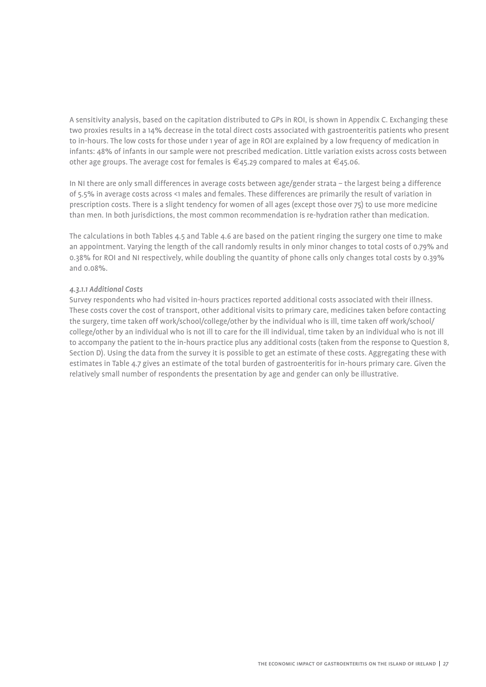A sensitivity analysis, based on the capitation distributed to GPs in ROI, is shown in Appendix C. Exchanging these two proxies results in a 14% decrease in the total direct costs associated with gastroenteritis patients who present to in-hours. The low costs for those under 1 year of age in ROI are explained by a low frequency of medication in infants: 48% of infants in our sample were not prescribed medication. Little variation exists across costs between other age groups. The average cost for females is  $\in$ 45.29 compared to males at  $\in$ 45.06.

In NI there are only small differences in average costs between age/gender strata – the largest being a difference of 5.5% in average costs across <1 males and females. These differences are primarily the result of variation in prescription costs. There is a slight tendency for women of all ages (except those over 75) to use more medicine than men. In both jurisdictions, the most common recommendation is re-hydration rather than medication.

The calculations in both Tables 4.5 and Table 4.6 are based on the patient ringing the surgery one time to make an appointment. Varying the length of the call randomly results in only minor changes to total costs of 0.79% and 0.38% for ROI and NI respectively, while doubling the quantity of phone calls only changes total costs by 0.39% and 0.08%.

### *4.3.1.1 Additional Costs*

Survey respondents who had visited in-hours practices reported additional costs associated with their illness. These costs cover the cost of transport, other additional visits to primary care, medicines taken before contacting the surgery, time taken off work/school/college/other by the individual who is ill, time taken off work/school/ college/other by an individual who is not ill to care for the ill individual, time taken by an individual who is not ill to accompany the patient to the in-hours practice plus any additional costs (taken from the response to Question 8, Section D). Using the data from the survey it is possible to get an estimate of these costs. Aggregating these with estimates in Table 4.7 gives an estimate of the total burden of gastroenteritis for in-hours primary care. Given the relatively small number of respondents the presentation by age and gender can only be illustrative.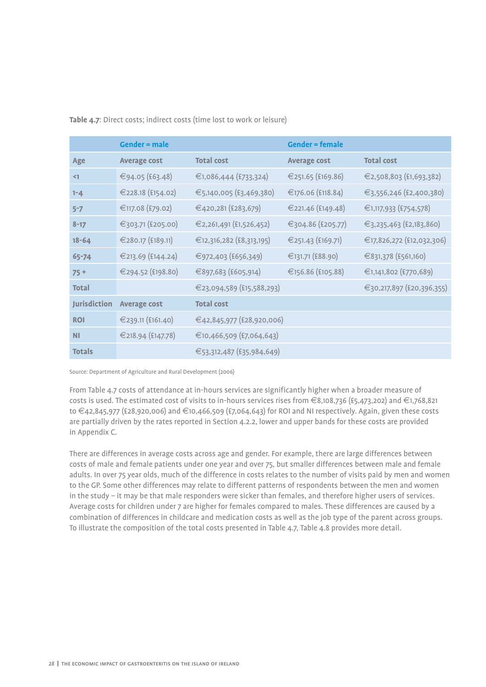| Table 4.7: Direct costs; indirect costs (time lost to work or leisure) |
|------------------------------------------------------------------------|
|------------------------------------------------------------------------|

|                     | Gender $=$ male     |                           | <b>Gender = female</b> |                           |
|---------------------|---------------------|---------------------------|------------------------|---------------------------|
| Age                 | <b>Average cost</b> | <b>Total cost</b>         | <b>Average cost</b>    | <b>Total cost</b>         |
| $\leq$ 1            | €94.05 (£63.48)     | €1,086,444 (£733,324)     | €251.65 (£169.86)      | €2,508,803 (£1,693,382)   |
| $1 - 4$             | €228.18 (£154.02)   | €5,140,005 (£3,469,380)   | €176.06 (£118.84)      | €3,556,246 (£2,400,380)   |
| $5 - 7$             | €117.08 (£79.02)    | €420,281 (£283,679)       | €221.46 (£149.48)      | €1,117,933 (£754,578)     |
| $8 - 17$            | €303.71 (£205.00)   | €2,261,491 (£1,526,452)   | €304.86 (£205.77)      | €3,235,463 (£2,183,860)   |
| $18 - 64$           | €280.17 (£189.11)   | €12,316,282 (£8,313,195)  | €251.43 (£169.71)      | €17,826,272 (£12,032,306) |
| $65 - 74$           | €213.69 (£144.24)   | €972,403 (£656,349)       | €131.71 (£88.90)       | €831,378 (£561,160)       |
| $75+$               | €294.52 (£198.80)   | €897,683 (£605,914)       | €156.86 (£105.88)      | €1,141,802 (£770,689)     |
| <b>Total</b>        |                     | €23,094,589 (£15,588,293) |                        | €30,217,897 (£20,396,355) |
| <b>Jurisdiction</b> | <b>Average cost</b> | <b>Total cost</b>         |                        |                           |
| <b>ROI</b>          | €239.11 (£161.40)   | €42,845,977 (£28,920,006) |                        |                           |
| <b>NI</b>           | €218.94 (£147.78)   | €10,466,509 (£7,064,643)  |                        |                           |
| <b>Totals</b>       |                     | €53,312,487 (£35,984,649) |                        |                           |

Source: Department of Agriculture and Rural Development (2006)

From Table 4.7 costs of attendance at in-hours services are significantly higher when a broader measure of costs is used. The estimated cost of visits to in-hours services rises from  $\epsilon_{3,108,736}$  (£5,473,202) and  $\epsilon_{1,768,821}$ to €42,845,977 (£28,920,006) and €10,466,509 (£7,064,643) for ROI and NI respectively. Again, given these costs are partially driven by the rates reported in Section 4.2.2, lower and upper bands for these costs are provided in Appendix C.

There are differences in average costs across age and gender. For example, there are large differences between costs of male and female patients under one year and over 75, but smaller differences between male and female adults. In over 75 year olds, much of the difference in costs relates to the number of visits paid by men and women to the GP. Some other differences may relate to different patterns of respondents between the men and women in the study – it may be that male responders were sicker than females, and therefore higher users of services. Average costs for children under 7 are higher for females compared to males. These differences are caused by a combination of differences in childcare and medication costs as well as the job type of the parent across groups. To illustrate the composition of the total costs presented in Table 4.7, Table 4.8 provides more detail.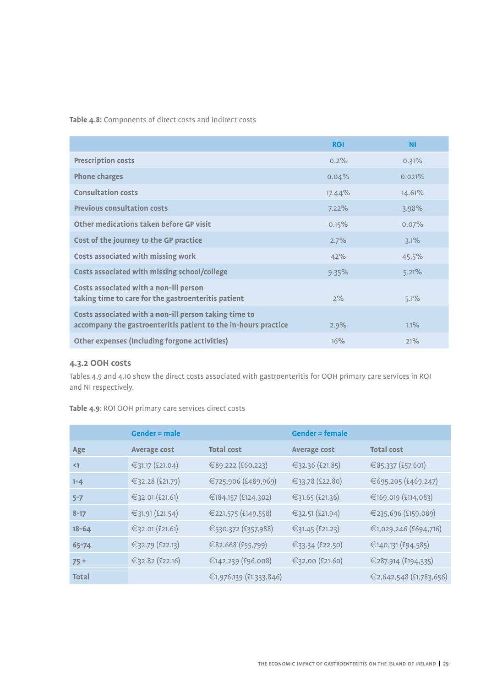**Table 4.8:** Components of direct costs and indirect costs

|                                                                                                                         | <b>ROI</b> | <b>NI</b> |
|-------------------------------------------------------------------------------------------------------------------------|------------|-----------|
| <b>Prescription costs</b>                                                                                               | 0.2%       | 0.31%     |
| <b>Phone charges</b>                                                                                                    | 0.04%      | $0.021\%$ |
| <b>Consultation costs</b>                                                                                               | 17.44%     | 14.61%    |
| <b>Previous consultation costs</b>                                                                                      | 7.22%      | 3.98%     |
| Other medications taken before GP visit                                                                                 | 0.15%      | $0.07\%$  |
| Cost of the journey to the GP practice                                                                                  | 2.7%       | 3.1%      |
| <b>Costs associated with missing work</b>                                                                               | 42%        | 45.5%     |
| Costs associated with missing school/college                                                                            | 9.35%      | 5.21%     |
| Costs associated with a non-ill person<br>taking time to care for the gastroenteritis patient                           | 2%         | 5.1%      |
| Costs associated with a non-ill person taking time to<br>accompany the gastroenteritis patient to the in-hours practice | 2.9%       | 1.1%      |
| Other expenses (Including forgone activities)                                                                           | 16%        | 21%       |

## **4.3.2 OOH costs**

Tables 4.9 and 4.10 show the direct costs associated with gastroenteritis for OOH primary care services in ROI and NI respectively.

|              | <b>Gender = male</b> |                         | <b>Gender = female</b> |                         |
|--------------|----------------------|-------------------------|------------------------|-------------------------|
| Age          | <b>Average cost</b>  | <b>Total cost</b>       | <b>Average cost</b>    | <b>Total cost</b>       |
| $\leq$ 1     | €31.17 (£21.04)      | €89,222 (£60,223)       | €32.36 (£21.85)        | €85,337 (£57,601)       |
| $1 - 4$      | €32.28 (£21.79)      | €725,906 (£489,969)     | €33.78 (£22.80)        | €695,205 (£469,247)     |
| $5 - 7$      | €32.01 (£21.61)      | €184,157 (£124,302)     | €31.65 (£21.36)        | €169,019 (£114,083)     |
| $8 - 17$     | €31.91 (£21.54)      | €221,575 (£149,558)     | €32.51 (£21.94)        | €235,696 (£159,089)     |
| $18 - 64$    | €32.01 (£21.61)      | €530,372 (£357,988)     | €31.45 (£21.23)        | €1,029,246 (£694,716)   |
| 65-74        | €32.79 (£22.13)      | €82,668 (£55,799)       | €33.34 (£22.50)        | €140,131 (£94,585)      |
| $75+$        | €32.82 (£22.16)      | €142,239 (£96,008)      | €32.00 (£21.60)        | €287,914 (£194,335)     |
| <b>Total</b> |                      | €1,976,139 (£1,333,846) |                        | €2,642,548 (£1,783,656) |

**Table 4.9**: ROI OOH primary care services direct costs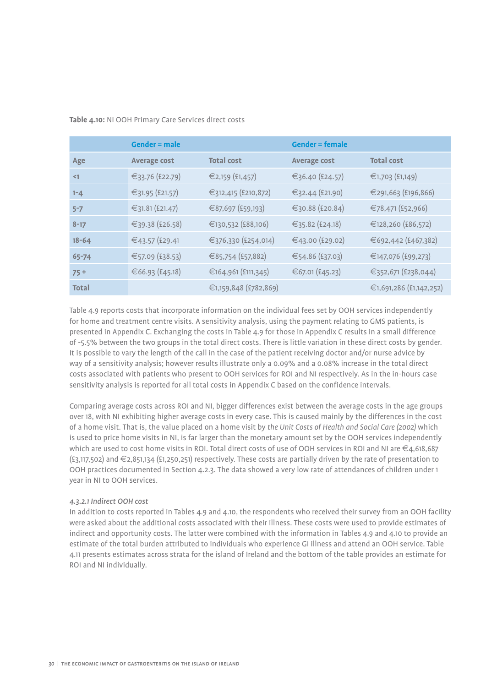#### **Table 4.10:** NI OOH Primary Care Services direct costs

|              | Gender $=$ male     |                       | <b>Gender = female</b> |                         |
|--------------|---------------------|-----------------------|------------------------|-------------------------|
| Age          | <b>Average cost</b> | <b>Total cost</b>     | <b>Average cost</b>    | <b>Total cost</b>       |
| $\leq$ 1     | €33.76 (£22.79)     | €2,159 (£1,457)       | €36.40 $(£24.57)$      | €1,703 (£1,149)         |
| $1 - 4$      | €31.95 (£21.57)     | €312,415 (£210,872)   | €32.44 (£21.90)        | €291,663 (£196,866)     |
| $5 - 7$      | €31.81 (£21.47)     | €87,697 (£59,193)     | €30.88 (£20.84)        | €78,471 (£52,966)       |
| $8 - 17$     | €39.38 (£26.58)     | €130,532 (£88,106)    | €35.82 (£24.18)        | €128,260 (£86,572)      |
| $18 - 64$    | €43.57 (£29.41      | €376,330 (£254,014)   | €43.00 (£29.02)        | €692,442 (£467,382)     |
| 65-74        | €57.09 (£38.53)     | €85,754 (£57,882)     | €54.86 (£37.03)        | €147,076 (£99,273)      |
| $75+$        | €66.93 (£45.18)     | €164,961 (£111,345)   | €67.01 (£45.23)        | €352,671 (£238,044)     |
| <b>Total</b> |                     | €1,159,848 (£782,869) |                        | €1,691,286 (£1,142,252) |

Table 4.9 reports costs that incorporate information on the individual fees set by OOH services independently for home and treatment centre visits. A sensitivity analysis, using the payment relating to GMS patients, is presented in Appendix C. Exchanging the costs in Table 4.9 for those in Appendix C results in a small difference of -5.5% between the two groups in the total direct costs. There is little variation in these direct costs by gender. It is possible to vary the length of the call in the case of the patient receiving doctor and/or nurse advice by way of a sensitivity analysis; however results illustrate only a 0.09% and a 0.08% increase in the total direct costs associated with patients who present to OOH services for ROI and NI respectively. As in the in-hours case sensitivity analysis is reported for all total costs in Appendix C based on the confidence intervals.

Comparing average costs across ROI and NI, bigger differences exist between the average costs in the age groups over 18, with NI exhibiting higher average costs in every case. This is caused mainly by the differences in the cost of a home visit. That is, the value placed on a home visit by *the Unit Costs of Health and Social Care (2002)* which is used to price home visits in NI, is far larger than the monetary amount set by the OOH services independently which are used to cost home visits in ROI. Total direct costs of use of OOH services in ROI and NI are €4,618,687 (£3,117,502) and €2,851,134 (£1,250,251) respectively. These costs are partially driven by the rate of presentation to OOH practices documented in Section 4.2.3. The data showed a very low rate of attendances of children under 1 year in NI to OOH services.

#### *4.3.2.1 Indirect OOH cost*

In addition to costs reported in Tables 4.9 and 4.10, the respondents who received their survey from an OOH facility were asked about the additional costs associated with their illness. These costs were used to provide estimates of indirect and opportunity costs. The latter were combined with the information in Tables 4.9 and 4.10 to provide an estimate of the total burden attributed to individuals who experience GI illness and attend an OOH service. Table 4.11 presents estimates across strata for the island of Ireland and the bottom of the table provides an estimate for ROI and NI individually.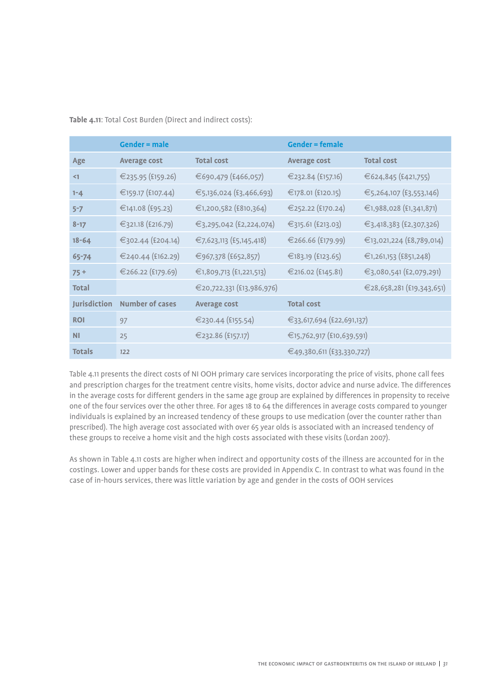**Table 4.11**: Total Cost Burden (Direct and indirect costs):

|               | Gender $=$ male        |                           | <b>Gender = female</b>    |                           |
|---------------|------------------------|---------------------------|---------------------------|---------------------------|
| Age           | <b>Average cost</b>    | <b>Total cost</b>         | <b>Average cost</b>       | <b>Total cost</b>         |
| $\leq$ 1      | €235.95 (£159.26)      | €690,479 (£466,057)       | €232.84 (£157.16)         | €624,845 (£421,755)       |
| $1 - 4$       | €159.17 (£107.44)      | €5,136,024 (£3,466,693)   | €178.01 (£120.15)         | €5,264,107 (£3,553,146)   |
| $5 - 7$       | €141.08 (£95.23)       | €1,200,582 (£810,364)     | €252.22 (£170.24)         | €1,988,028 (£1,341,871)   |
| $8 - 17$      | €321.18 (£216.79)      | €3,295,042 (£2,224,074)   | €315.61 (£213.03)         | €3,418,383 (£2,307,326)   |
| $18 - 64$     | €302.44 (£204.14)      | €7,623,113 (£5,145,418)   | €266.66 (£179.99)         | €13,021,224 (£8,789,014)  |
| $65 - 74$     | €240.44 (£162.29)      | €967,378 (£652,857)       | €183.19 (£123.65)         | €1,261,153 (£851,248)     |
| $75+$         | €266.22 (£179.69)      | €1,809,713 (£1,221,513)   | €216.02 (£145.81)         | €3,080,541 (£2,079,291)   |
| Total         |                        | €20,722,331 (£13,986,976) |                           | €28,658,281 (£19,343,651) |
| Jurisdiction  | <b>Number of cases</b> | <b>Average cost</b>       | <b>Total cost</b>         |                           |
| <b>ROI</b>    | 97                     | €230.44 (£155.54)         | €33,617,694 (£22,691,137) |                           |
| <b>NI</b>     | 25                     | €232.86 (£157.17)         | €15,762,917 (£10,639,591) |                           |
| <b>Totals</b> | 122                    |                           | €49,380,611 (£33,330,727) |                           |

Table 4.11 presents the direct costs of NI OOH primary care services incorporating the price of visits, phone call fees and prescription charges for the treatment centre visits, home visits, doctor advice and nurse advice. The differences in the average costs for different genders in the same age group are explained by differences in propensity to receive one of the four services over the other three. For ages 18 to 64 the differences in average costs compared to younger individuals is explained by an increased tendency of these groups to use medication (over the counter rather than prescribed). The high average cost associated with over 65 year olds is associated with an increased tendency of these groups to receive a home visit and the high costs associated with these visits (Lordan 2007).

As shown in Table 4.11 costs are higher when indirect and opportunity costs of the illness are accounted for in the costings. Lower and upper bands for these costs are provided in Appendix C. In contrast to what was found in the case of in-hours services, there was little variation by age and gender in the costs of OOH services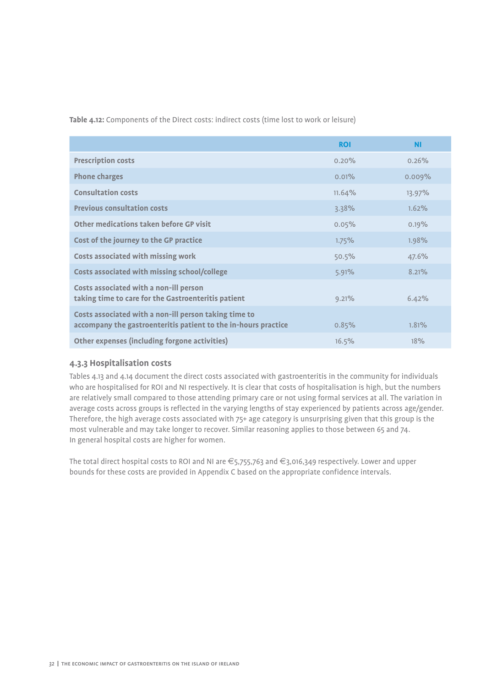**Table 4.12:** Components of the Direct costs: indirect costs (time lost to work or leisure)

|                                                                                                                         | <b>ROI</b> | <b>NI</b> |
|-------------------------------------------------------------------------------------------------------------------------|------------|-----------|
| <b>Prescription costs</b>                                                                                               | $0.20\%$   | 0.26%     |
| <b>Phone charges</b>                                                                                                    | 0.01%      | 0.009%    |
| <b>Consultation costs</b>                                                                                               | 11.64%     | $13.97\%$ |
| <b>Previous consultation costs</b>                                                                                      | 3.38%      | 1.62%     |
| Other medications taken before GP visit                                                                                 | 0.05%      | 0.19%     |
| Cost of the journey to the GP practice                                                                                  | $1.75\%$   | 1.98%     |
| <b>Costs associated with missing work</b>                                                                               | 50.5%      | 47.6%     |
| Costs associated with missing school/college                                                                            | 5.91%      | 8.21%     |
| Costs associated with a non-ill person<br>taking time to care for the Gastroenteritis patient                           | 9.21%      | 6.42%     |
| Costs associated with a non-ill person taking time to<br>accompany the gastroenteritis patient to the in-hours practice | 0.85%      | 1.81%     |
| Other expenses (including forgone activities)                                                                           | 16.5%      | 18%       |

## **4.3.3 Hospitalisation costs**

Tables 4.13 and 4.14 document the direct costs associated with gastroenteritis in the community for individuals who are hospitalised for ROI and NI respectively. It is clear that costs of hospitalisation is high, but the numbers are relatively small compared to those attending primary care or not using formal services at all. The variation in average costs across groups is reflected in the varying lengths of stay experienced by patients across age/gender. Therefore, the high average costs associated with 75+ age category is unsurprising given that this group is the most vulnerable and may take longer to recover. Similar reasoning applies to those between 65 and 74. In general hospital costs are higher for women.

The total direct hospital costs to ROI and NI are €5,755,763 and €3,016,349 respectively. Lower and upper bounds for these costs are provided in Appendix C based on the appropriate confidence intervals.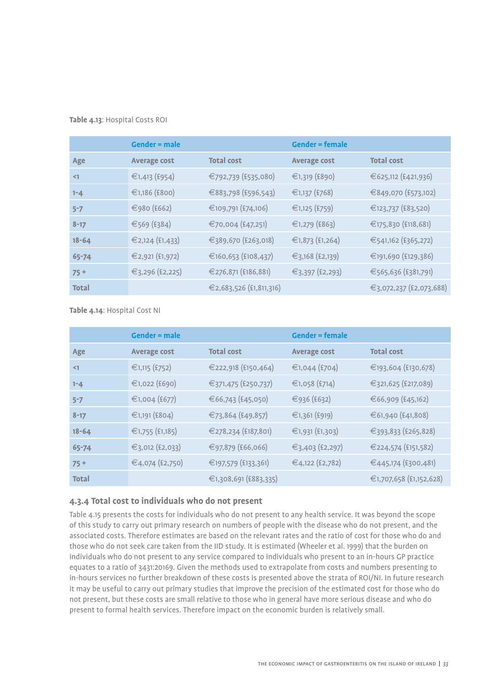### **Table 4.13**: Hospital Costs ROI

|              | <b>Gender = male</b> |                         | <b>Gender = female</b> |                         |
|--------------|----------------------|-------------------------|------------------------|-------------------------|
| Age          | <b>Average cost</b>  | <b>Total cost</b>       | <b>Average cost</b>    | <b>Total cost</b>       |
| $\leq$ 1     | €1,413 (£954)        | €792,739 (£535,080)     | €1,319 (£890)          | €625,112 (£421,936)     |
| $1 - 4$      | €1,186 (£800)        | €883,798 (£596,543)     | €1,137 (£768)          | €849,070 (£573,102)     |
| $5 - 7$      | €980 (£662)          | €109,791 (£74,106)      | €1,125 (£759)          | €123,737 (£83,520)      |
| $8 - 17$     | €569 (£384)          | €70,004 (£47,251)       | €1,279 (£863)          | €175,830 (£118,681)     |
| $18 - 64$    | €2,124 (£1,433)      | €389,670 (£263,018)     | €1,873 (£1,264)        | €541,162 (£365,272)     |
| 65-74        | €2,921 (£1,972)      | €160,653 (£108,437)     | €3,168 (£2,139)        | €191,690 (£129,386)     |
| $75+$        | €3,296 (£2,225)      | €276,871 (£186,881)     | €3,397 (£2,293)        | €565,636 (£381,791)     |
| <b>Total</b> |                      | €2,683,526 (£1,811,316) |                        | €3,072,237 (£2,073,688) |

**Table 4.14**: Hospital Cost NI

|              | <b>Gender = male</b> |                       | <b>Gender = female</b> |                         |
|--------------|----------------------|-----------------------|------------------------|-------------------------|
| Age          | <b>Average cost</b>  | <b>Total cost</b>     | <b>Average cost</b>    | <b>Total cost</b>       |
| $\leq$ 1     | €1,115 (£752)        | €222,918 (£150,464)   | €1,044 (£704)          | €193,604 (£130,678)     |
| $1 - 4$      | €1,022 (£690)        | €371,475 (£250,737)   | €1,058 (£714)          | €321,625 (£217,089)     |
| $5 - 7$      | €1,004 (£677)        | €66,743 (£45,050)     | €936 (£632)            | €66,909 (£45,162)       |
| $8 - 17$     | €1,191 (£804)        | €73,864 (£49,857)     | €1,361 (£919)          | €61,940 (£41,808)       |
| $18 - 64$    | €1,755 (£1,185)      | €278,234 (£187,801)   | €1,931 (£1,303)        | €393,833 (£265,828)     |
| 65-74        | €3,012 (£2,033)      | €97,879 (£66,066)     | €3,403 (£2,297)        | €224,574 (£151,582)     |
| $75+$        | €4,074 (£2,750)      | €197,579 (£133,361)   | €4,122 (£2,782)        | €445,174 (£300,481)     |
| <b>Total</b> |                      | €1,308,691 (£883,335) |                        | €1,707,658 (£1,152,628) |

## **4.3.4 Total cost to individuals who do not present**

Table 4.15 presents the costs for individuals who do not present to any health service. It was beyond the scope of this study to carry out primary research on numbers of people with the disease who do not present, and the associated costs. Therefore estimates are based on the relevant rates and the ratio of cost for those who do and those who do not seek care taken from the IID study. It is estimated (Wheeler et al. 1999) that the burden on individuals who do not present to any service compared to individuals who present to an in-hours GP practice equates to a ratio of 3431:20169. Given the methods used to extrapolate from costs and numbers presenting to in-hours services no further breakdown of these costs is presented above the strata of ROI/NI. In future research it may be useful to carry out primary studies that improve the precision of the estimated cost for those who do not present, but these costs are small relative to those who in general have more serious disease and who do present to formal health services. Therefore impact on the economic burden is relatively small.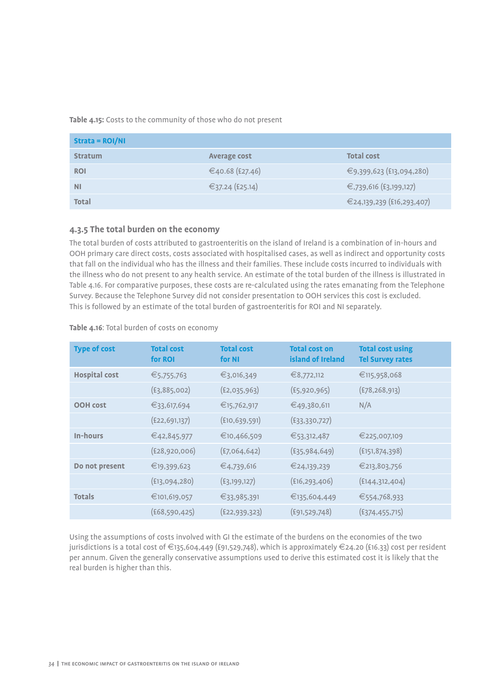**Table 4.15:** Costs to the community of those who do not present

| $Strata = ROI/NI$ |                 |                           |
|-------------------|-----------------|---------------------------|
| <b>Stratum</b>    | Average cost    | <b>Total cost</b>         |
| <b>ROI</b>        | €40.68 (£27.46) | €9,399,623 (£13,094,280)  |
| <b>NI</b>         | €37.24 (£25.14) | €,739,616 (£3,199,127)    |
| <b>Total</b>      |                 | €24,139,239 (£16,293,407) |

## **4.3.5 The total burden on the economy**

The total burden of costs attributed to gastroenteritis on the island of Ireland is a combination of in-hours and OOH primary care direct costs, costs associated with hospitalised cases, as well as indirect and opportunity costs that fall on the individual who has the illness and their families. These include costs incurred to individuals with the illness who do not present to any health service. An estimate of the total burden of the illness is illustrated in Table 4.16. For comparative purposes, these costs are re-calculated using the rates emanating from the Telephone Survey. Because the Telephone Survey did not consider presentation to OOH services this cost is excluded. This is followed by an estimate of the total burden of gastroenteritis for ROI and NI separately.

| <b>Type of cost</b>  | <b>Total cost</b><br>for ROI | <b>Total cost</b><br>for NI | <b>Total cost on</b><br>island of Ireland | <b>Total cost using</b><br><b>Tel Survey rates</b> |
|----------------------|------------------------------|-----------------------------|-------------------------------------------|----------------------------------------------------|
| <b>Hospital cost</b> | €5,755,763                   | €3,016,349                  | €8,772,112                                | €115,958,068                                       |
|                      | (E3, 885, 002)               | (E2, 035, 963)              | (E5, 920, 965)                            | (E78, 268, 913)                                    |
| <b>OOH cost</b>      | €33,617,694                  | €15,762,917                 | €49,380,611                               | N/A                                                |
|                      | (E22, 691, 137)              | (E10, 639, 591)             | (E33, 330, 727)                           |                                                    |
| In-hours             | €42,845,977                  | €10,466,509                 | €53,312,487                               | €225,007,109                                       |
|                      | (£28,920,006)                | (E7,064,642)                | (E35, 984, 649)                           | (E151, 874, 398)                                   |
| Do not present       | €19,399,623                  | €4,739,616                  | €24,139,239                               | €213,803,756                                       |
|                      | (E13,094,280)                | (E3, 199, 127)              | (E16, 293, 406)                           | (£144,312,404)                                     |
| <b>Totals</b>        | €101,619,057                 | €33,985,391                 | €135,604,449                              | €554,768,933                                       |
|                      | (E68, 590, 425)              | (E22, 939, 323)             | (E91, 529, 748)                           | (E374, 455, 715)                                   |

**Table 4.16**: Total burden of costs on economy

Using the assumptions of costs involved with GI the estimate of the burdens on the economies of the two jurisdictions is a total cost of €135,604,449 (£91,529,748), which is approximately €24.20 (£16.33) cost per resident per annum. Given the generally conservative assumptions used to derive this estimated cost it is likely that the real burden is higher than this.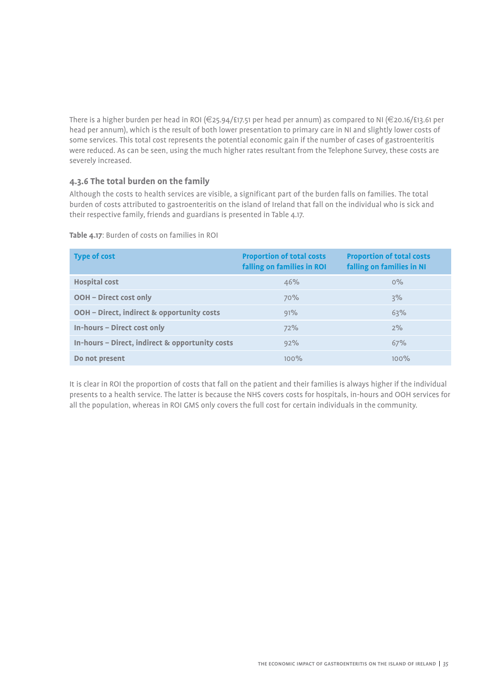There is a higher burden per head in ROI (€25.94/£17.51 per head per annum) as compared to NI (€20.16/£13.61 per head per annum), which is the result of both lower presentation to primary care in NI and slightly lower costs of some services. This total cost represents the potential economic gain if the number of cases of gastroenteritis were reduced. As can be seen, using the much higher rates resultant from the Telephone Survey, these costs are severely increased.

## **4.3.6 The total burden on the family**

Although the costs to health services are visible, a significant part of the burden falls on families. The total burden of costs attributed to gastroenteritis on the island of Ireland that fall on the individual who is sick and their respective family, friends and guardians is presented in Table 4.17.

| <b>Type of cost</b>                             | <b>Proportion of total costs</b><br>falling on families in ROI | <b>Proportion of total costs</b><br>falling on families in NI |
|-------------------------------------------------|----------------------------------------------------------------|---------------------------------------------------------------|
| <b>Hospital cost</b>                            | 46%                                                            | $0\%$                                                         |
| <b>OOH - Direct cost only</b>                   | 70%                                                            | 3%                                                            |
| OOH - Direct, indirect & opportunity costs      | 91%                                                            | 63%                                                           |
| In-hours - Direct cost only                     | 72%                                                            | 2%                                                            |
| In-hours - Direct, indirect & opportunity costs | 92%                                                            | 67%                                                           |
| Do not present                                  | 100%                                                           | 100%                                                          |

**Table 4.17**: Burden of costs on families in ROI

It is clear in ROI the proportion of costs that fall on the patient and their families is always higher if the individual presents to a health service. The latter is because the NHS covers costs for hospitals, in-hours and OOH services for all the population, whereas in ROI GMS only covers the full cost for certain individuals in the community.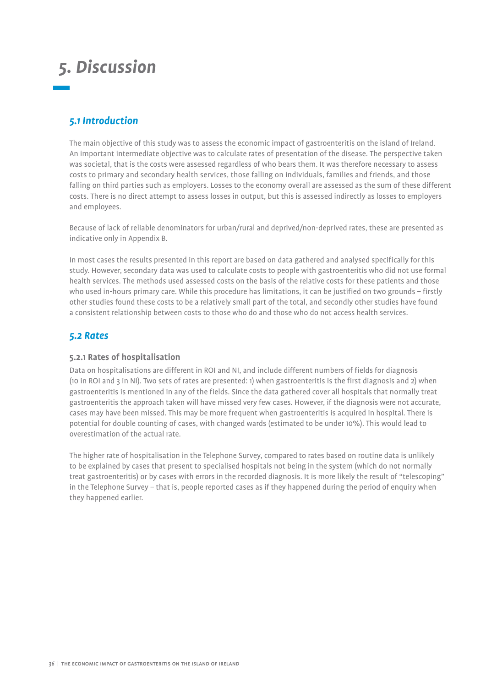## *5. Discussion*

## *5.1 Introduction*

The main objective of this study was to assess the economic impact of gastroenteritis on the island of Ireland. An important intermediate objective was to calculate rates of presentation of the disease. The perspective taken was societal, that is the costs were assessed regardless of who bears them. It was therefore necessary to assess costs to primary and secondary health services, those falling on individuals, families and friends, and those falling on third parties such as employers. Losses to the economy overall are assessed as the sum of these different costs. There is no direct attempt to assess losses in output, but this is assessed indirectly as losses to employers and employees.

Because of lack of reliable denominators for urban/rural and deprived/non-deprived rates, these are presented as indicative only in Appendix B.

In most cases the results presented in this report are based on data gathered and analysed specifically for this study. However, secondary data was used to calculate costs to people with gastroenteritis who did not use formal health services. The methods used assessed costs on the basis of the relative costs for these patients and those who used in-hours primary care. While this procedure has limitations, it can be justified on two grounds – firstly other studies found these costs to be a relatively small part of the total, and secondly other studies have found a consistent relationship between costs to those who do and those who do not access health services.

## *5.2 Rates*

## **5.2.1 Rates of hospitalisation**

Data on hospitalisations are different in ROI and NI, and include different numbers of fields for diagnosis (10 in ROI and 3 in NI). Two sets of rates are presented: 1) when gastroenteritis is the first diagnosis and 2) when gastroenteritis is mentioned in any of the fields. Since the data gathered cover all hospitals that normally treat gastroenteritis the approach taken will have missed very few cases. However, if the diagnosis were not accurate, cases may have been missed. This may be more frequent when gastroenteritis is acquired in hospital. There is potential for double counting of cases, with changed wards (estimated to be under 10%). This would lead to overestimation of the actual rate.

The higher rate of hospitalisation in the Telephone Survey, compared to rates based on routine data is unlikely to be explained by cases that present to specialised hospitals not being in the system (which do not normally treat gastroenteritis) or by cases with errors in the recorded diagnosis. It is more likely the result of "telescoping" in the Telephone Survey – that is, people reported cases as if they happened during the period of enquiry when they happened earlier.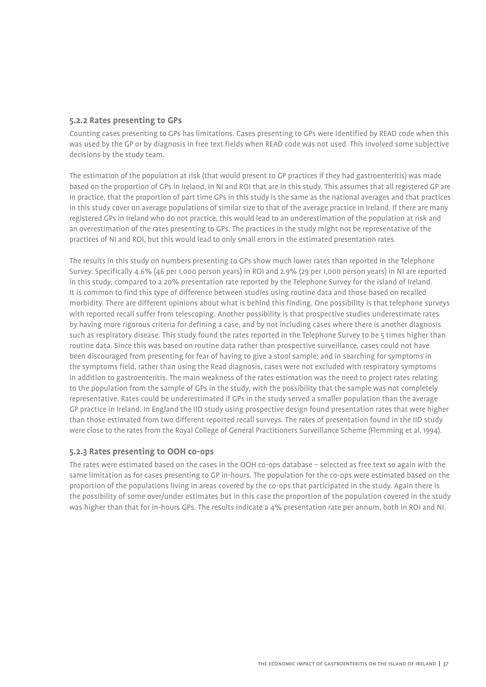## **5.2.2 Rates presenting to GPs**

Counting cases presenting to GPs has limitations. Cases presenting to GPs were identified by READ code when this was used by the GP or by diagnosis in free text fields when READ code was not used. This involved some subjective decisions by the study team.

The estimation of the population at risk (that would present to GP practices if they had gastroenteritis) was made based on the proportion of GPs in Ireland, in NI and ROI that are in this study. This assumes that all registered GP are in practice, that the proportion of part time GPs in this study is the same as the national averages and that practices in this study cover on average populations of similar size to that of the average practice in Ireland. If there are many registered GPs in Ireland who do not practice, this would lead to an underestimation of the population at risk and an overestimation of the rates presenting to GPs. The practices in the study might not be representative of the practices of NI and ROI, but this would lead to only small errors in the estimated presentation rates.

The results in this study on numbers presenting to GPs show much lower rates than reported in the Telephone Survey. Specifically 4.6% (46 per 1,000 person years) in ROI and 2.9% (29 per 1,000 person years) in NI are reported in this study, compared to a 20% presentation rate reported by the Telephone Survey for the island of Ireland. It is common to find this type of difference between studies using routine data and those based on recalled morbidity. There are different opinions about what is behind this finding. One possibility is that telephone surveys with reported recall suffer from telescoping. Another possibility is that prospective studies underestimate rates by having more rigorous criteria for defining a case, and by not including cases where there is another diagnosis such as respiratory disease. This study found the rates reported in the Telephone Survey to be 5 times higher than routine data. Since this was based on routine data rather than prospective surveillance, cases could not have been discouraged from presenting for fear of having to give a stool sample; and in searching for symptoms in the symptoms field, rather than using the Read diagnosis, cases were not excluded with respiratory symptoms in addition to gastroenteritis. The main weakness of the rates estimation was the need to project rates relating to the population from the sample of GPs in the study, with the possibility that the sample was not completely representative. Rates could be underestimated if GPs in the study served a smaller population than the average GP practice in Ireland. In England the IID study using prospective design found presentation rates that were higher than those estimated from two different reported recall surveys. The rates of presentation found in the IID study were close to the rates from the Royal College of General Practitioners Surveillance Scheme (Flemming et al. 1994).

## **5.2.3 Rates presenting to OOH co-ops**

The rates were estimated based on the cases in the OOH co-ops database – selected as free text so again with the same limitation as for cases presenting to GP in-hours. The population for the co-ops were estimated based on the proportion of the populations living in areas covered by the co-ops that participated in the study. Again there is the possibility of some over/under estimates but in this case the proportion of the population covered in the study was higher than that for in-hours GPs. The results indicate a 4% presentation rate per annum, both in ROI and NI.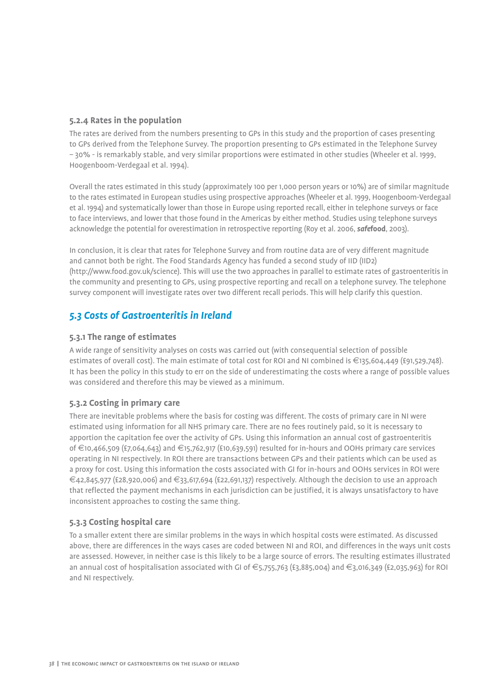## **5.2.4 Rates in the population**

The rates are derived from the numbers presenting to GPs in this study and the proportion of cases presenting to GPs derived from the Telephone Survey. The proportion presenting to GPs estimated in the Telephone Survey – 30% - is remarkably stable, and very similar proportions were estimated in other studies (Wheeler et al. 1999, Hoogenboom-Verdegaal et al. 1994).

Overall the rates estimated in this study (approximately 100 per 1,000 person years or 10%) are of similar magnitude to the rates estimated in European studies using prospective approaches (Wheeler et al. 1999, Hoogenboom-Verdegaal et al. 1994) and systematically lower than those in Europe using reported recall, either in telephone surveys or face to face interviews, and lower that those found in the Americas by either method. Studies using telephone surveys acknowledge the potential for overestimation in retrospective reporting (Roy et al. 2006, *safe***food**, 2003).

In conclusion, it is clear that rates for Telephone Survey and from routine data are of very different magnitude and cannot both be right. The Food Standards Agency has funded a second study of IID (IID2) (http://www.food.gov.uk/science). This will use the two approaches in parallel to estimate rates of gastroenteritis in the community and presenting to GPs, using prospective reporting and recall on a telephone survey. The telephone survey component will investigate rates over two different recall periods. This will help clarify this question.

## *5.3 Costs of Gastroenteritis in Ireland*

## **5.3.1 The range of estimates**

A wide range of sensitivity analyses on costs was carried out (with consequential selection of possible estimates of overall cost). The main estimate of total cost for ROI and NI combined is €135,604,449 (£91,529,748). It has been the policy in this study to err on the side of underestimating the costs where a range of possible values was considered and therefore this may be viewed as a minimum.

## **5.3.2 Costing in primary care**

There are inevitable problems where the basis for costing was different. The costs of primary care in NI were estimated using information for all NHS primary care. There are no fees routinely paid, so it is necessary to apportion the capitation fee over the activity of GPs. Using this information an annual cost of gastroenteritis of €10,466,509 (£7,064,643) and €15,762,917 (£10,639,591) resulted for in-hours and OOHs primary care services operating in NI respectively. In ROI there are transactions between GPs and their patients which can be used as a proxy for cost. Using this information the costs associated with GI for in-hours and OOHs services in ROI were  $\in$ 42,845,977 (£28,920,006) and  $\in$ 33,617,694 (£22,691,137) respectively. Although the decision to use an approach that reflected the payment mechanisms in each jurisdiction can be justified, it is always unsatisfactory to have inconsistent approaches to costing the same thing.

## **5.3.3 Costing hospital care**

To a smaller extent there are similar problems in the ways in which hospital costs were estimated. As discussed above, there are differences in the ways cases are coded between NI and ROI, and differences in the ways unit costs are assessed. However, in neither case is this likely to be a large source of errors. The resulting estimates illustrated an annual cost of hospitalisation associated with GI of €5,755,763 (£3,885,004) and €3,016,349 (£2,035,963) for ROI and NI respectively.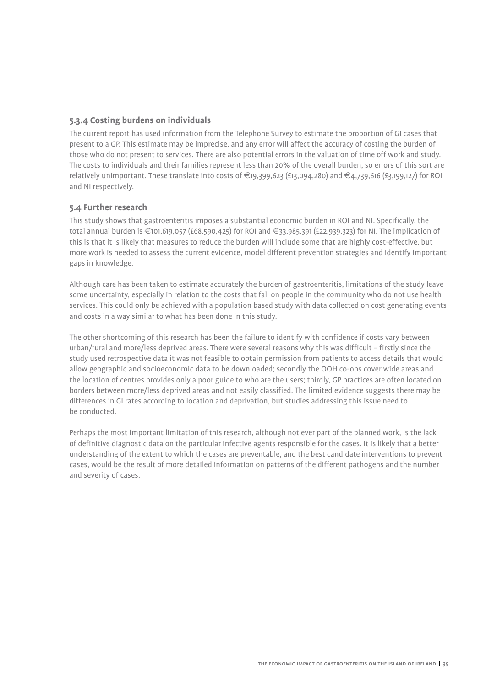## **5.3.4 Costing burdens on individuals**

The current report has used information from the Telephone Survey to estimate the proportion of GI cases that present to a GP. This estimate may be imprecise, and any error will affect the accuracy of costing the burden of those who do not present to services. There are also potential errors in the valuation of time off work and study. The costs to individuals and their families represent less than 20% of the overall burden, so errors of this sort are relatively unimportant. These translate into costs of €19,399,623 (£13,094,280) and €4,739,616 (£3,199,127) for ROI and NI respectively.

## **5.4 Further research**

This study shows that gastroenteritis imposes a substantial economic burden in ROI and NI. Specifically, the total annual burden is €101,619,057 (£68,590,425) for ROI and €33,985,391 (£22,939,323) for NI. The implication of this is that it is likely that measures to reduce the burden will include some that are highly cost-effective, but more work is needed to assess the current evidence, model different prevention strategies and identify important gaps in knowledge.

Although care has been taken to estimate accurately the burden of gastroenteritis, limitations of the study leave some uncertainty, especially in relation to the costs that fall on people in the community who do not use health services. This could only be achieved with a population based study with data collected on cost generating events and costs in a way similar to what has been done in this study.

The other shortcoming of this research has been the failure to identify with confidence if costs vary between urban/rural and more/less deprived areas. There were several reasons why this was difficult – firstly since the study used retrospective data it was not feasible to obtain permission from patients to access details that would allow geographic and socioeconomic data to be downloaded; secondly the OOH co-ops cover wide areas and the location of centres provides only a poor guide to who are the users; thirdly, GP practices are often located on borders between more/less deprived areas and not easily classified. The limited evidence suggests there may be differences in GI rates according to location and deprivation, but studies addressing this issue need to be conducted.

Perhaps the most important limitation of this research, although not ever part of the planned work, is the lack of definitive diagnostic data on the particular infective agents responsible for the cases. It is likely that a better understanding of the extent to which the cases are preventable, and the best candidate interventions to prevent cases, would be the result of more detailed information on patterns of the different pathogens and the number and severity of cases.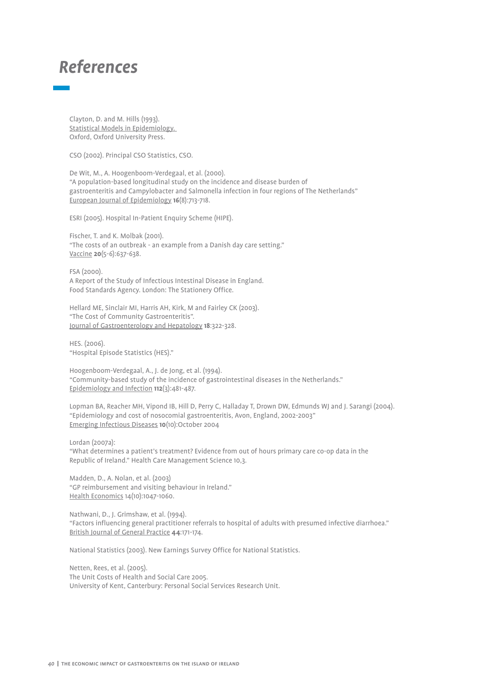## *References*

Clayton, D. and M. Hills (1993). Statistical Models in Epidemiology. Oxford, Oxford University Press.

CSO (2002). Principal CSO Statistics, CSO.

De Wit, M., A. Hoogenboom-Verdegaal, et al. (2000). "A population-based longitudinal study on the incidence and disease burden of gastroenteritis and Campylobacter and Salmonella infection in four regions of The Netherlands" European Journal of Epidemiology **16**(8):713-718.

ESRI (2005). Hospital In-Patient Enquiry Scheme (HIPE).

Fischer, T. and K. Molbak (2001). "The costs of an outbreak - an example from a Danish day care setting." Vaccine **20**(5-6):637-638.

FSA (2000). A Report of the Study of Infectious Intestinal Disease in England. Food Standards Agency. London: The Stationery Office.

Hellard ME, Sinclair MI, Harris AH, Kirk, M and Fairley CK (2003). "The Cost of Community Gastroenteritis". Journal of Gastroenterology and Hepatology **18**:322-328.

HES. (2006). "Hospital Episode Statistics (HES)."

Hoogenboom-Verdegaal, A., J. de Jong, et al. (1994). "Community-based study of the incidence of gastrointestinal diseases in the Netherlands." Epidemiology and Infection **112**(3):481-487.

Lopman BA, Reacher MH, Vipond IB, Hill D, Perry C, Halladay T, Drown DW, Edmunds WJ and J. Sarangi (2004). "Epidemiology and cost of nosocomial gastroenteritis, Avon, England, 2002-2003" Emerging Infectious Diseases **10**(10):October 2004

Lordan (2007a): "What determines a patient's treatment? Evidence from out of hours primary care co-op data in the Republic of Ireland." Health Care Management Science 10,3.

Madden, D., A. Nolan, et al. (2003) "GP reimbursement and visiting behaviour in Ireland." Health Economics 14(10):1047-1060.

Nathwani, D., J. Grimshaw, et al. (1994). "Factors influencing general practitioner referrals to hospital of adults with presumed infective diarrhoea." British Journal of General Practice **44**:171-174.

National Statistics (2003). New Earnings Survey Office for National Statistics.

Netten, Rees, et al. (2005). The Unit Costs of Health and Social Care 2005. University of Kent, Canterbury: Personal Social Services Research Unit.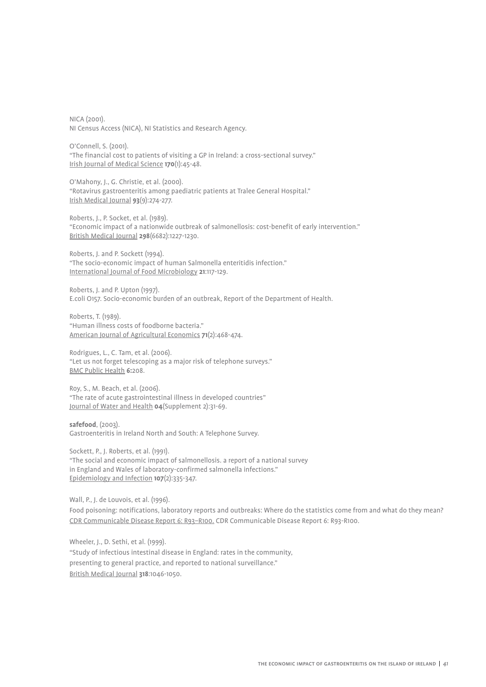NICA (2001). NI Census Access (NICA), NI Statistics and Research Agency.

O'Connell, S. (2001). "The financial cost to patients of visiting a GP in Ireland: a cross-sectional survey." Irish Journal of Medical Science **170**(1):45-48.

O'Mahony, J., G. Christie, et al. (2000). "Rotavirus gastroenteritis among paediatric patients at Tralee General Hospital." Irish Medical Journal **93**(9):274-277.

Roberts, J., P. Socket, et al. (1989). "Economic impact of a nationwide outbreak of salmonellosis: cost-benefit of early intervention." British Medical Journal **298**(6682):1227-1230.

Roberts, J. and P. Sockett (1994). "The socio-economic impact of human Salmonella enteritidis infection." International Journal of Food Microbiology **21**:117-129.

Roberts, J. and P. Upton (1997). E.coli O157. Socio-economic burden of an outbreak, Report of the Department of Health.

Roberts, T. (1989). "Human illness costs of foodborne bacteria." American Journal of Agricultural Economics **71**(2):468-474.

Rodrigues, L., C. Tam, et al. (2006). "Let us not forget telescoping as a major risk of telephone surveys." BMC Public Health **6:**208.

Roy, S., M. Beach, et al. (2006). "The rate of acute gastrointestinal illness in developed countries" Journal of Water and Health **04**(Supplement 2):31-69.

**safefood**, (2003).

Gastroenteritis in Ireland North and South: A Telephone Survey.

Sockett, P., J. Roberts, et al. (1991). "The social and economic impact of salmonellosis. a report of a national survey in England and Wales of laboratory-confirmed salmonella infections." Epidemiology and Infection **107**(2):335-347.

Wall, P., J. de Louvois, et al. (1996). Food poisoning: notifications, laboratory reports and outbreaks: Where do the statistics come from and what do they mean? CDR Communicable Disease Report 6: R93–R100. CDR Communicable Disease Report 6: R93-R100.

Wheeler, J., D. Sethi, et al. (1999). "Study of infectious intestinal disease in England: rates in the community, presenting to general practice, and reported to national surveillance." British Medical Journal **318**:1046-1050.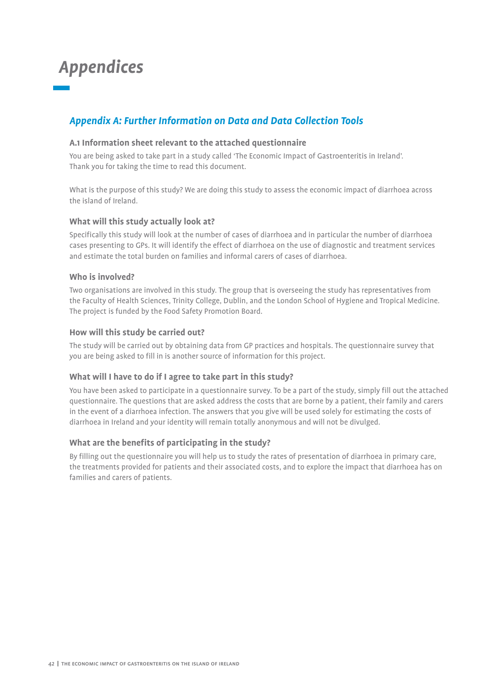## *Appendices*

## *Appendix A: Further Information on Data and Data Collection Tools*

## **A.1 Information sheet relevant to the attached questionnaire**

You are being asked to take part in a study called 'The Economic Impact of Gastroenteritis in Ireland'. Thank you for taking the time to read this document.

What is the purpose of this study? We are doing this study to assess the economic impact of diarrhoea across the island of Ireland.

## **What will this study actually look at?**

Specifically this study will look at the number of cases of diarrhoea and in particular the number of diarrhoea cases presenting to GPs. It will identify the effect of diarrhoea on the use of diagnostic and treatment services and estimate the total burden on families and informal carers of cases of diarrhoea.

## **Who is involved?**

Two organisations are involved in this study. The group that is overseeing the study has representatives from the Faculty of Health Sciences, Trinity College, Dublin, and the London School of Hygiene and Tropical Medicine. The project is funded by the Food Safety Promotion Board.

## **How will this study be carried out?**

The study will be carried out by obtaining data from GP practices and hospitals. The questionnaire survey that you are being asked to fill in is another source of information for this project.

## **What will I have to do if I agree to take part in this study?**

You have been asked to participate in a questionnaire survey. To be a part of the study, simply fill out the attached questionnaire. The questions that are asked address the costs that are borne by a patient, their family and carers in the event of a diarrhoea infection. The answers that you give will be used solely for estimating the costs of diarrhoea in Ireland and your identity will remain totally anonymous and will not be divulged.

## **What are the benefits of participating in the study?**

By filling out the questionnaire you will help us to study the rates of presentation of diarrhoea in primary care, the treatments provided for patients and their associated costs, and to explore the impact that diarrhoea has on families and carers of patients.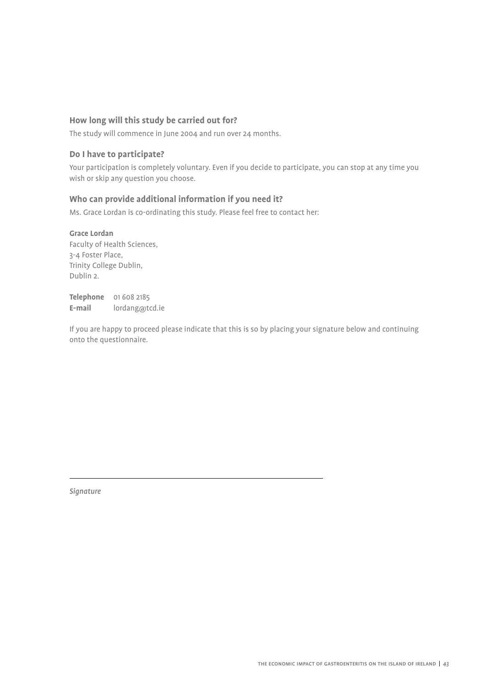## **How long will this study be carried out for?**

The study will commence in June 2004 and run over 24 months.

## **Do I have to participate?**

Your participation is completely voluntary. Even if you decide to participate, you can stop at any time you wish or skip any question you choose.

## **Who can provide additional information if you need it?**

Ms. Grace Lordan is co-ordinating this study. Please feel free to contact her:

## **Grace Lordan**

Faculty of Health Sciences, 3-4 Foster Place, Trinity College Dublin, Dublin 2.

**Telephone** 01 608 2185 **E-mail** lordang@tcd.ie

If you are happy to proceed please indicate that this is so by placing your signature below and continuing onto the questionnaire.

*Signature*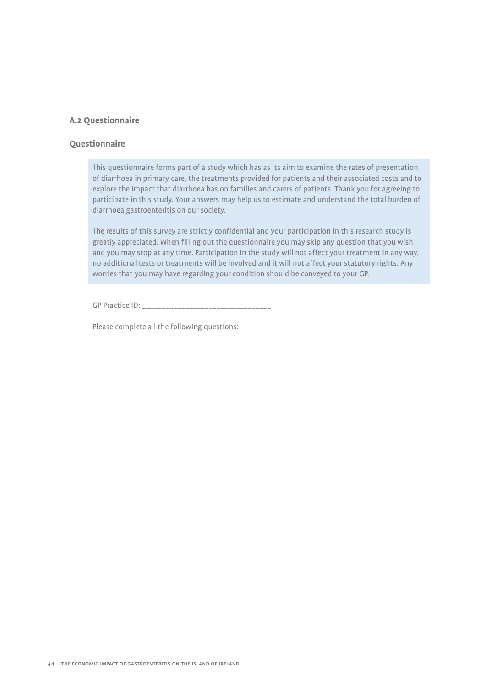## **A.2 Questionnaire**

### **Questionnaire**

This questionnaire forms part of a study which has as its aim to examine the rates of presentation of diarrhoea in primary care, the treatments provided for patients and their associated costs and to explore the impact that diarrhoea has on families and carers of patients. Thank you for agreeing to participate in this study. Your answers may help us to estimate and understand the total burden of diarrhoea gastroenteritis on our society.

The results of this survey are strictly confidential and your participation in this research study is greatly appreciated. When filling out the questionnaire you may skip any question that you wish and you may stop at any time. Participation in the study will not affect your treatment in any way, no additional tests or treatments will be involved and it will not affect your statutory rights. Any worries that you may have regarding your condition should be conveyed to your GP.

GP Practice ID: \_\_\_\_\_\_\_\_\_\_\_\_\_\_\_\_\_\_\_\_\_\_\_\_\_\_\_\_\_\_\_\_\_

Please complete all the following questions: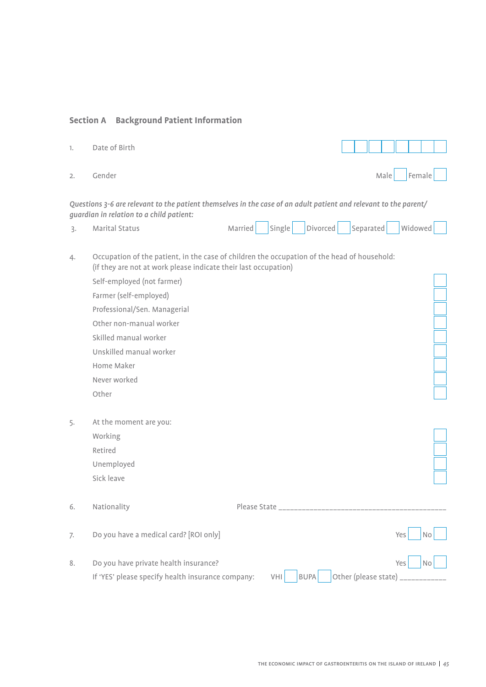## **Section A Background Patient Information**

| 1. | Date of Birth                                                                                                                                                  |                   |             |           |                                                       |
|----|----------------------------------------------------------------------------------------------------------------------------------------------------------------|-------------------|-------------|-----------|-------------------------------------------------------|
| 2. | Gender                                                                                                                                                         |                   |             | Male      | Female                                                |
|    | Questions 3-6 are relevant to the patient themselves in the case of an adult patient and relevant to the parent/<br>guardian in relation to a child patient:   |                   |             |           |                                                       |
| 3. | Marital Status                                                                                                                                                 | Single<br>Married | Divorced    | Separated | Widowed                                               |
| 4. | Occupation of the patient, in the case of children the occupation of the head of household:<br>(if they are not at work please indicate their last occupation) |                   |             |           |                                                       |
|    | Self-employed (not farmer)                                                                                                                                     |                   |             |           |                                                       |
|    | Farmer (self-employed)                                                                                                                                         |                   |             |           |                                                       |
|    | Professional/Sen. Managerial                                                                                                                                   |                   |             |           |                                                       |
|    | Other non-manual worker                                                                                                                                        |                   |             |           |                                                       |
|    | Skilled manual worker                                                                                                                                          |                   |             |           |                                                       |
|    | Unskilled manual worker                                                                                                                                        |                   |             |           |                                                       |
|    | Home Maker                                                                                                                                                     |                   |             |           |                                                       |
|    | Never worked                                                                                                                                                   |                   |             |           |                                                       |
|    | Other                                                                                                                                                          |                   |             |           |                                                       |
| 5. | At the moment are you:                                                                                                                                         |                   |             |           |                                                       |
|    | Working                                                                                                                                                        |                   |             |           |                                                       |
|    | Retired                                                                                                                                                        |                   |             |           |                                                       |
|    | Unemployed                                                                                                                                                     |                   |             |           |                                                       |
|    | Sick leave                                                                                                                                                     |                   |             |           |                                                       |
| 6. | Nationality                                                                                                                                                    |                   |             |           |                                                       |
| 7. | Do you have a medical card? [ROI only]                                                                                                                         |                   |             |           | Yes<br>No                                             |
| 8. | Do you have private health insurance?<br>If 'YES' please specify health insurance company:                                                                     | VHI               | <b>BUPA</b> |           | Yes<br><b>No</b><br>Other (please state) ____________ |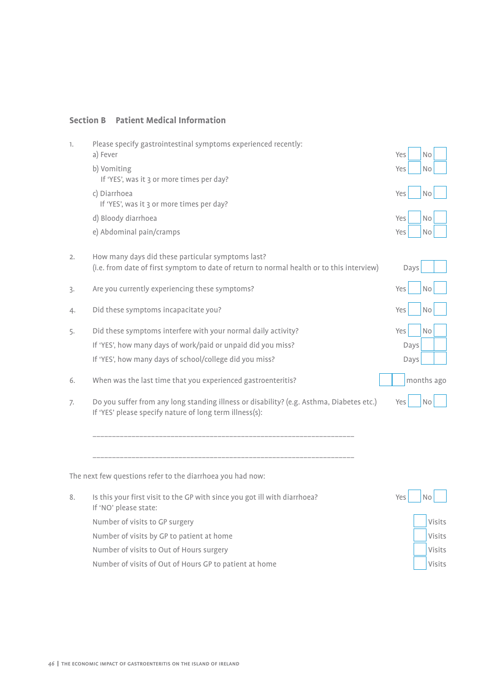## **Section B Patient Medical Information**

| 1. | Please specify gastrointestinal symptoms experienced recently:                                                                                      |                  |
|----|-----------------------------------------------------------------------------------------------------------------------------------------------------|------------------|
|    | a) Fever                                                                                                                                            | Yes<br>No        |
|    | b) Vomiting<br>If 'YES', was it 3 or more times per day?                                                                                            | No<br>Yes        |
|    | c) Diarrhoea<br>If 'YES', was it 3 or more times per day?                                                                                           | Yes<br><b>No</b> |
|    | d) Bloody diarrhoea                                                                                                                                 | Yes<br><b>No</b> |
|    | e) Abdominal pain/cramps                                                                                                                            | Yes<br>No        |
| 2. | How many days did these particular symptoms last?<br>(i.e. from date of first symptom to date of return to normal health or to this interview)      | Days             |
| 3. | Are you currently experiencing these symptoms?                                                                                                      | Yes<br>No        |
| 4. | Did these symptoms incapacitate you?                                                                                                                | Yes<br>No        |
| 5. | Did these symptoms interfere with your normal daily activity?                                                                                       | Yes<br>No        |
|    | If 'YES', how many days of work/paid or unpaid did you miss?                                                                                        | Days             |
|    | If 'YES', how many days of school/college did you miss?                                                                                             | Days             |
| 6. | When was the last time that you experienced gastroenteritis?                                                                                        | months ago       |
| 7. | Do you suffer from any long standing illness or disability? (e.g. Asthma, Diabetes etc.)<br>If 'YES' please specify nature of long term illness(s): | Yes<br>No        |
|    |                                                                                                                                                     |                  |
|    | The next few questions refer to the diarrhoea you had now:                                                                                          |                  |
| 8. | Is this your first visit to the GP with since you got ill with diarrhoea?<br>If 'NO' please state:                                                  | Yes<br>No        |
|    | Number of visits to GP surgery                                                                                                                      | Visits           |
|    | Number of visits by GP to patient at home                                                                                                           | Visits           |
|    | Number of visits to Out of Hours surgery                                                                                                            | Visits           |

Number of visits of Out of Hours GP to patient at home Visits Visits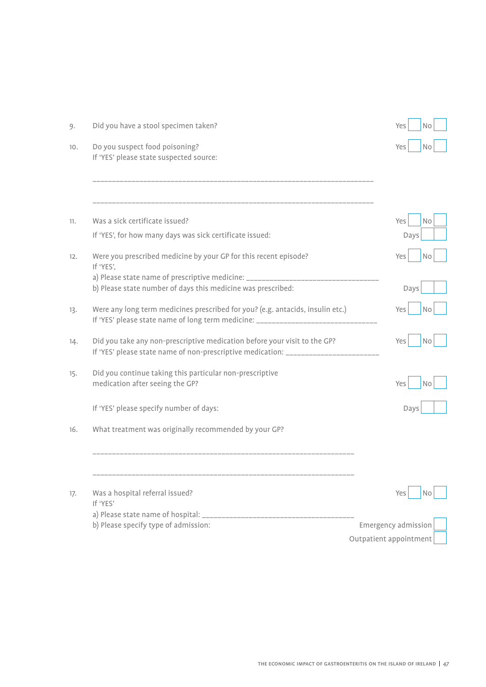| 9.  | Did you have a stool specimen taken?                                                                                                                                                                       | Yes<br>No              |
|-----|------------------------------------------------------------------------------------------------------------------------------------------------------------------------------------------------------------|------------------------|
| 10. | Do you suspect food poisoning?<br>If 'YES' please state suspected source:                                                                                                                                  | Yes<br>No              |
|     |                                                                                                                                                                                                            |                        |
| 11. | Was a sick certificate issued?                                                                                                                                                                             | Yes<br><b>No</b>       |
|     | If 'YES', for how many days was sick certificate issued:                                                                                                                                                   | Days                   |
| 12. | Were you prescribed medicine by your GP for this recent episode?<br>If 'YES',<br>a) Please state name of prescriptive medicine: __________<br>b) Please state number of days this medicine was prescribed: | Yes<br>No<br>Days      |
| 13. | Were any long term medicines prescribed for you? (e.g. antacids, insulin etc.)<br>If 'YES' please state name of long term medicine: ______________________________                                         | <b>Yes</b><br>No       |
| 14. | Did you take any non-prescriptive medication before your visit to the GP?<br>If 'YES' please state name of non-prescriptive medication: _____________________                                              | Yes<br>No              |
| 15. | Did you continue taking this particular non-prescriptive<br>medication after seeing the GP?                                                                                                                | Yes<br>No              |
|     | If 'YES' please specify number of days:                                                                                                                                                                    | Days                   |
| 16. | What treatment was originally recommended by your GP?                                                                                                                                                      |                        |
|     |                                                                                                                                                                                                            |                        |
| 17. | Was a hospital referral issued?<br>If 'YES'                                                                                                                                                                | Yes<br>No              |
|     | a) Please state name of hospital:<br>b) Please specify type of admission:                                                                                                                                  | Emergency admission    |
|     |                                                                                                                                                                                                            | Outpatient appointment |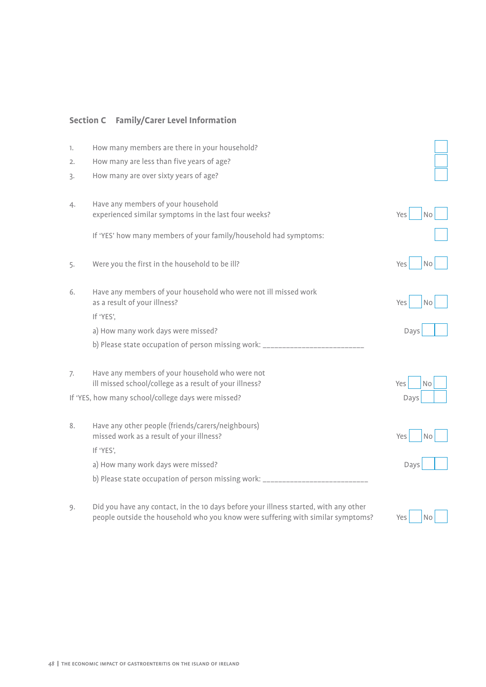## **Section C Family/Carer Level Information**

| 1. | How many members are there in your household?                                                             |                       |
|----|-----------------------------------------------------------------------------------------------------------|-----------------------|
| 2. | How many are less than five years of age?                                                                 |                       |
| 3. | How many are over sixty years of age?                                                                     |                       |
|    |                                                                                                           |                       |
| 4. | Have any members of your household<br>experienced similar symptoms in the last four weeks?                | Yes<br>N <sub>o</sub> |
|    |                                                                                                           |                       |
|    | If 'YES' how many members of your family/household had symptoms:                                          |                       |
|    |                                                                                                           |                       |
| 5. | Were you the first in the household to be ill?                                                            | Yes<br>No             |
| 6. | Have any members of your household who were not ill missed work                                           |                       |
|    | as a result of your illness?                                                                              | Yes<br>No             |
|    | If 'YES',                                                                                                 |                       |
|    |                                                                                                           |                       |
|    | a) How many work days were missed?                                                                        | Days                  |
|    | b) Please state occupation of person missing work: ___________                                            |                       |
|    |                                                                                                           |                       |
| 7. | Have any members of your household who were not<br>ill missed school/college as a result of your illness? | Yes<br>No             |
|    | If 'YES, how many school/college days were missed?                                                        | Days                  |
|    |                                                                                                           |                       |
| 8. | Have any other people (friends/carers/neighbours)                                                         | Yes<br>N <sub>0</sub> |
|    | missed work as a result of your illness?<br>If 'YES',                                                     |                       |
|    | a) How many work days were missed?                                                                        | Days                  |
|    | b) Please state occupation of person missing work: ____                                                   |                       |

9. Did you have any contact, in the 10 days before your illness started, with any other people outside the household who you know were suffering with similar symptoms? Yes No

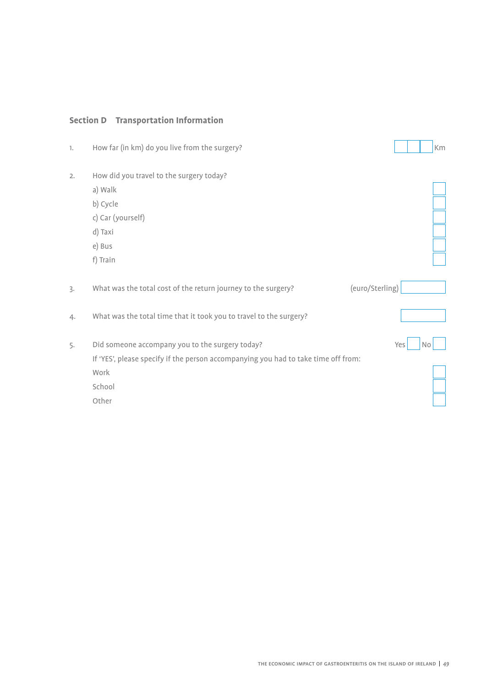## **Section D Transportation Information**

| How far (in km) do you live from the surgery?                                      |     |                 | Km        |
|------------------------------------------------------------------------------------|-----|-----------------|-----------|
| How did you travel to the surgery today?                                           |     |                 |           |
| a) Walk                                                                            |     |                 |           |
| b) Cycle                                                                           |     |                 |           |
| c) Car (yourself)                                                                  |     |                 |           |
| d) Taxi                                                                            |     |                 |           |
| e) Bus                                                                             |     |                 |           |
| f) Train                                                                           |     |                 |           |
|                                                                                    |     |                 |           |
| What was the total cost of the return journey to the surgery?                      |     |                 |           |
| What was the total time that it took you to travel to the surgery?                 |     |                 |           |
| Did someone accompany you to the surgery today?                                    | Yes |                 | <b>No</b> |
| If 'YES', please specify if the person accompanying you had to take time off from: |     |                 |           |
| Work                                                                               |     |                 |           |
| School                                                                             |     |                 |           |
| Other                                                                              |     |                 |           |
|                                                                                    |     | (euro/Sterling) |           |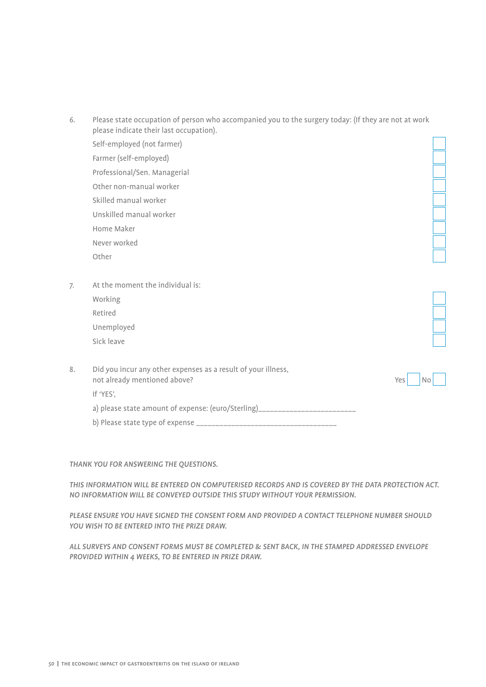| 6. | Please state occupation of person who accompanied you to the surgery today: (If they are not at work<br>please indicate their last occupation). |  |
|----|-------------------------------------------------------------------------------------------------------------------------------------------------|--|
|    | Self-employed (not farmer)                                                                                                                      |  |
|    | Farmer (self-employed)                                                                                                                          |  |
|    | Professional/Sen. Managerial                                                                                                                    |  |
|    | Other non-manual worker                                                                                                                         |  |
|    | Skilled manual worker                                                                                                                           |  |
|    | Unskilled manual worker                                                                                                                         |  |
|    | Home Maker                                                                                                                                      |  |
|    | Never worked                                                                                                                                    |  |
|    | Other                                                                                                                                           |  |
|    |                                                                                                                                                 |  |
| 7. | At the moment the individual is:                                                                                                                |  |
|    | Working                                                                                                                                         |  |
|    | Retired                                                                                                                                         |  |
|    | Unemployed                                                                                                                                      |  |
|    | Sick leave                                                                                                                                      |  |
|    |                                                                                                                                                 |  |
| 8. | Did you incur any other expenses as a result of your illness,<br>not already mentioned above?<br>Yes<br><b>No</b><br>If 'YES',                  |  |
|    | a) please state amount of expense: (euro/Sterling)_____________________________                                                                 |  |
|    |                                                                                                                                                 |  |
|    |                                                                                                                                                 |  |

#### *THANK YOU FOR ANSWERING THE QUESTIONS.*

*THIS INFORMATION WILL BE ENTERED ON COMPUTERISED RECORDS AND IS COVERED BY THE DATA PROTECTION ACT. NO INFORMATION WILL BE CONVEYED OUTSIDE THIS STUDY WITHOUT YOUR PERMISSION.*

*PLEASE ENSURE YOU HAVE SIGNED THE CONSENT FORM AND PROVIDED A CONTACT TELEPHONE NUMBER SHOULD YOU WISH TO BE ENTERED INTO THE PRIZE DRAW.*

*ALL SURVEYS AND CONSENT FORMS MUST BE COMPLETED & SENT BACK, IN THE STAMPED ADDRESSED ENVELOPE PROVIDED WITHIN 4 WEEKS, TO BE ENTERED IN PRIZE DRAW.*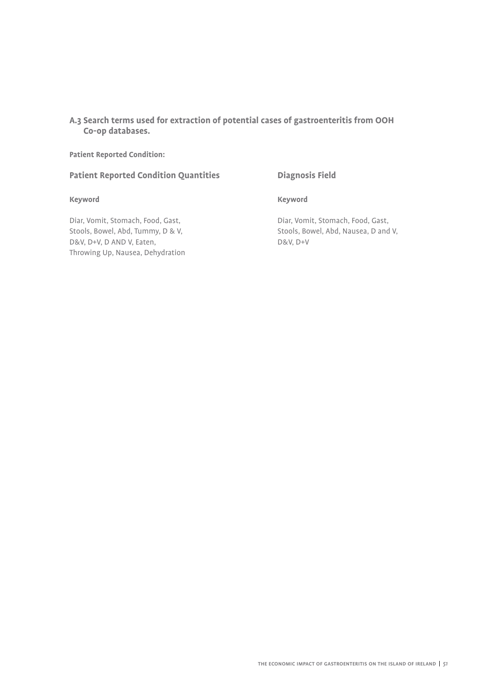**A.3 Search terms used for extraction of potential cases of gastroenteritis from OOH Co-op databases.**

**Patient Reported Condition:** 

## **Patient Reported Condition Quantities Diagnosis Field**

#### **Keyword Keyword**

Diar, Vomit, Stomach, Food, Gast, Diar, Vomit, Stomach, Food, Gast, D&V, D+V, D AND V, Eaten, D&V, D+V Throwing Up, Nausea, Dehydration

Stools, Bowel, Abd, Tummy, D & V, Stools, Bowel, Abd, Nausea, D and V,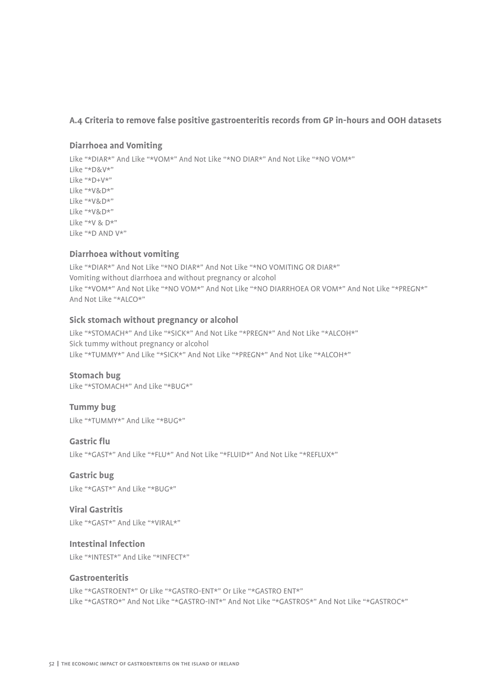## **A.4 Criteria to remove false positive gastroenteritis records from GP in-hours and OOH datasets**

#### **Diarrhoea and Vomiting**

Like "\*DIAR\*" And Like "\*VOM\*" And Not Like "\*NO DIAR\*" And Not Like "\*NO VOM\*" Like "\*D&V\*" Like "\*D+V\*" Like "\*V&D\*" Like "\*V&D\*" Like "\*V&D\*" Like "\*V & D\*" Like "\*D AND V\*"

## **Diarrhoea without vomiting**

Like "\*DIAR\*" And Not Like "\*NO DIAR\*" And Not Like "\*NO VOMITING OR DIAR\*" Vomiting without diarrhoea and without pregnancy or alcohol Like "\*VOM\*" And Not Like "\*NO VOM\*" And Not Like "\*NO DIARRHOEA OR VOM\*" And Not Like "\*PREGN\*" And Not Like "\*ALCO\*"

### **Sick stomach without pregnancy or alcohol**

Like "\*STOMACH\*" And Like "\*SICK\*" And Not Like "\*PREGN\*" And Not Like "\*ALCOH\*" Sick tummy without pregnancy or alcohol Like "\*TUMMY\*" And Like "\*SICK\*" And Not Like "\*PREGN\*" And Not Like "\*ALCOH\*"

#### **Stomach bug**

Like "\*STOMACH\*" And Like "\*BUG\*"

**Tummy bug** Like "\*TUMMY\*" And Like "\*BUG\*"

**Gastric flu** Like "\*GAST\*" And Like "\*FLU\*" And Not Like "\*FLUID\*" And Not Like "\*REFLUX\*"

**Gastric bug** Like "\*GAST\*" And Like "\*BUG\*"

**Viral Gastritis** Like "\*GAST\*" And Like "\*VIRAL\*"

**Intestinal Infection** Like "\*INTEST\*" And Like "\*INFECT\*"

#### **Gastroenteritis**

Like "\*GASTROENT\*" Or Like "\*GASTRO-ENT\*" Or Like "\*GASTRO ENT\*" Like "\*GASTRO\*" And Not Like "\*GASTRO-INT\*" And Not Like "\*GASTROS\*" And Not Like "\*GASTROC\*"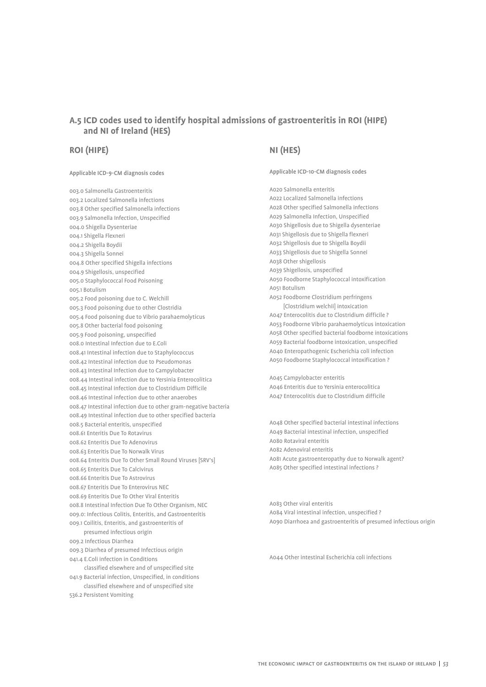## **A.5 ICD codes used to identify hospital admissions of gastroenteritis in ROI (HIPE) and NI of Ireland (HES)**

### **ROI (HIPE)**

#### Applicable ICD-9-CM diagnosis codes

003.0 Salmonella Gastroenteritis 003.2 Localized Salmonella infections 003.8 Other specified Salmonella infections 003.9 Salmonella Infection, Unspecified 004.0 Shigella Dysenteriae 004.1 Shigella Flexneri 004.2 Shigella Boydii 004.3 Shigella Sonnei 004.8 Other specified Shigella infections 004.9 Shigellosis, unspecified 005.0 Staphylococcal Food Poisoning 005.1 Botulism 005.2 Food poisoning due to C. Welchill 005.3 Food poisoning due to other Clostridia 005.4 Food poisoning due to Vibrio parahaemolyticus 005.8 Other bacterial food poisoning 005.9 Food poisoning, unspecified 008.0 Intestinal Infection due to E.Coli 008.41 Intestinal infection due to Staphylococcus 008.42 Intestinal infection due to Pseudomonas 008.43 Intestinal Infection due to Campylobacter 008.44 Intestinal infection due to Yersinia Enterocolitica 008.45 Intestinal infection due to Clostridium Difficile 008.46 Intestinal infection due to other anaerobes 008.47 Intestinal infection due to other gram-negative bacteria 008.49 Intestinal infection due to other specified bacteria 008.5 Bacterial enteritis, unspecified 008.61 Enteritis Due To Rotavirus 008.62 Enteritis Due To Adenovirus 008.63 Enteritis Due To Norwalk Virus 008.64 Enteritis Due To Other Small Round Viruses [SRV's] 008.65 Enteritis Due To Calcivirus 008.66 Enteritis Due To Astrovirus 008.67 Enteritis Due To Enterovirus NEC 008.69 Enteritis Due To Other Viral Enteritis 008.8 Intestinal Infection Due To Other Organism, NEC 009.0: Infectious Colitis, Enteritis, and Gastroenteritis 009.1 Coilitis, Enteritis, and gastroenteritis of presumed infectious origin 009.2 Infectious Diarrhea 009.3 Diarrhea of presumed Infectious origin 041.4 E.Coli infection in Conditions classified elsewhere and of unspecified site 041.9 Bacterial infection, Unspecified, in conditions classified elsewhere and of unspecified site

#### 536.2 Persistent Vomiting

## **NI (HES)**

Applicable ICD-10-CM diagnosis codes

A020 Salmonella enteritis A022 Localized Salmonella infections A028 Other specified Salmonella infections A029 Salmonella Infection, Unspecified A030 Shigellosis due to Shigella dysenteriae A031 Shigellosis due to Shigella flexneri A032 Shigellosis due to Shigella Boydii A033 Shigellosis due to Shigella Sonnei A038 Other shigellosis A039 Shigellosis, unspecified A050 Foodborne Staphylococcal intoxification A051 Botulism A052 Foodborne Clostridium perfringens [Clostridium welchii] intoxication A047 Enterocolitis due to Clostridium difficile ? A053 Foodborne Vibrio parahaemolyticus intoxication A058 Other specified bacterial foodborne intoxications A059 Bacterial foodborne intoxication, unspecified A040 Enteropathogenic Escherichia coli infection A050 Foodborne Staphylococcal intoxification ?

A045 Campylobacter enteritis A046 Enteritis due to Yersinia enterocolitica A047 Enterocolitis due to Clostridium difficile

A048 Other specified bacterial intestinal infections A049 Bacterial intestinal infection, unspecified A080 Rotaviral enteritis A082 Adenoviral enteritis A081 Acute gastroenteropathy due to Norwalk agent? A085 Other specified intestinal infections ?

A083 Other viral enteritis A084 Viral intestinal infection, unspecified ? A090 Diarrhoea and gastroenteritis of presumed infectious origin

A044 Other intestinal Escherichia coli infections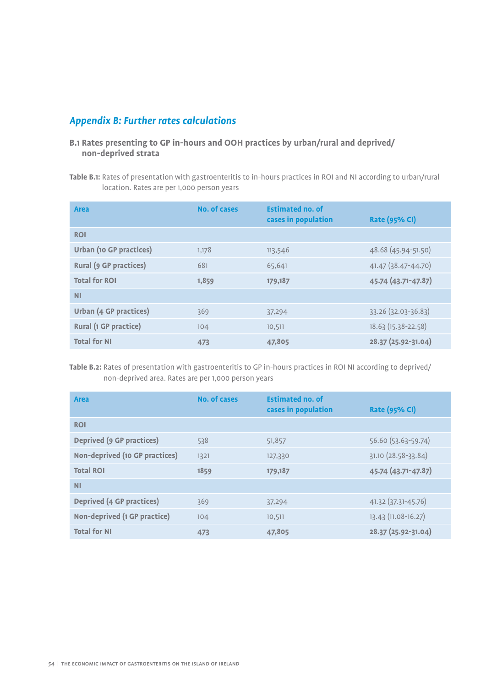## *Appendix B: Further rates calculations*

## **B.1 Rates presenting to GP in-hours and OOH practices by urban/rural and deprived/ non-deprived strata**

**Table B.1:** Rates of presentation with gastroenteritis to in-hours practices in ROI and NI according to urban/rural location. Rates are per 1,000 person years

| <b>Area</b>                    | No. of cases | <b>Estimated no. of</b><br>cases in population | <b>Rate (95% CI)</b> |
|--------------------------------|--------------|------------------------------------------------|----------------------|
| <b>ROI</b>                     |              |                                                |                      |
| <b>Urban (10 GP practices)</b> | 1,178        | 113,546                                        | 48.68 (45.94-51.50)  |
| <b>Rural (9 GP practices)</b>  | 681          | 65,641                                         | 41.47 (38.47-44.70)  |
| <b>Total for ROI</b>           | 1,859        | 179,187                                        | 45.74 (43.71-47.87)  |
| <b>NI</b>                      |              |                                                |                      |
| <b>Urban (4 GP practices)</b>  | 369          | 37,294                                         | 33.26 (32.03-36.83)  |
| Rural (1 GP practice)          | 104          | 10,511                                         | 18.63 (15.38-22.58)  |
| <b>Total for NI</b>            | 473          | 47,805                                         | 28.37 (25.92-31.04)  |

**Table B.2:** Rates of presentation with gastroenteritis to GP in-hours practices in ROI NI according to deprived/ non-deprived area. Rates are per 1,000 person years

| <b>Area</b>                      | No. of cases | <b>Estimated no. of</b><br>cases in population | <b>Rate (95% CI)</b> |
|----------------------------------|--------------|------------------------------------------------|----------------------|
| <b>ROI</b>                       |              |                                                |                      |
| <b>Deprived (9 GP practices)</b> | 538          | 51,857                                         | 56.60 (53.63-59.74)  |
| Non-deprived (10 GP practices)   | 1321         | 127,330                                        | 31.10 (28.58-33.84)  |
| <b>Total ROI</b>                 | 1859         | 179,187                                        | 45.74 (43.71-47.87)  |
| <b>NI</b>                        |              |                                                |                      |
| <b>Deprived (4 GP practices)</b> | 369          | 37,294                                         | 41.32 (37.31-45.76)  |
| Non-deprived (1 GP practice)     | 104          | 10,511                                         | 13.43 (11.08-16.27)  |
| <b>Total for NI</b>              | 473          | 47,805                                         | 28.37 (25.92-31.04)  |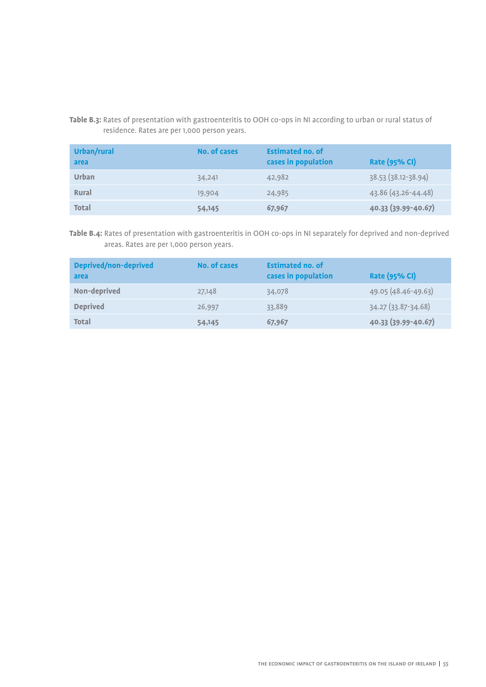## **Table B.3:** Rates of presentation with gastroenteritis to OOH co-ops in NI according to urban or rural status of residence. Rates are per 1,000 person years.

| Urban/rural<br>area | No. of cases | <b>Estimated no. of</b><br>cases in population | <b>Rate (95% CI)</b> |
|---------------------|--------------|------------------------------------------------|----------------------|
| Urban               | 34,241       | 42,982                                         | 38.53 (38.12-38.94)  |
| Rural               | 19,904       | 24,985                                         | 43.86 (43.26-44.48)  |
| <b>Total</b>        | 54,145       | 67,967                                         | 40.33 (39.99-40.67)  |

**Table B.4:** Rates of presentation with gastroenteritis in OOH co-ops in NI separately for deprived and non-deprived areas. Rates are per 1,000 person years.

| <b>Deprived/non-deprived</b><br>area | No. of cases | <b>Estimated no. of</b><br>cases in population | <b>Rate (95% CI)</b> |
|--------------------------------------|--------------|------------------------------------------------|----------------------|
| Non-deprived                         | 27,148       | 34,078                                         | 49.05 (48.46-49.63)  |
| <b>Deprived</b>                      | 26,997       | 33,889                                         | 34.27 (33.87-34.68)  |
| <b>Total</b>                         | 54,145       | 67,967                                         | 40.33 (39.99-40.67)  |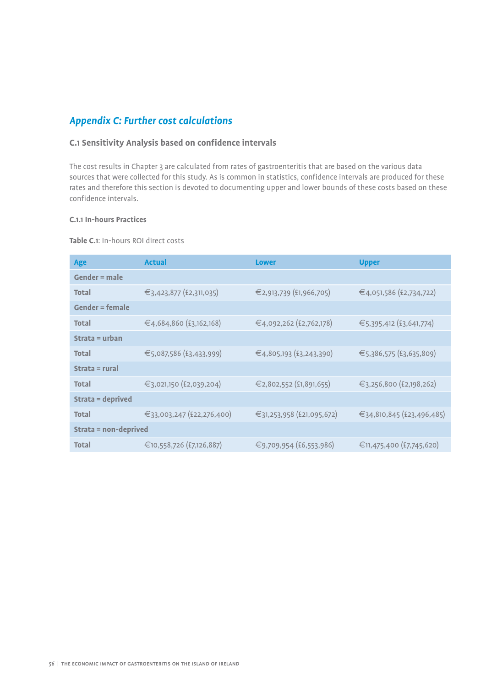## *Appendix C: Further cost calculations*

## **C.1 Sensitivity Analysis based on confidence intervals**

The cost results in Chapter 3 are calculated from rates of gastroenteritis that are based on the various data sources that were collected for this study. As is common in statistics, confidence intervals are produced for these rates and therefore this section is devoted to documenting upper and lower bounds of these costs based on these confidence intervals.

## **C.1.1 In-hours Practices**

#### **Table C.1**: In-hours ROI direct costs

| Age                          | <b>Actual</b>             | <b>Lower</b>              | <b>Upper</b>              |  |  |
|------------------------------|---------------------------|---------------------------|---------------------------|--|--|
| Gender $=$ male              |                           |                           |                           |  |  |
| Total                        | €3,423,877 (£2,311,035)   | €2,913,739 (£1,966,705)   | €4,051,586 (£2,734,722)   |  |  |
| <b>Gender = female</b>       |                           |                           |                           |  |  |
| <b>Total</b>                 | €4,684,860 (£3,162,168)   | €4,092,262 (£2,762,178)   | €5,395,412 (£3,641,774)   |  |  |
| Strata = urban               |                           |                           |                           |  |  |
| <b>Total</b>                 | €5,087,586 (£3,433,999)   | €4,805,193 (£3,243,390)   | €5,386,575 (£3,635,809)   |  |  |
| Strata = rural               |                           |                           |                           |  |  |
| Total                        | €3,021,150 (£2,039,204)   | €2,802,552 (£1,891,655)   | €3,256,800 (£2,198,262)   |  |  |
| Strata = deprived            |                           |                           |                           |  |  |
| <b>Total</b>                 | €33,003,247 (£22,276,400) | €31,253,958 (£21,095,672) | €34,810,845 (£23,496,485) |  |  |
| <b>Strata = non-deprived</b> |                           |                           |                           |  |  |
| Total                        | €10,558,726 (£7,126,887)  | €9,709,954 (£6,553,986)   | €11,475,400 (£7,745,620)  |  |  |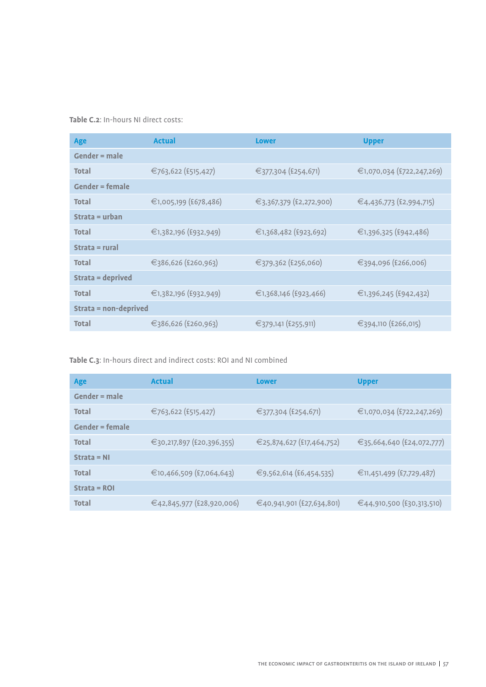**Table C.2**: In-hours NI direct costs:

| Age                   | <b>Actual</b>         | <b>Lower</b>            | <b>Upper</b>              |
|-----------------------|-----------------------|-------------------------|---------------------------|
| $Gender = male$       |                       |                         |                           |
| <b>Total</b>          | €763,622 (£515,427)   | €377,304 (£254,671)     | €1,070,034 (£722,247,269) |
| $Gender = female$     |                       |                         |                           |
| <b>Total</b>          | €1,005,199 (£678,486) | €3,367,379 (£2,272,900) | €4,436,773 (£2,994,715)   |
| Strata = $urban$      |                       |                         |                           |
| <b>Total</b>          | €1,382,196 (£932,949) | €1,368,482 (£923,692)   | €1,396,325 (£942,486)     |
| $Strata = rural$      |                       |                         |                           |
| <b>Total</b>          | €386,626 (£260,963)   | €379,362 (£256,060)     | €394,096 (£266,006)       |
| Strata = deprived     |                       |                         |                           |
| Total                 | €1,382,196 (£932,949) | €1,368,146 (£923,466)   | €1,396,245 (£942,432)     |
| Strata = non-deprived |                       |                         |                           |
| <b>Total</b>          | €386,626 (£260,963)   | €379,141 (£255,911)     | €394,110 (£266,015)       |

## **Table C.3**: In-hours direct and indirect costs: ROI and NI combined

| Age                    | <b>Actual</b>             | <b>Lower</b>              | <b>Upper</b>              |
|------------------------|---------------------------|---------------------------|---------------------------|
| $Gender = male$        |                           |                           |                           |
| <b>Total</b>           | €763,622 (£515,427)       | €377,304 (£254,671)       | €1,070,034 (£722,247,269) |
| <b>Gender = female</b> |                           |                           |                           |
| <b>Total</b>           | €30,217,897 (£20,396,355) | €25,874,627 (£17,464,752) | €35,664,640 (£24,072,777) |
| $Strata = NI$          |                           |                           |                           |
| <b>Total</b>           | €10,466,509 (£7,064,643)  | €9,562,614 (£6,454,535)   | €11,451,499 (£7,729,487)  |
| $Strata = ROI$         |                           |                           |                           |
| <b>Total</b>           | €42,845,977 (£28,920,006) | €40,941,901 (£27,634,801) | €44,910,500 (£30,313,510) |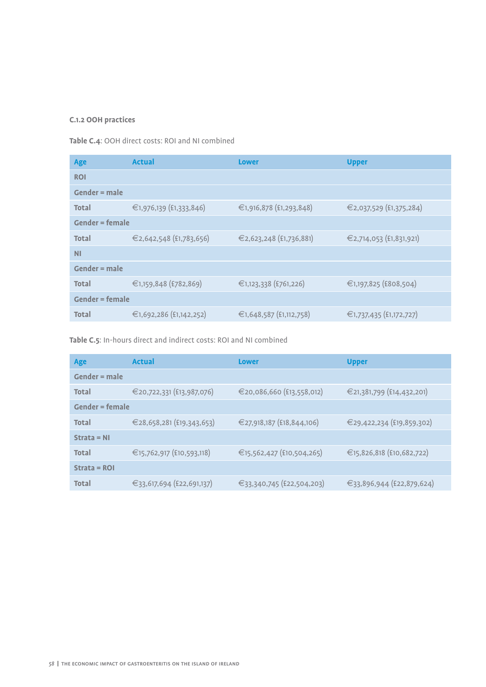## **C.1.2 OOH practices**

**Table C.4**: OOH direct costs: ROI and NI combined

| Age                    | <b>Actual</b>           | <b>Lower</b>            | <b>Upper</b>            |
|------------------------|-------------------------|-------------------------|-------------------------|
| <b>ROI</b>             |                         |                         |                         |
| $Gender = male$        |                         |                         |                         |
| <b>Total</b>           | €1,976,139 (£1,333,846) | €1,916,878 (£1,293,848) | €2,037,529 (£1,375,284) |
| <b>Gender = female</b> |                         |                         |                         |
| <b>Total</b>           | €2,642,548 (£1,783,656) | €2,623,248 (£1,736,881) | €2,714,053 (£1,831,921) |
| <b>NI</b>              |                         |                         |                         |
| $Gender = male$        |                         |                         |                         |
| <b>Total</b>           | €1,159,848 (£782,869)   | €1,123,338 (£761,226)   | €1,197,825 (£808,504)   |
| <b>Gender = female</b> |                         |                         |                         |
| <b>Total</b>           | €1,692,286 (£1,142,252) | €1,648,587 (£1,112,758) | €1,737,435 (£1,172,727) |
|                        |                         |                         |                         |

**Table C.5**: In-hours direct and indirect costs: ROI and NI combined

| Age               | <b>Actual</b>             | <b>Lower</b>              | <b>Upper</b>              |
|-------------------|---------------------------|---------------------------|---------------------------|
| $Gender = male$   |                           |                           |                           |
| <b>Total</b>      | €20,722,331 (£13,987,076) | €20,086,660 (£13,558,012) | €21,381,799 (£14,432,201) |
| $Gender = female$ |                           |                           |                           |
| <b>Total</b>      | €28,658,281 (£19,343,653) | €27,918,187 (£18,844,106) | €29,422,234 (£19,859,302) |
| $Strata = NI$     |                           |                           |                           |
| <b>Total</b>      | €15,762,917 (£10,593,118) | €15,562,427 (£10,504,265) | €15,826,818 (£10,682,722) |
| $Strata = ROI$    |                           |                           |                           |
| <b>Total</b>      | €33,617,694 (£22,691,137) | €33,340,745 (£22,504,203) | €33,896,944 (£22,879,624) |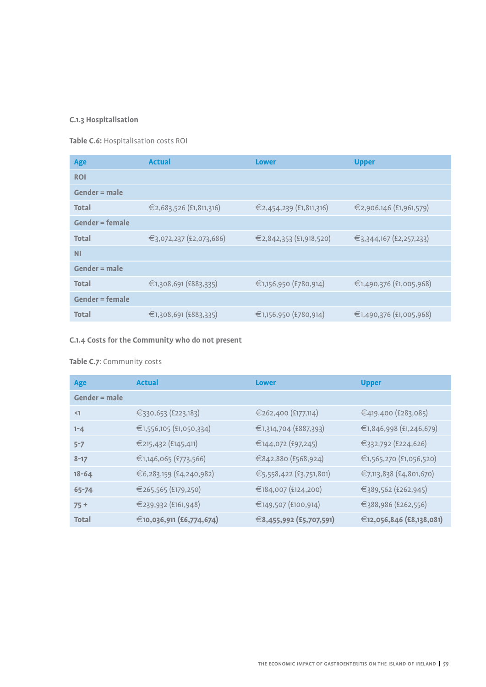## **C.1.3 Hospitalisation**

**Table C.6:** Hospitalisation costs ROI

| Age                    | <b>Actual</b>           | <b>Lower</b>            | <b>Upper</b>            |
|------------------------|-------------------------|-------------------------|-------------------------|
| <b>ROI</b>             |                         |                         |                         |
| $Gender = male$        |                         |                         |                         |
| <b>Total</b>           | €2,683,526 (£1,811,316) | €2,454,239 (£1,811,316) | €2,906,146 (£1,961,579) |
| <b>Gender = female</b> |                         |                         |                         |
| <b>Total</b>           | €3,072,237 (£2,073,686) | €2,842,353 (£1,918,520) | €3,344,167 (£2,257,233) |
| <b>NI</b>              |                         |                         |                         |
| $Gender = male$        |                         |                         |                         |
| <b>Total</b>           | €1,308,691 (£883,335)   | €1,156,950 (£780,914)   | €1,490,376 (£1,005,968) |
| <b>Gender = female</b> |                         |                         |                         |
| <b>Total</b>           | €1,308,691 (£883,335)   | €1,156,950 (£780,914)   | €1,490,376 (£1,005,968) |
|                        |                         |                         |                         |

## **C.1.4 Costs for the Community who do not present**

## **Table C.7**: Community costs

| Age             | <b>Actual</b>            | <b>Lower</b>            | <b>Upper</b>             |
|-----------------|--------------------------|-------------------------|--------------------------|
| $Gender = male$ |                          |                         |                          |
| $\leq$ 1        | €330,653 (£223,183)      | €262,400 (£177,114)     | €419,400 (£283,085)      |
| $1 - 4$         | €1,556,105 (£1,050,334)  | €1,314,704 (£887,393)   | €1,846,998 (£1,246,679)  |
| $5 - 7$         | €215,432 (£145,411)      | €144,072 (£97,245)      | €332,792 (£224,626)      |
| $8 - 17$        | €1,146,065 (£773,566)    | €842,880 (£568,924)     | €1,565,270 (£1,056,520)  |
| $18 - 64$       | €6,283,159 (£4,240,982)  | €5,558,422 (£3,751,801) | €7,113,838 (£4,801,670)  |
| 65-74           | €265,565 (£179,250)      | €184,007 (£124,200)     | €389,562 (£262,945)      |
| $75+$           | €239,932 (£161,948)      | €149,507 (£100,914)     | €388,986 (£262,556)      |
| <b>Total</b>    | €10,036,911 (£6,774,674) | €8,455,992 (£5,707,591) | €12,056,846 (£8,138,081) |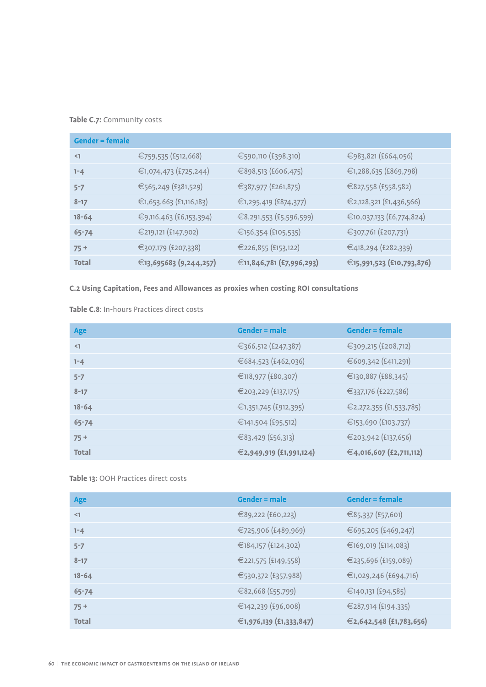## **Table C.7:** Community costs

| $Gender = female$ |                         |                          |                           |
|-------------------|-------------------------|--------------------------|---------------------------|
| $\leq$ 1          | €759,535 (£512,668)     | €590,110 (£398,310)      | €983,821 (£664,056)       |
| $1 - 4$           | €1,074,473 (£725,244)   | €898,513 (£606,475)      | €1,288,635 (£869,798)     |
| $5 - 7$           | €565,249 (£381,529)     | €387,977 (£261,875)      | €827,558 (£558,582)       |
| $8 - 17$          | €1,653,663 (£1,116,183) | €1,295,419 (£874,377)    | €2,128,321 (£1,436,566)   |
| $18 - 64$         | €9,116,463 (£6,153,394) | €8,291,553 (£5,596,599)  | €10,037,133 (£6,774,824)  |
| 65-74             | €219,121 (£147,902)     | €156,354 (£105,535)      | €307,761 (£207,731)       |
| $75 +$            | €307,179 (£207,338)     | €226,855 (£153,122)      | €418,294 (£282,339)       |
| <b>Total</b>      | €13,695683 (9,244,257)  | €11,846,781 (£7,996,293) | €15,991,523 (£10,793,876) |

**C.2 Using Capitation, Fees and Allowances as proxies when costing ROI consultations**

**Table C.8**: In-hours Practices direct costs

| Age          | <b>Gender = male</b>    | <b>Gender = female</b>  |
|--------------|-------------------------|-------------------------|
| $\leq$ 1     | €366,512 (£247,387)     | €309,215 (£208,712)     |
| $1 - 4$      | €684,523 (£462,036)     | €609,342 (£411,291)     |
| $5 - 7$      | €118,977 (£80,307)      | €130,887 (£88,345)      |
| $8 - 17$     | €203,229 (£137,175)     | €337,176 (£227,586)     |
| $18 - 64$    | €1,351,745 (£912,395)   | €2,272,355 (£1,533,785) |
| 65-74        | €141,504 (£95,512)      | €153,690 (£103,737)     |
| $75+$        | €83,429 (£56,313)       | €203,942 (£137,656)     |
| <b>Total</b> | €2,949,919 (£1,991,124) | €4,016,607 (£2,711,112) |

**Table 13:** OOH Practices direct costs

| Age          | $Gender = male$         | <b>Gender = female</b>  |
|--------------|-------------------------|-------------------------|
| $\leq$ 1     | €89,222 (£60,223)       | €85,337 (£57,601)       |
| $1 - 4$      | €725,906 (£489,969)     | €695,205 (£469,247)     |
| $5 - 7$      | €184,157 (£124,302)     | €169,019 (£114,083)     |
| $8 - 17$     | €221,575 (£149,558)     | €235,696 (£159,089)     |
| $18 - 64$    | €530,372 (£357,988)     | €1,029,246 (£694,716)   |
| 65-74        | €82,668 (£55,799)       | €140,131 (£94,585)      |
| $75+$        | €142,239 (£96,008)      | €287,914 (£194,335)     |
| <b>Total</b> | €1,976,139 (£1,333,847) | €2,642,548 (£1,783,656) |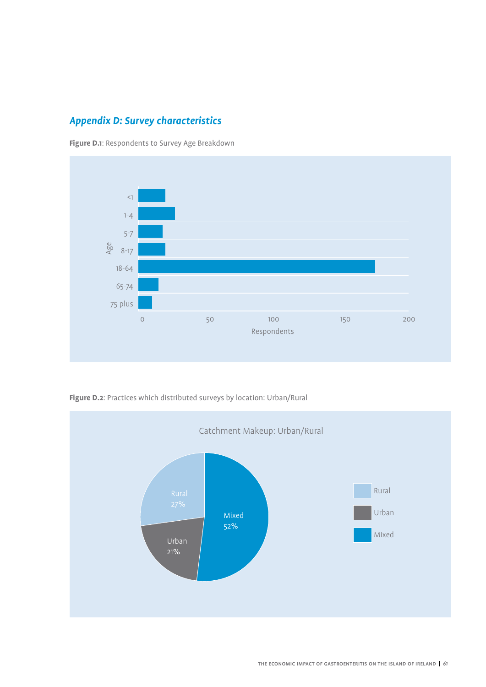## *Appendix D: Survey characteristics*

**Figure D.1**: Respondents to Survey Age Breakdown



**Figure D.2**: Practices which distributed surveys by location: Urban/Rural

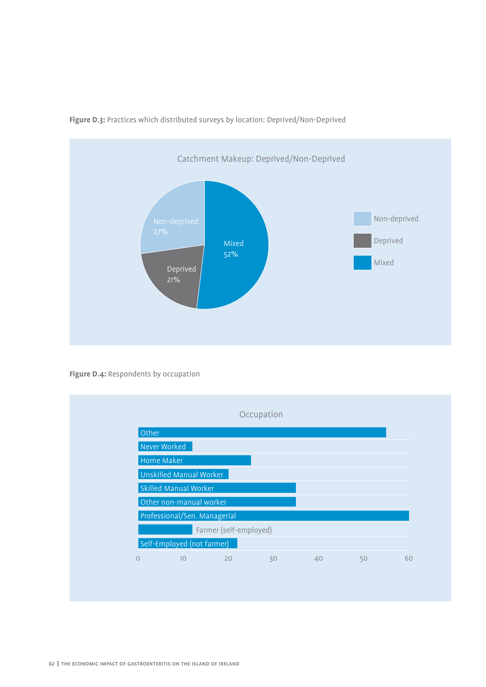

**Figure D.3:** Practices which distributed surveys by location: Deprived/Non-Deprived

**Figure D.4:** Respondents by occupation

|         |                              |                        | Occupation |    |    |    |
|---------|------------------------------|------------------------|------------|----|----|----|
| Other   |                              |                        |            |    |    |    |
|         | Never Worked                 |                        |            |    |    |    |
|         | Home Maker                   |                        |            |    |    |    |
|         | Unskilled Manual Worker      |                        |            |    |    |    |
|         | Skilled Manual Worker        |                        |            |    |    |    |
|         | Other non-manual worker      |                        |            |    |    |    |
|         | Professional/Sen. Managerial |                        |            |    |    |    |
|         |                              | Farmer (self-employed) |            |    |    |    |
|         | Self-Employed (not farmer)   |                        |            |    |    |    |
| $\circ$ | 10                           | 20                     | 30         | 40 | 50 | 60 |
|         |                              |                        |            |    |    |    |
|         |                              |                        |            |    |    |    |